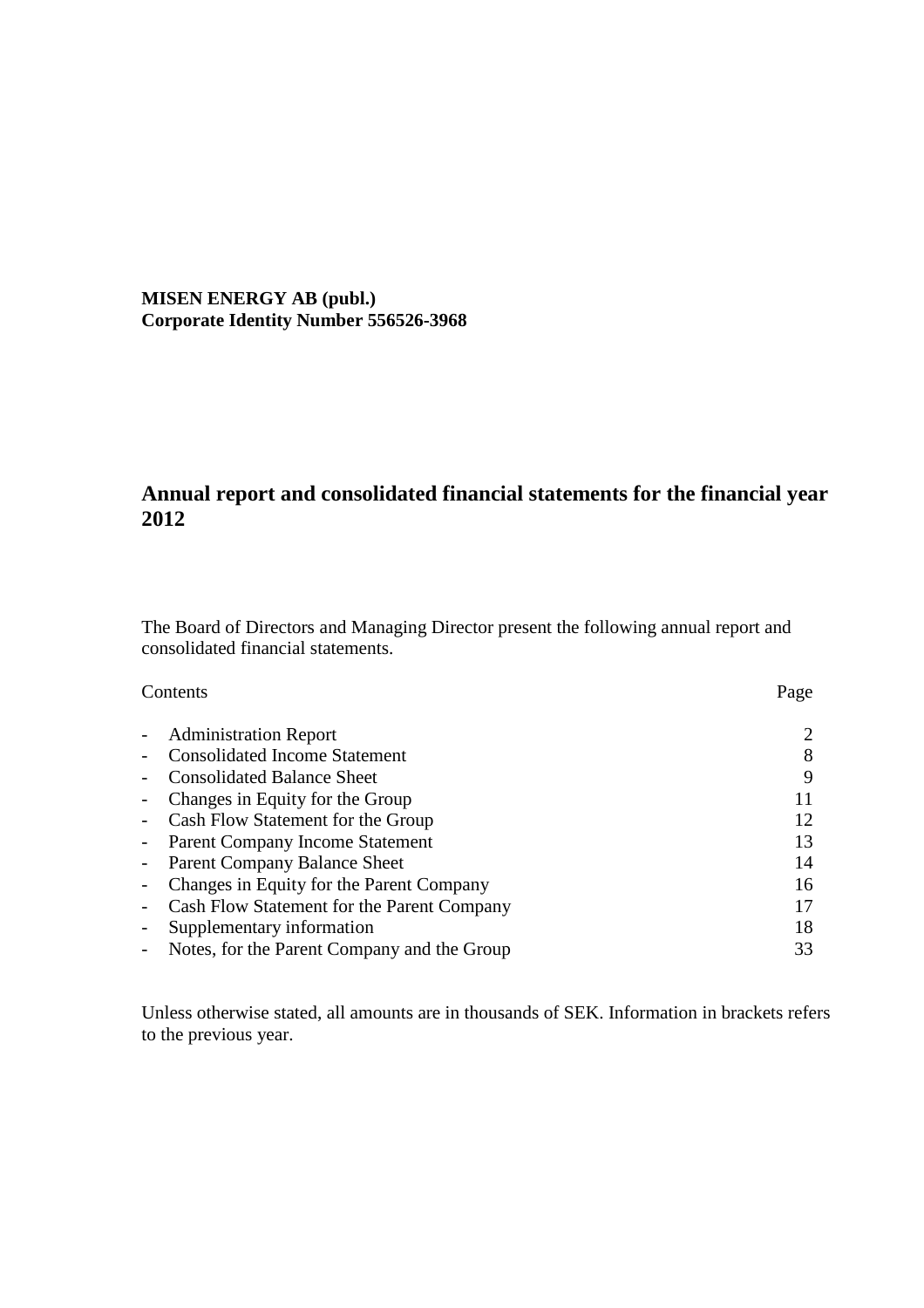**MISEN ENERGY AB (publ.) Corporate Identity Number 556526-3968**

# **Annual report and consolidated financial statements for the financial year 2012**

The Board of Directors and Managing Director present the following annual report and consolidated financial statements.

| Contents | Page |
|----------|------|
|----------|------|

| $\sim$                   | <b>Administration Report</b>                |    |
|--------------------------|---------------------------------------------|----|
|                          | <b>Consolidated Income Statement</b>        | 8  |
| $\overline{\phantom{a}}$ | <b>Consolidated Balance Sheet</b>           | 9  |
|                          | - Changes in Equity for the Group           | 11 |
|                          | - Cash Flow Statement for the Group         | 12 |
|                          | - Parent Company Income Statement           | 13 |
|                          | - Parent Company Balance Sheet              | 14 |
|                          | - Changes in Equity for the Parent Company  | 16 |
|                          | Cash Flow Statement for the Parent Company  | 17 |
|                          | Supplementary information                   | 18 |
|                          | Notes, for the Parent Company and the Group | 33 |

Unless otherwise stated, all amounts are in thousands of SEK. Information in brackets refers to the previous year.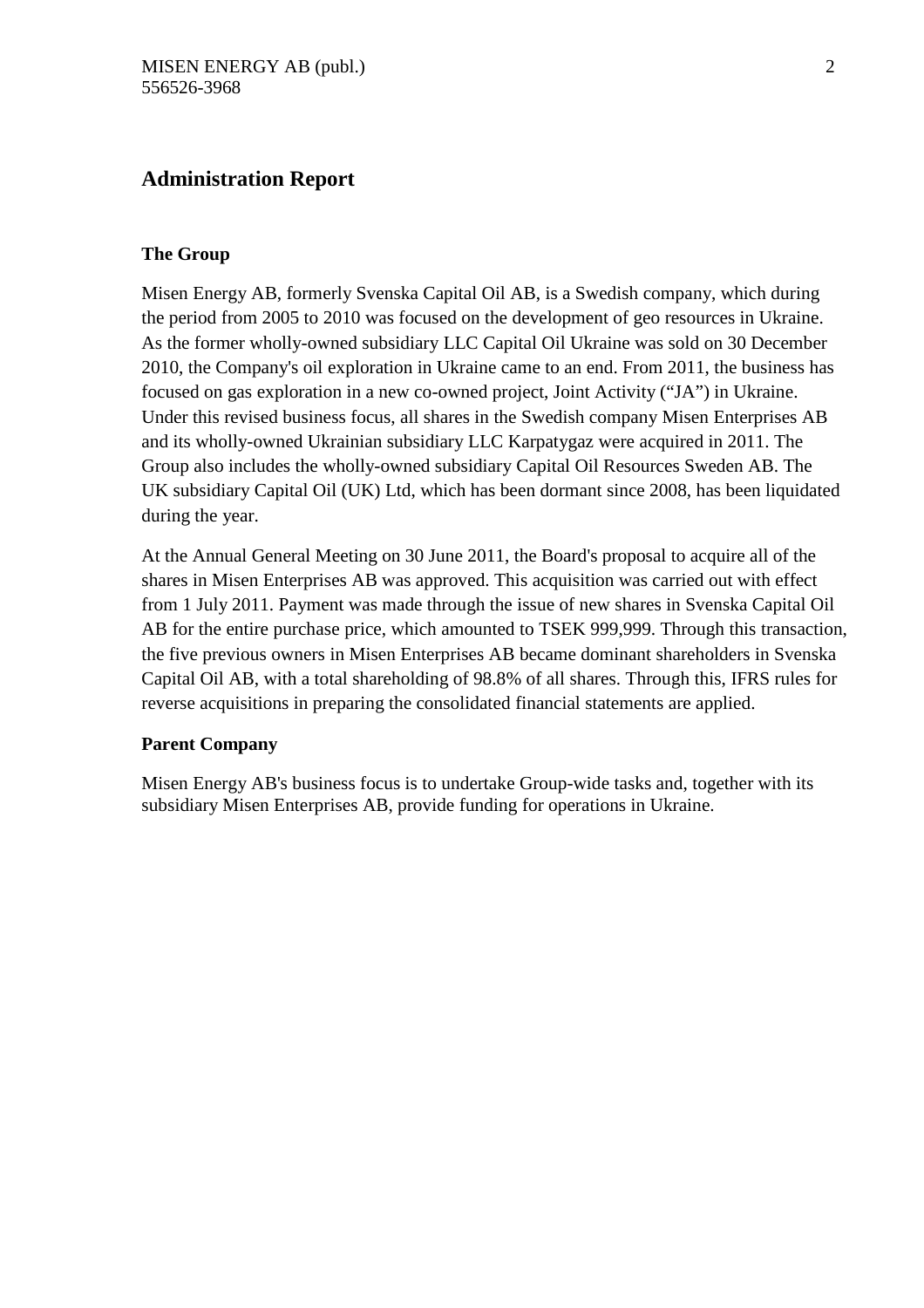# **Administration Report**

# **The Group**

Misen Energy AB, formerly Svenska Capital Oil AB, is a Swedish company, which during the period from 2005 to 2010 was focused on the development of geo resources in Ukraine. As the former wholly-owned subsidiary LLC Capital Oil Ukraine was sold on 30 December 2010, the Company's oil exploration in Ukraine came to an end. From 2011, the business has focused on gas exploration in a new co-owned project, Joint Activity ("JA") in Ukraine. Under this revised business focus, all shares in the Swedish company Misen Enterprises AB and its wholly-owned Ukrainian subsidiary LLC Karpatygaz were acquired in 2011. The Group also includes the wholly-owned subsidiary Capital Oil Resources Sweden AB. The UK subsidiary Capital Oil (UK) Ltd, which has been dormant since 2008, has been liquidated during the year.

At the Annual General Meeting on 30 June 2011, the Board's proposal to acquire all of the shares in Misen Enterprises AB was approved. This acquisition was carried out with effect from 1 July 2011. Payment was made through the issue of new shares in Svenska Capital Oil AB for the entire purchase price, which amounted to TSEK 999,999. Through this transaction, the five previous owners in Misen Enterprises AB became dominant shareholders in Svenska Capital Oil AB, with a total shareholding of 98.8% of all shares. Through this, IFRS rules for reverse acquisitions in preparing the consolidated financial statements are applied.

# **Parent Company**

Misen Energy AB's business focus is to undertake Group-wide tasks and, together with its subsidiary Misen Enterprises AB, provide funding for operations in Ukraine.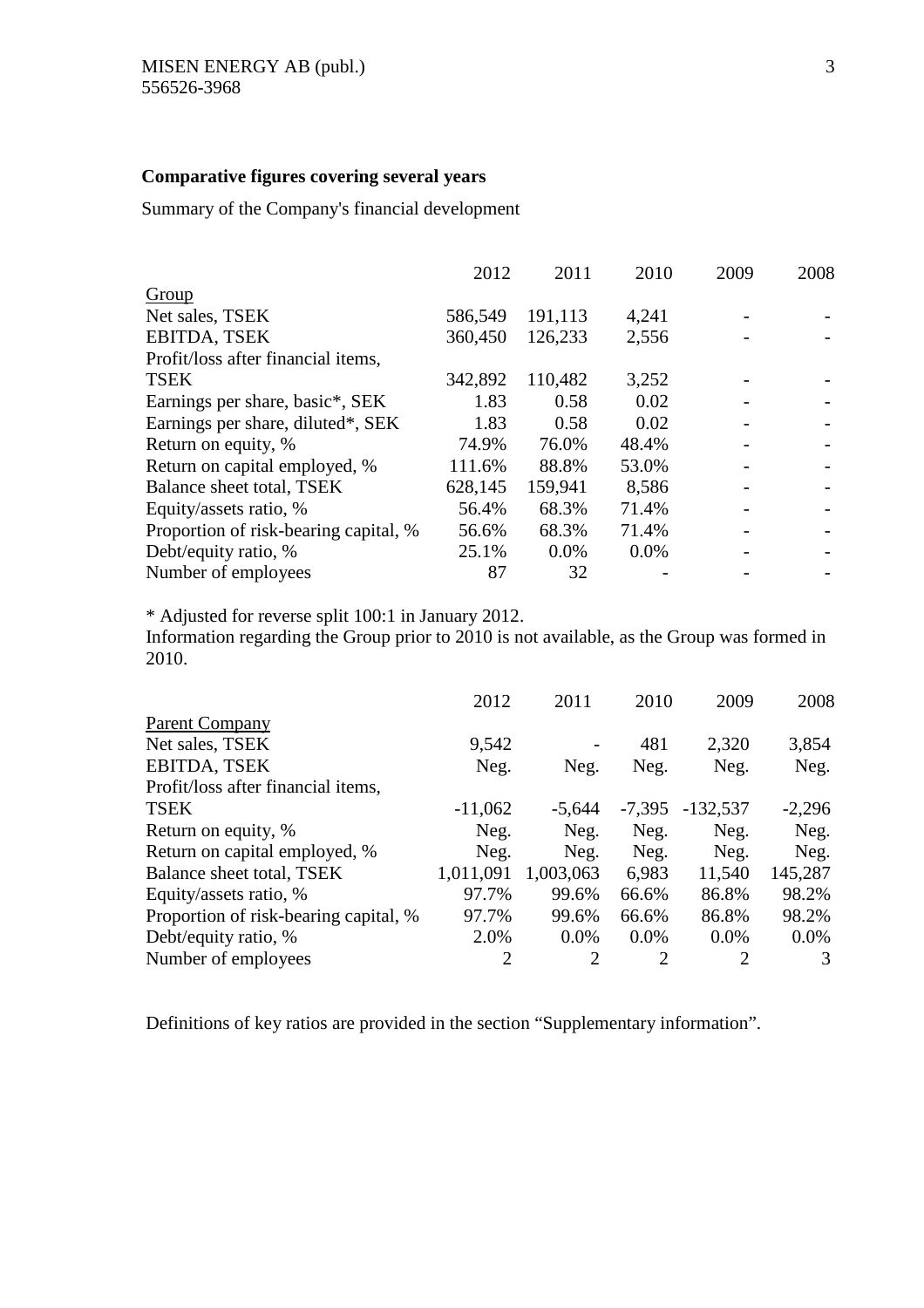# **Comparative figures covering several years**

Summary of the Company's financial development

| 2012    | 2011    | 2010  | 2009 | 2008 |
|---------|---------|-------|------|------|
|         |         |       |      |      |
| 586,549 | 191,113 | 4,241 |      |      |
| 360,450 | 126,233 | 2,556 |      |      |
|         |         |       |      |      |
| 342,892 | 110,482 | 3,252 |      |      |
| 1.83    | 0.58    | 0.02  |      |      |
| 1.83    | 0.58    | 0.02  |      |      |
| 74.9%   | 76.0%   | 48.4% |      |      |
| 111.6%  | 88.8%   | 53.0% |      |      |
| 628,145 | 159,941 | 8,586 |      |      |
| 56.4%   | 68.3%   | 71.4% |      |      |
| 56.6%   | 68.3%   | 71.4% |      |      |
| 25.1%   | 0.0%    | 0.0%  |      |      |
| 87      | 32      |       |      |      |
|         |         |       |      |      |

\* Adjusted for reverse split 100:1 in January 2012.

Information regarding the Group prior to 2010 is not available, as the Group was formed in 2010.

|                                       | 2012           | 2011           | 2010     | 2009       | 2008     |
|---------------------------------------|----------------|----------------|----------|------------|----------|
| <b>Parent Company</b>                 |                |                |          |            |          |
| Net sales, TSEK                       | 9,542          |                | 481      | 2,320      | 3,854    |
| <b>EBITDA, TSEK</b>                   | Neg.           | Neg.           | Neg.     | Neg.       | Neg.     |
| Profit/loss after financial items,    |                |                |          |            |          |
| <b>TSEK</b>                           | $-11,062$      | $-5,644$       | $-7,395$ | $-132,537$ | $-2,296$ |
| Return on equity, %                   | Neg.           | Neg.           | Neg.     | Neg.       | Neg.     |
| Return on capital employed, %         | Neg.           | Neg.           | Neg.     | Neg.       | Neg.     |
| Balance sheet total, TSEK             | 1,011,091      | 1,003,063      | 6,983    | 11,540     | 145,287  |
| Equity/assets ratio, %                | 97.7%          | 99.6%          | 66.6%    | 86.8%      | 98.2%    |
| Proportion of risk-bearing capital, % | 97.7%          | 99.6%          | 66.6%    | 86.8%      | 98.2%    |
| Debt/equity ratio, %                  | 2.0%           | $0.0\%$        | $0.0\%$  | $0.0\%$    | $0.0\%$  |
| Number of employees                   | $\overline{2}$ | $\overline{2}$ | 2        | 2          | 3        |

Definitions of key ratios are provided in the section "Supplementary information".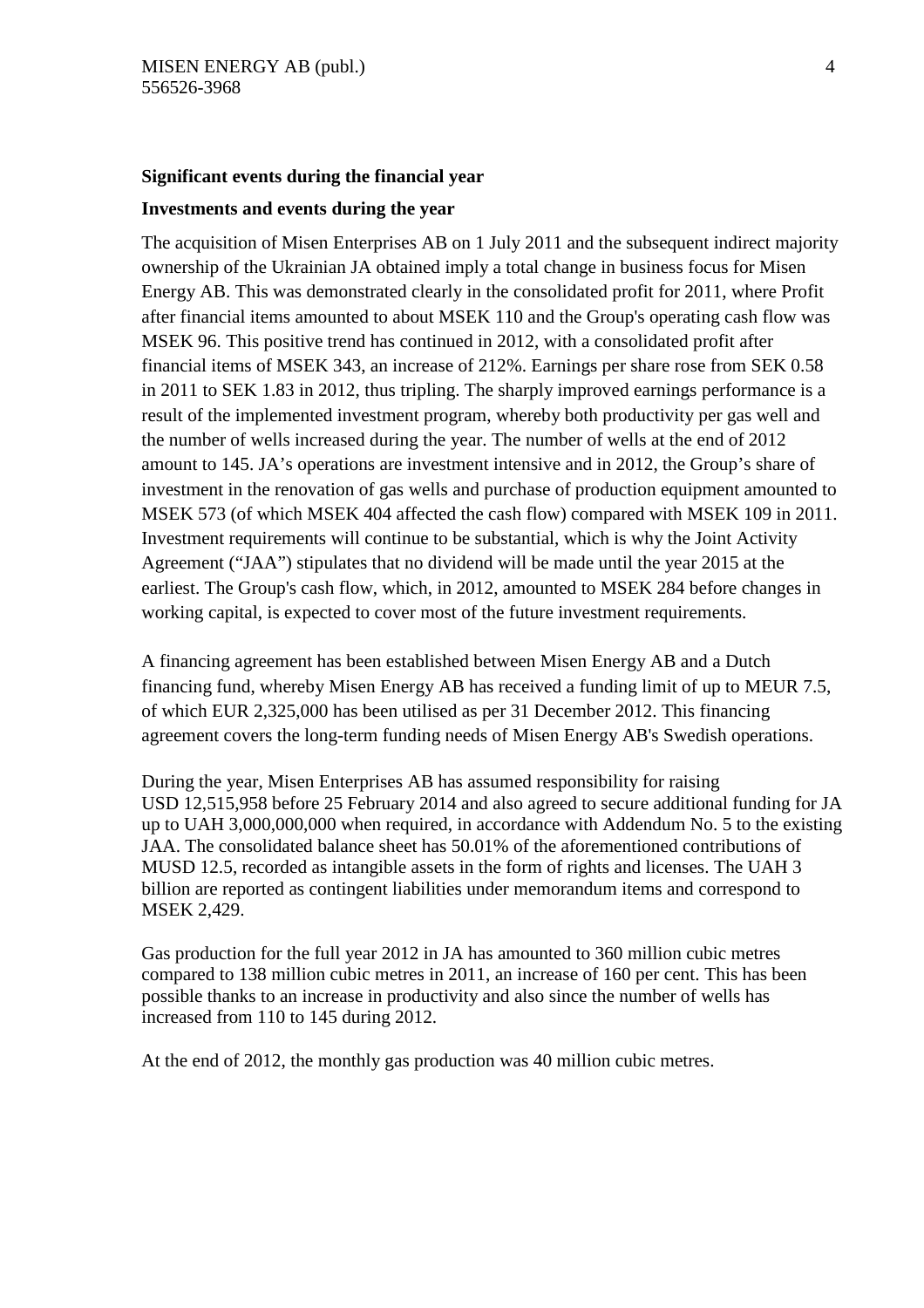# **Significant events during the financial year**

# **Investments and events during the year**

The acquisition of Misen Enterprises AB on 1 July 2011 and the subsequent indirect majority ownership of the Ukrainian JA obtained imply a total change in business focus for Misen Energy AB. This was demonstrated clearly in the consolidated profit for 2011, where Profit after financial items amounted to about MSEK 110 and the Group's operating cash flow was MSEK 96. This positive trend has continued in 2012, with a consolidated profit after financial items of MSEK 343, an increase of 212%. Earnings per share rose from SEK 0.58 in 2011 to SEK 1.83 in 2012, thus tripling. The sharply improved earnings performance is a result of the implemented investment program, whereby both productivity per gas well and the number of wells increased during the year. The number of wells at the end of 2012 amount to 145. JA's operations are investment intensive and in 2012, the Group's share of investment in the renovation of gas wells and purchase of production equipment amounted to MSEK 573 (of which MSEK 404 affected the cash flow) compared with MSEK 109 in 2011. Investment requirements will continue to be substantial, which is why the Joint Activity Agreement ("JAA") stipulates that no dividend will be made until the year 2015 at the earliest. The Group's cash flow, which, in 2012, amounted to MSEK 284 before changes in working capital, is expected to cover most of the future investment requirements.

A financing agreement has been established between Misen Energy AB and a Dutch financing fund, whereby Misen Energy AB has received a funding limit of up to MEUR 7.5, of which EUR 2,325,000 has been utilised as per 31 December 2012. This financing agreement covers the long-term funding needs of Misen Energy AB's Swedish operations.

During the year, Misen Enterprises AB has assumed responsibility for raising USD 12,515,958 before 25 February 2014 and also agreed to secure additional funding for JA up to UAH 3,000,000,000 when required, in accordance with Addendum No. 5 to the existing JAA. The consolidated balance sheet has 50.01% of the aforementioned contributions of MUSD 12.5, recorded as intangible assets in the form of rights and licenses. The UAH 3 billion are reported as contingent liabilities under memorandum items and correspond to MSEK 2,429.

Gas production for the full year 2012 in JA has amounted to 360 million cubic metres compared to 138 million cubic metres in 2011, an increase of 160 per cent. This has been possible thanks to an increase in productivity and also since the number of wells has increased from 110 to 145 during 2012.

At the end of 2012, the monthly gas production was 40 million cubic metres.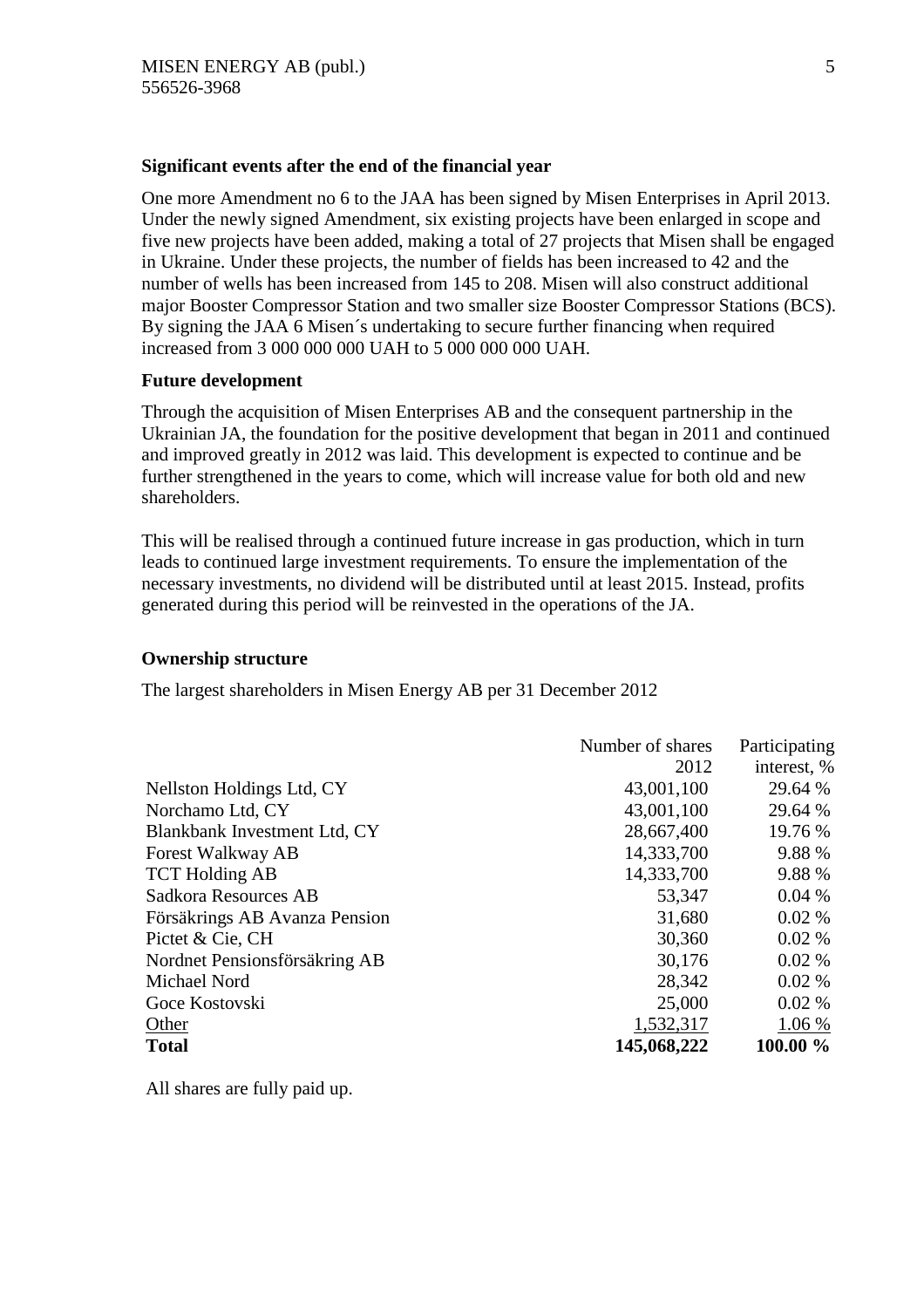# **Significant events after the end of the financial year**

One more Amendment no 6 to the JAA has been signed by Misen Enterprises in April 2013. Under the newly signed Amendment, six existing projects have been enlarged in scope and five new projects have been added, making a total of 27 projects that Misen shall be engaged in Ukraine. Under these projects, the number of fields has been increased to 42 and the number of wells has been increased from 145 to 208. Misen will also construct additional major Booster Compressor Station and two smaller size Booster Compressor Stations (BCS). By signing the JAA 6 Misen´s undertaking to secure further financing when required increased from 3 000 000 000 UAH to 5 000 000 000 UAH.

# **Future development**

Through the acquisition of Misen Enterprises AB and the consequent partnership in the Ukrainian JA, the foundation for the positive development that began in 2011 and continued and improved greatly in 2012 was laid. This development is expected to continue and be further strengthened in the years to come, which will increase value for both old and new shareholders.

This will be realised through a continued future increase in gas production, which in turn leads to continued large investment requirements. To ensure the implementation of the necessary investments, no dividend will be distributed until at least 2015. Instead, profits generated during this period will be reinvested in the operations of the JA.

# **Ownership structure**

The largest shareholders in Misen Energy AB per 31 December 2012

| Number of shares | Participating |
|------------------|---------------|
| 2012             | interest, %   |
| 43,001,100       | 29.64 %       |
| 43,001,100       | 29.64 %       |
| 28,667,400       | 19.76 %       |
| 14,333,700       | 9.88 %        |
| 14,333,700       | 9.88 %        |
| 53,347           | 0.04%         |
| 31,680           | 0.02%         |
| 30,360           | 0.02%         |
| 30,176           | 0.02%         |
| 28,342           | 0.02%         |
| 25,000           | 0.02%         |
| 1,532,317        | 1.06 %        |
| 145,068,222      | 100.00 %      |
|                  |               |

All shares are fully paid up.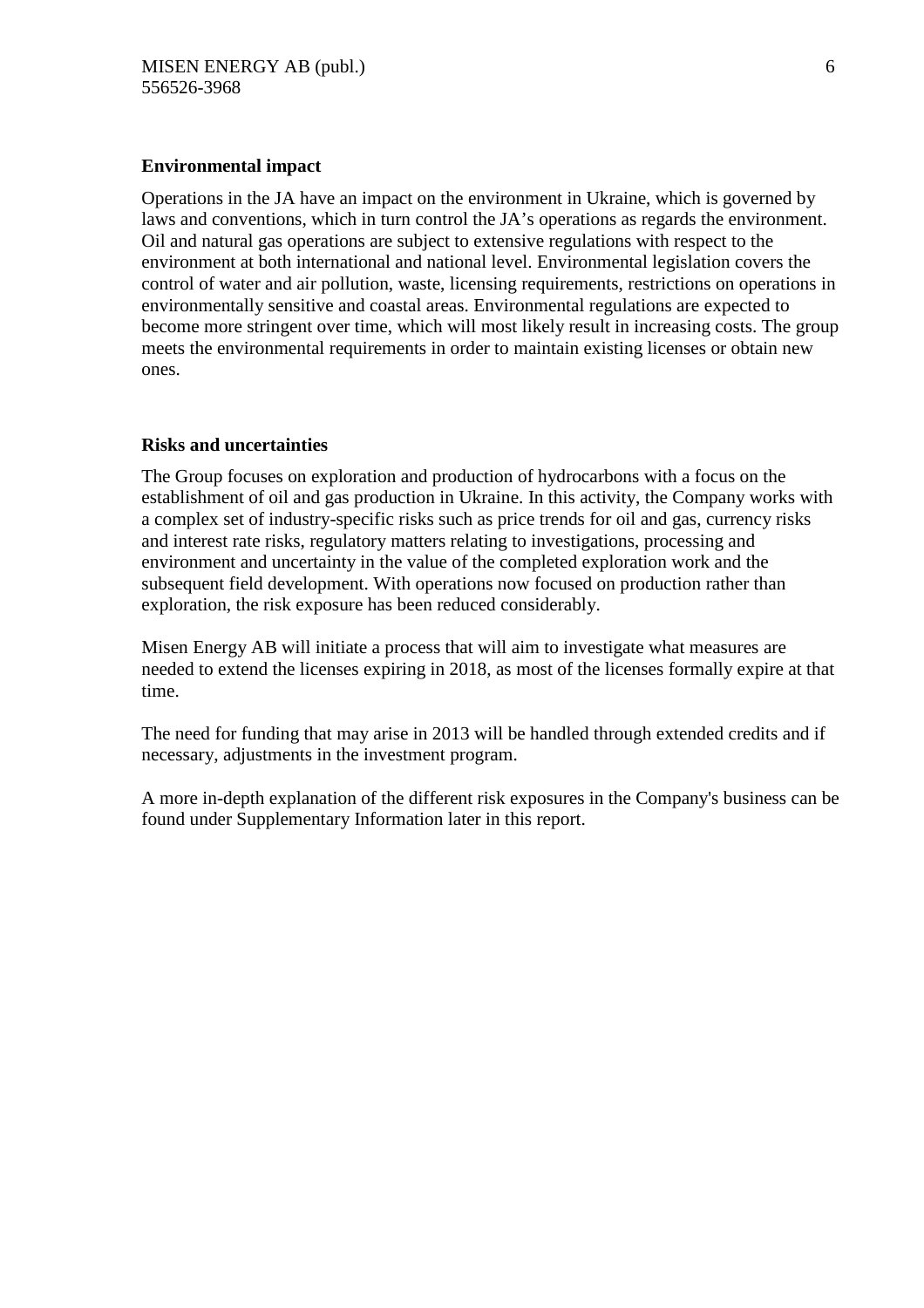# **Environmental impact**

Operations in the JA have an impact on the environment in Ukraine, which is governed by laws and conventions, which in turn control the JA's operations as regards the environment. Oil and natural gas operations are subject to extensive regulations with respect to the environment at both international and national level. Environmental legislation covers the control of water and air pollution, waste, licensing requirements, restrictions on operations in environmentally sensitive and coastal areas. Environmental regulations are expected to become more stringent over time, which will most likely result in increasing costs. The group meets the environmental requirements in order to maintain existing licenses or obtain new ones.

# **Risks and uncertainties**

The Group focuses on exploration and production of hydrocarbons with a focus on the establishment of oil and gas production in Ukraine. In this activity, the Company works with a complex set of industry-specific risks such as price trends for oil and gas, currency risks and interest rate risks, regulatory matters relating to investigations, processing and environment and uncertainty in the value of the completed exploration work and the subsequent field development. With operations now focused on production rather than exploration, the risk exposure has been reduced considerably.

Misen Energy AB will initiate a process that will aim to investigate what measures are needed to extend the licenses expiring in 2018, as most of the licenses formally expire at that time.

The need for funding that may arise in 2013 will be handled through extended credits and if necessary, adjustments in the investment program.

A more in-depth explanation of the different risk exposures in the Company's business can be found under Supplementary Information later in this report.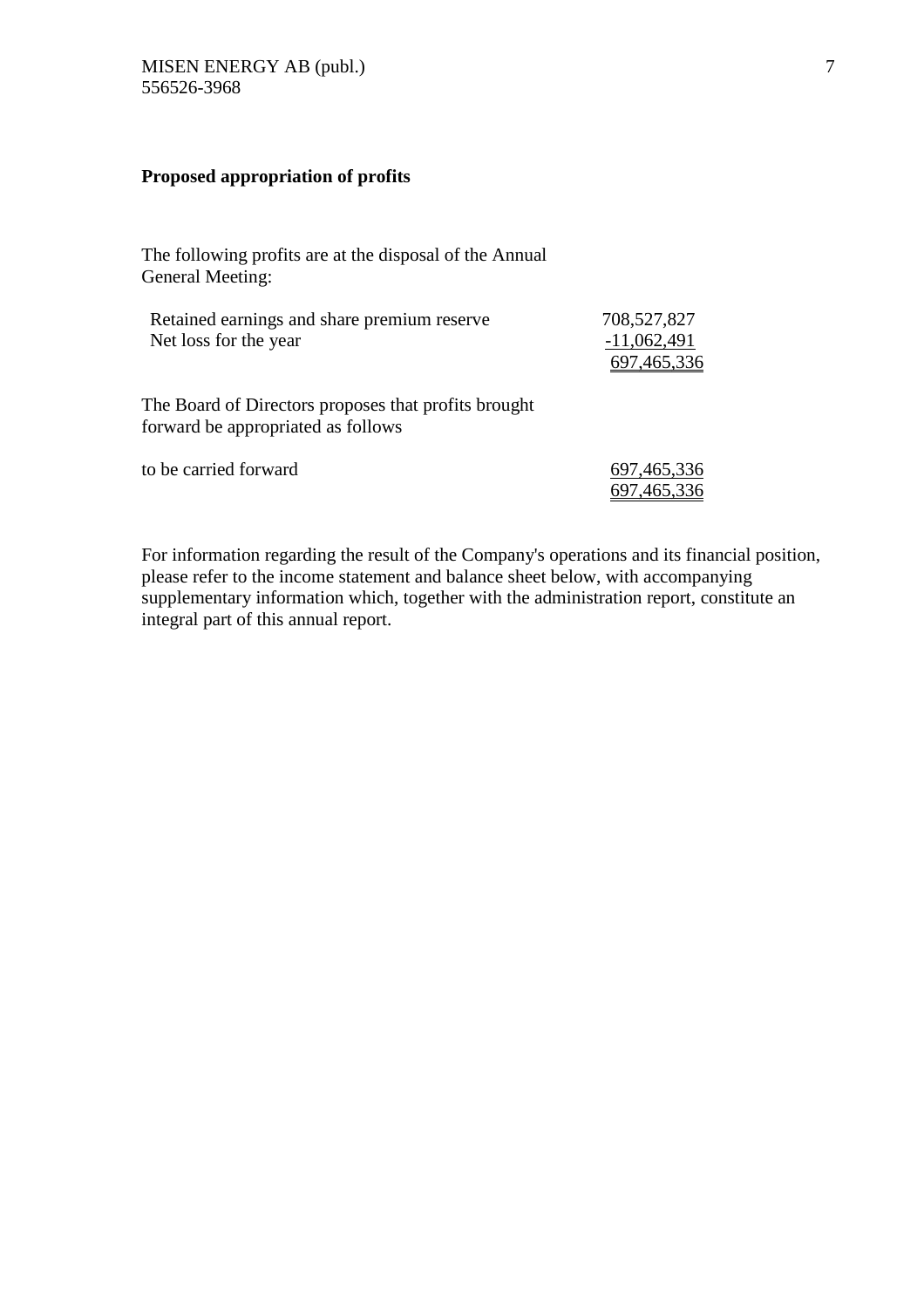# **Proposed appropriation of profits**

The following profits are at the disposal of the Annual General Meeting:

| Retained earnings and share premium reserve<br>Net loss for the year                       | 708,527,827<br>$-11,062,491$<br>697,465,336 |
|--------------------------------------------------------------------------------------------|---------------------------------------------|
| The Board of Directors proposes that profits brought<br>forward be appropriated as follows |                                             |
| to be carried forward                                                                      | 697, 465, 336<br>697, 465, 336              |

For information regarding the result of the Company's operations and its financial position, please refer to the income statement and balance sheet below, with accompanying supplementary information which, together with the administration report, constitute an integral part of this annual report.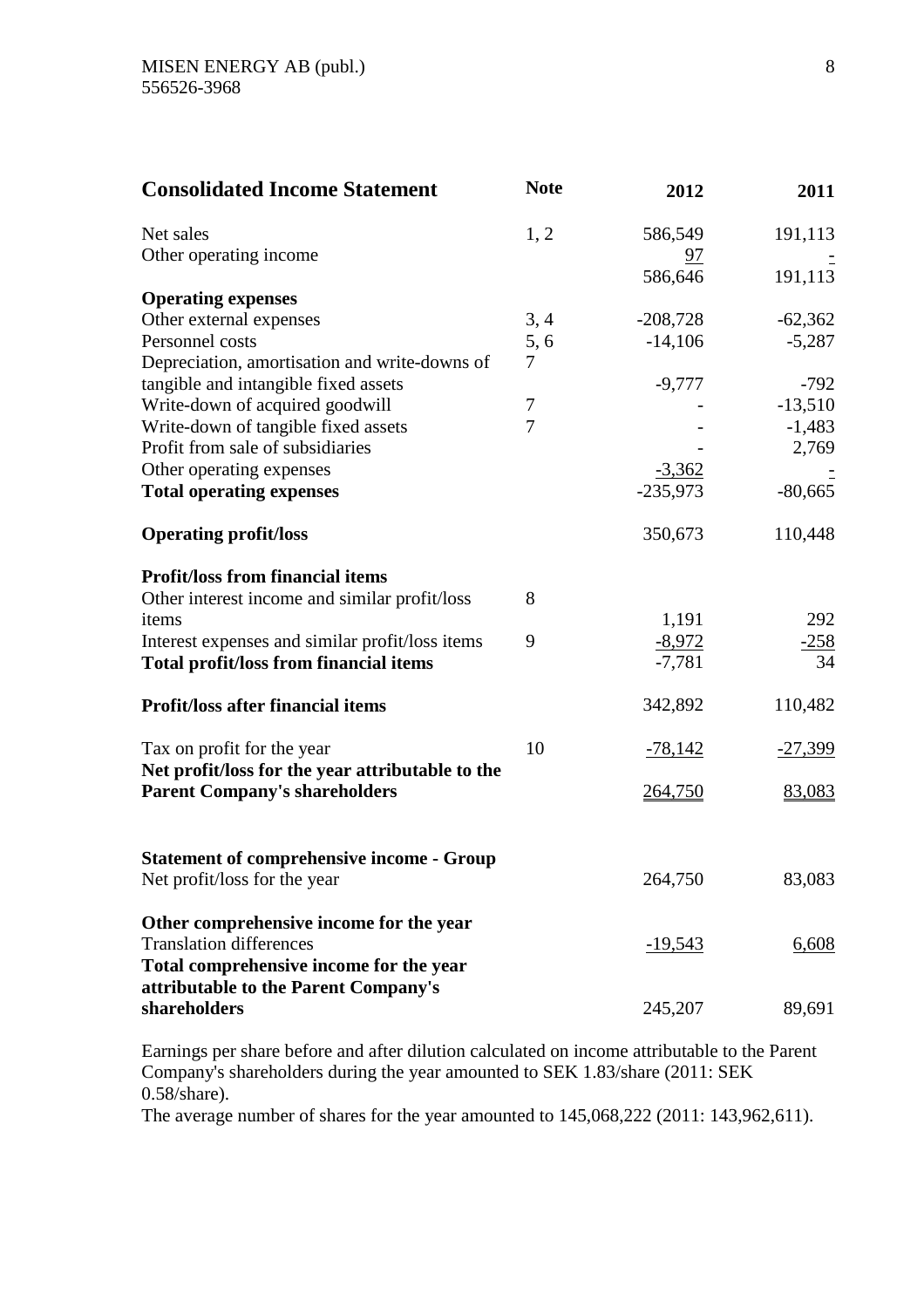| <b>Consolidated Income Statement</b>                                             | <b>Note</b>    | 2012           | 2011      |
|----------------------------------------------------------------------------------|----------------|----------------|-----------|
| Net sales                                                                        | 1, 2           | 586,549        | 191,113   |
| Other operating income                                                           |                | <u>97</u>      |           |
|                                                                                  |                | 586,646        | 191,113   |
| <b>Operating expenses</b>                                                        |                |                |           |
| Other external expenses                                                          | 3, 4           | $-208,728$     | $-62,362$ |
| Personnel costs                                                                  | 5,6            | $-14,106$      | $-5,287$  |
| Depreciation, amortisation and write-downs of                                    | 7              |                |           |
| tangible and intangible fixed assets                                             |                | $-9,777$       | $-792$    |
| Write-down of acquired goodwill                                                  | 7              |                | $-13,510$ |
| Write-down of tangible fixed assets                                              | $\overline{7}$ |                | $-1,483$  |
| Profit from sale of subsidiaries                                                 |                |                | 2,769     |
| Other operating expenses                                                         |                | $-3,362$       |           |
| <b>Total operating expenses</b>                                                  |                | $-235,973$     | $-80,665$ |
| <b>Operating profit/loss</b>                                                     |                | 350,673        | 110,448   |
| <b>Profit/loss from financial items</b>                                          |                |                |           |
| Other interest income and similar profit/loss                                    | 8              |                |           |
| items                                                                            |                | 1,191          | 292       |
| Interest expenses and similar profit/loss items                                  | 9              | $-8,972$       | $-258$    |
| <b>Total profit/loss from financial items</b>                                    |                | $-7,781$       | 34        |
| <b>Profit/loss after financial items</b>                                         |                | 342,892        | 110,482   |
| Tax on profit for the year                                                       | 10             | $-78,142$      | $-27,399$ |
| Net profit/loss for the year attributable to the                                 |                |                |           |
| <b>Parent Company's shareholders</b>                                             |                | 264,750        | 83,083    |
|                                                                                  |                |                |           |
| <b>Statement of comprehensive income - Group</b><br>Net profit/loss for the year |                | 264,750        | 83,083    |
|                                                                                  |                |                |           |
| Other comprehensive income for the year                                          |                |                |           |
| <b>Translation differences</b>                                                   |                | <u>-19,543</u> | 6,608     |
| Total comprehensive income for the year                                          |                |                |           |
| attributable to the Parent Company's                                             |                |                |           |
| shareholders                                                                     |                | 245,207        | 89,691    |

Earnings per share before and after dilution calculated on income attributable to the Parent Company's shareholders during the year amounted to SEK 1.83/share (2011: SEK 0.58/share).

The average number of shares for the year amounted to 145,068,222 (2011: 143,962,611).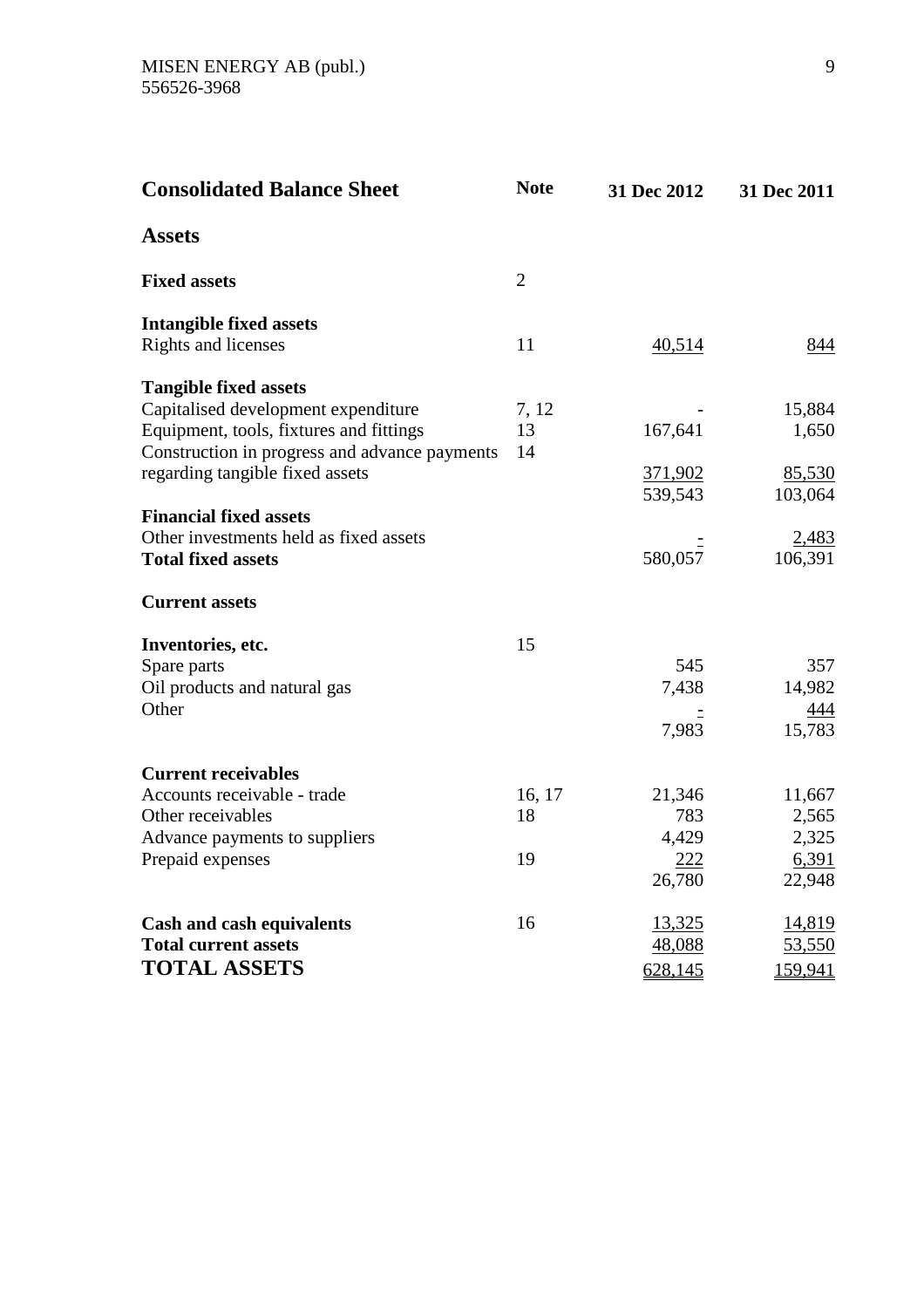| <b>Consolidated Balance Sheet</b>                                                                                               | <b>Note</b>       | 31 Dec 2012            | 31 Dec 2011              |
|---------------------------------------------------------------------------------------------------------------------------------|-------------------|------------------------|--------------------------|
| <b>Assets</b>                                                                                                                   |                   |                        |                          |
| <b>Fixed assets</b>                                                                                                             | $\overline{2}$    |                        |                          |
| <b>Intangible fixed assets</b><br>Rights and licenses                                                                           | 11                | 40,514                 | 844                      |
| <b>Tangible fixed assets</b>                                                                                                    |                   |                        |                          |
| Capitalised development expenditure<br>Equipment, tools, fixtures and fittings<br>Construction in progress and advance payments | 7, 12<br>13<br>14 | 167,641                | 15,884<br>1,650          |
| regarding tangible fixed assets                                                                                                 |                   | 371,902<br>539,543     | 85,530<br>103,064        |
| <b>Financial fixed assets</b><br>Other investments held as fixed assets<br><b>Total fixed assets</b>                            |                   | 580,057                | 2,483<br>106,391         |
| <b>Current assets</b>                                                                                                           |                   |                        |                          |
| Inventories, etc.                                                                                                               | 15                |                        |                          |
| Spare parts<br>Oil products and natural gas<br>Other                                                                            |                   | 545<br>7,438           | 357<br>14,982            |
|                                                                                                                                 |                   | 7,983                  | 444<br>15,783            |
| <b>Current receivables</b>                                                                                                      |                   |                        |                          |
| Accounts receivable - trade<br>Other receivables                                                                                | 16, 17<br>18      | 21,346<br>783          | 11,667<br>2,565          |
| Advance payments to suppliers<br>Prepaid expenses                                                                               | 19                | 4,429<br>222<br>26,780 | 2,325<br>6,391<br>22,948 |
| <b>Cash and cash equivalents</b><br><b>Total current assets</b>                                                                 | 16                | 13,325<br>48,088       | 14,819<br>53,550         |
| <b>TOTAL ASSETS</b>                                                                                                             |                   | 628,145                | 159,941                  |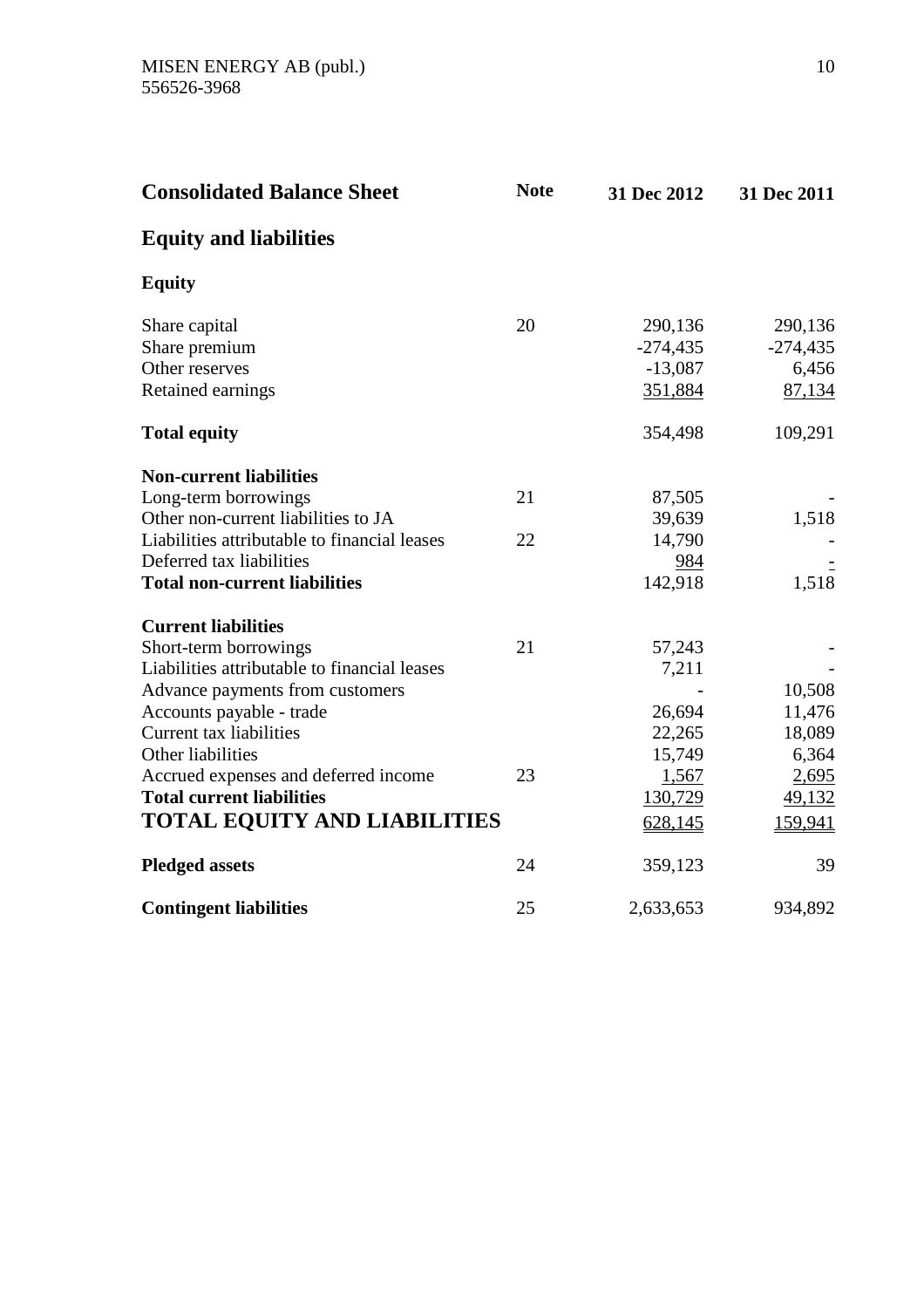| <b>Consolidated Balance Sheet</b>            | <b>Note</b> | 31 Dec 2012 | 31 Dec 2011   |
|----------------------------------------------|-------------|-------------|---------------|
| <b>Equity and liabilities</b>                |             |             |               |
| <b>Equity</b>                                |             |             |               |
| Share capital                                | 20          | 290,136     | 290,136       |
| Share premium                                |             | $-274,435$  | $-274,435$    |
| Other reserves                               |             | $-13,087$   | 6,456         |
| Retained earnings                            |             | 351,884     | 87,134        |
| <b>Total equity</b>                          |             | 354,498     | 109,291       |
| <b>Non-current liabilities</b>               |             |             |               |
| Long-term borrowings                         | 21          | 87,505      |               |
| Other non-current liabilities to JA          |             | 39,639      | 1,518         |
| Liabilities attributable to financial leases | 22          | 14,790      |               |
| Deferred tax liabilities                     |             | 984         |               |
| <b>Total non-current liabilities</b>         |             | 142,918     | 1,518         |
| <b>Current liabilities</b>                   |             |             |               |
| Short-term borrowings                        | 21          | 57,243      |               |
| Liabilities attributable to financial leases |             | 7,211       |               |
| Advance payments from customers              |             |             | 10,508        |
| Accounts payable - trade                     |             | 26,694      | 11,476        |
| Current tax liabilities                      |             | 22,265      | 18,089        |
| Other liabilities                            |             | 15,749      | 6,364         |
| Accrued expenses and deferred income         | 23          | 1,567       | 2,695         |
| <b>Total current liabilities</b>             |             | 130,729     | <u>49,132</u> |
| <b>TOTAL EQUITY AND LIABILITIES</b>          |             | 628,145     | 159,941       |
| <b>Pledged assets</b>                        | 24          | 359,123     | 39            |
| <b>Contingent liabilities</b>                | 25          | 2,633,653   | 934,892       |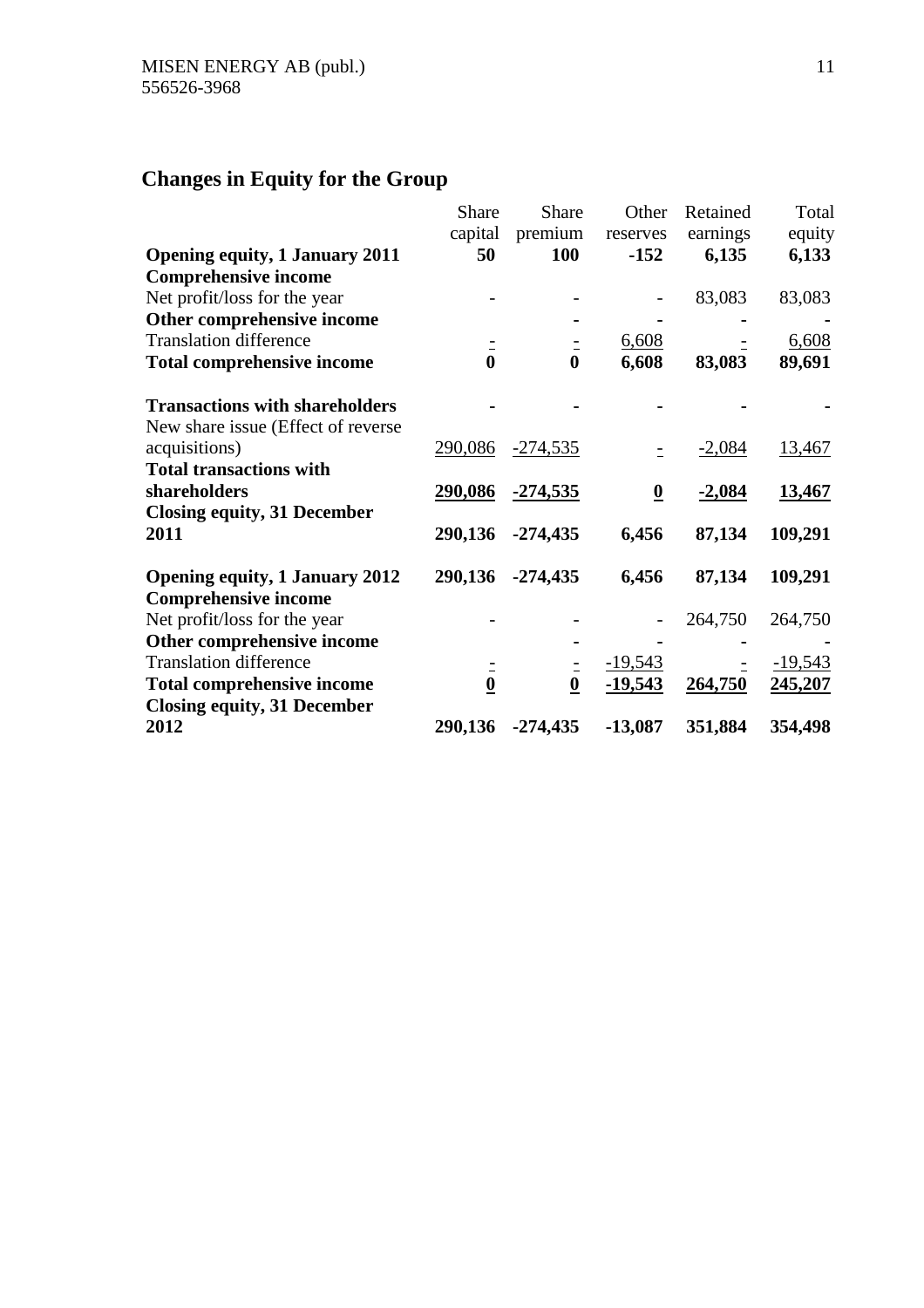# **Changes in Equity for the Group**

|                                       | Share            | Share            | Other                   | Retained | Total         |
|---------------------------------------|------------------|------------------|-------------------------|----------|---------------|
|                                       | capital          | premium          | reserves                | earnings | equity        |
| <b>Opening equity, 1 January 2011</b> | 50               | <b>100</b>       | $-152$                  | 6,135    | 6,133         |
| <b>Comprehensive income</b>           |                  |                  |                         |          |               |
| Net profit/loss for the year          |                  |                  |                         | 83,083   | 83,083        |
| Other comprehensive income            |                  |                  |                         |          |               |
| <b>Translation difference</b>         |                  |                  | 6,608                   |          | 6,608         |
| <b>Total comprehensive income</b>     | $\bar{0}$        | $\bf{0}$         | 6,608                   | 83,083   | 89,691        |
| <b>Transactions with shareholders</b> |                  |                  |                         |          |               |
| New share issue (Effect of reverse    |                  |                  |                         |          |               |
| acquisitions)                         | 290,086          | $-274,535$       |                         | $-2,084$ | <u>13,467</u> |
| <b>Total transactions with</b>        |                  |                  |                         |          |               |
| shareholders                          | 290,086          | <u>-274,535</u>  | $\overline{\mathbf{0}}$ | $-2,084$ | <u>13,467</u> |
| <b>Closing equity, 31 December</b>    |                  |                  |                         |          |               |
| 2011                                  | 290,136          | $-274,435$       | 6,456                   | 87,134   | 109,291       |
| <b>Opening equity, 1 January 2012</b> | 290,136          | $-274,435$       | 6,456                   | 87,134   | 109,291       |
| <b>Comprehensive income</b>           |                  |                  |                         |          |               |
| Net profit/loss for the year          |                  |                  |                         | 264,750  | 264,750       |
| Other comprehensive income            |                  |                  |                         |          |               |
| <b>Translation difference</b>         |                  |                  | $-19,543$               |          | $-19,543$     |
| <b>Total comprehensive income</b>     | $\boldsymbol{0}$ | $\boldsymbol{0}$ | $-19,543$               | 264,750  | 245,207       |
| <b>Closing equity, 31 December</b>    |                  |                  |                         |          |               |
| 2012                                  | 290,136          | $-274,435$       | $-13,087$               | 351,884  | 354,498       |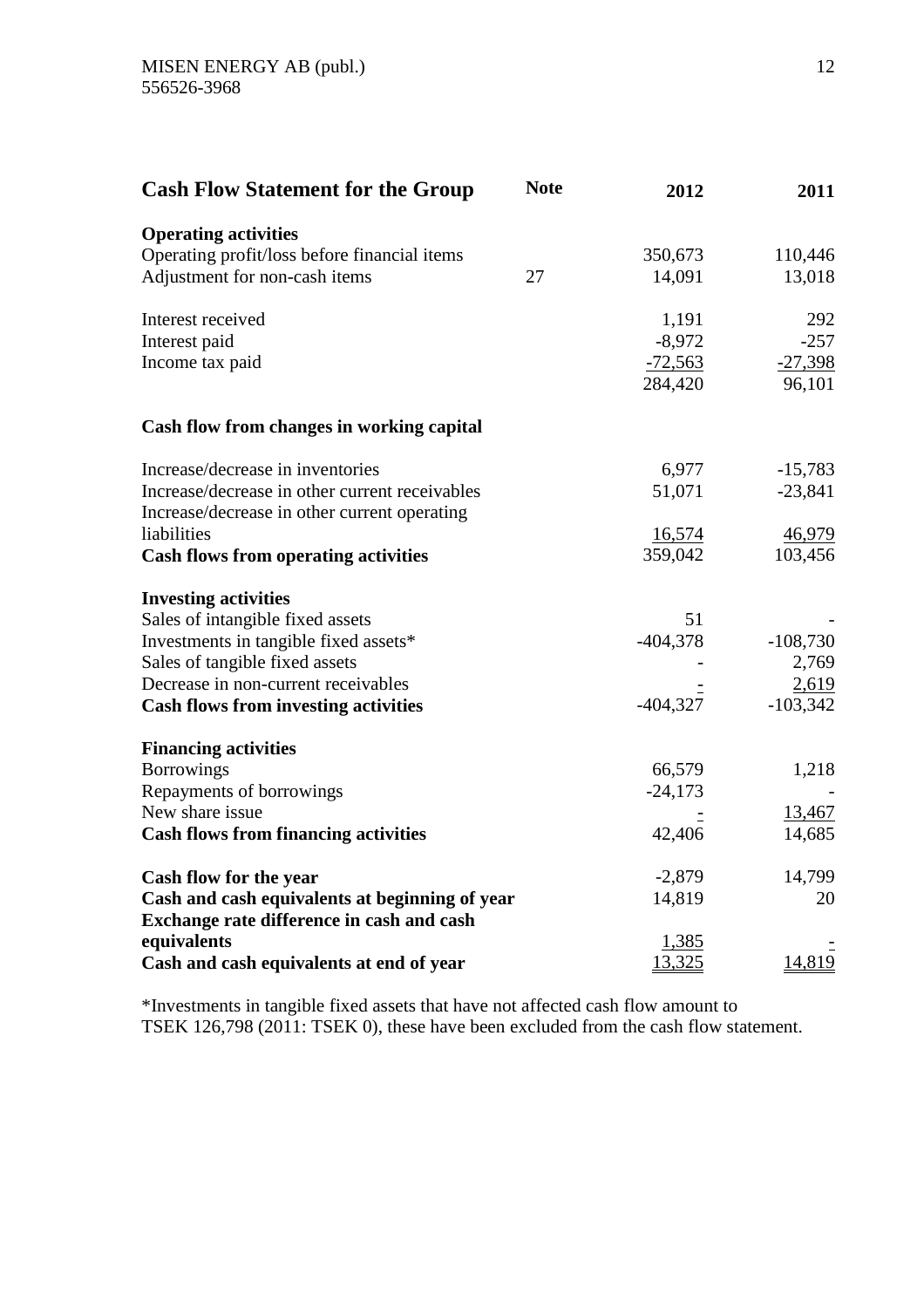| <b>Cash Flow Statement for the Group</b>       | <b>Note</b> | 2012       | 2011       |
|------------------------------------------------|-------------|------------|------------|
| <b>Operating activities</b>                    |             |            |            |
| Operating profit/loss before financial items   |             | 350,673    | 110,446    |
| Adjustment for non-cash items                  | 27          | 14,091     | 13,018     |
| Interest received                              |             | 1,191      | 292        |
| Interest paid                                  |             | $-8,972$   | $-257$     |
| Income tax paid                                |             | $-72,563$  | $-27,398$  |
|                                                |             | 284,420    | 96,101     |
| Cash flow from changes in working capital      |             |            |            |
| Increase/decrease in inventories               |             | 6,977      | $-15,783$  |
| Increase/decrease in other current receivables |             | 51,071     | $-23,841$  |
| Increase/decrease in other current operating   |             |            |            |
| liabilities                                    |             | 16,574     | 46,979     |
| <b>Cash flows from operating activities</b>    |             | 359,042    | 103,456    |
| <b>Investing activities</b>                    |             |            |            |
| Sales of intangible fixed assets               |             | 51         |            |
| Investments in tangible fixed assets*          |             | $-404,378$ | $-108,730$ |
| Sales of tangible fixed assets                 |             |            | 2,769      |
| Decrease in non-current receivables            |             |            | 2,619      |
| <b>Cash flows from investing activities</b>    |             | $-404,327$ | $-103,342$ |
| <b>Financing activities</b>                    |             |            |            |
| <b>Borrowings</b>                              |             | 66,579     | 1,218      |
| Repayments of borrowings                       |             | $-24,173$  |            |
| New share issue                                |             |            | 13,467     |
| <b>Cash flows from financing activities</b>    |             | 42,406     | 14,685     |
| Cash flow for the year                         |             | $-2,879$   | 14,799     |
| Cash and cash equivalents at beginning of year |             | 14,819     | 20         |
| Exchange rate difference in cash and cash      |             |            |            |
| equivalents                                    |             | 1,385      |            |
| Cash and cash equivalents at end of year       |             | 13,325     | 14,819     |

\*Investments in tangible fixed assets that have not affected cash flow amount to TSEK 126,798 (2011: TSEK 0), these have been excluded from the cash flow statement.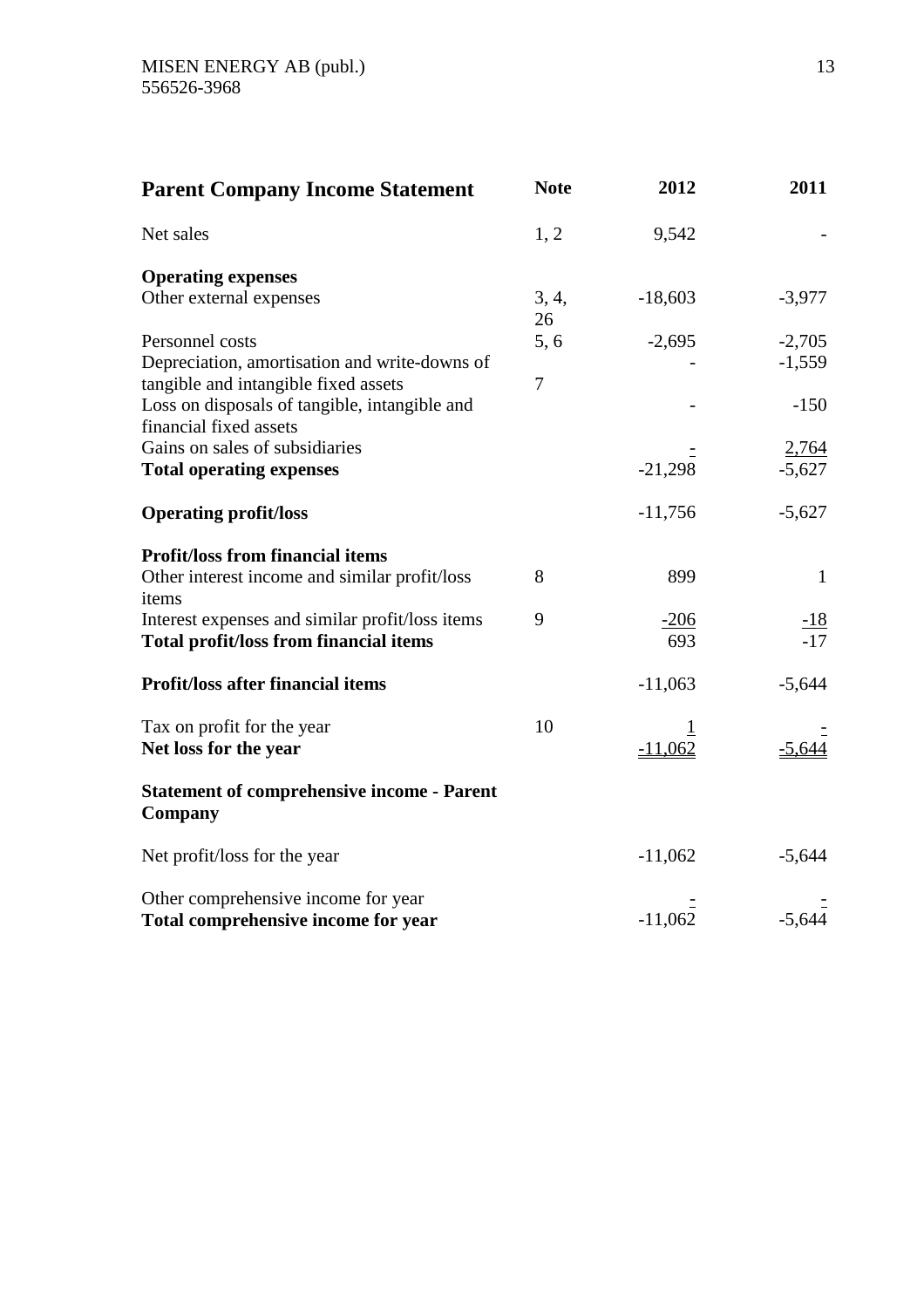| <b>Parent Company Income Statement</b>                       | <b>Note</b>    | 2012      | 2011              |
|--------------------------------------------------------------|----------------|-----------|-------------------|
| Net sales                                                    | 1, 2           | 9,542     |                   |
| <b>Operating expenses</b>                                    |                |           |                   |
| Other external expenses                                      | 3, 4,<br>26    | $-18,603$ | $-3,977$          |
| Personnel costs                                              | 5,6            | $-2,695$  | $-2,705$          |
| Depreciation, amortisation and write-downs of                |                |           | $-1,559$          |
| tangible and intangible fixed assets                         | $\overline{7}$ |           |                   |
| Loss on disposals of tangible, intangible and                |                |           | $-150$            |
| financial fixed assets                                       |                |           |                   |
| Gains on sales of subsidiaries                               |                |           | 2,764             |
| <b>Total operating expenses</b>                              |                | $-21,298$ | $-5,627$          |
| <b>Operating profit/loss</b>                                 |                | $-11,756$ | $-5,627$          |
| <b>Profit/loss from financial items</b>                      |                |           |                   |
| Other interest income and similar profit/loss                | 8              | 899       | $\mathbf{1}$      |
| items                                                        |                |           |                   |
| Interest expenses and similar profit/loss items              | 9              | $-206$    | $\frac{-18}{-17}$ |
| <b>Total profit/loss from financial items</b>                |                | 693       |                   |
| <b>Profit/loss after financial items</b>                     |                | $-11,063$ | $-5,644$          |
| Tax on profit for the year                                   | 10             |           |                   |
| Net loss for the year                                        |                | $-11,062$ | $-5,644$          |
| <b>Statement of comprehensive income - Parent</b><br>Company |                |           |                   |
| Net profit/loss for the year                                 |                | $-11,062$ | $-5,644$          |
| Other comprehensive income for year                          |                |           |                   |
| Total comprehensive income for year                          |                | $-11,062$ | $-5,644$          |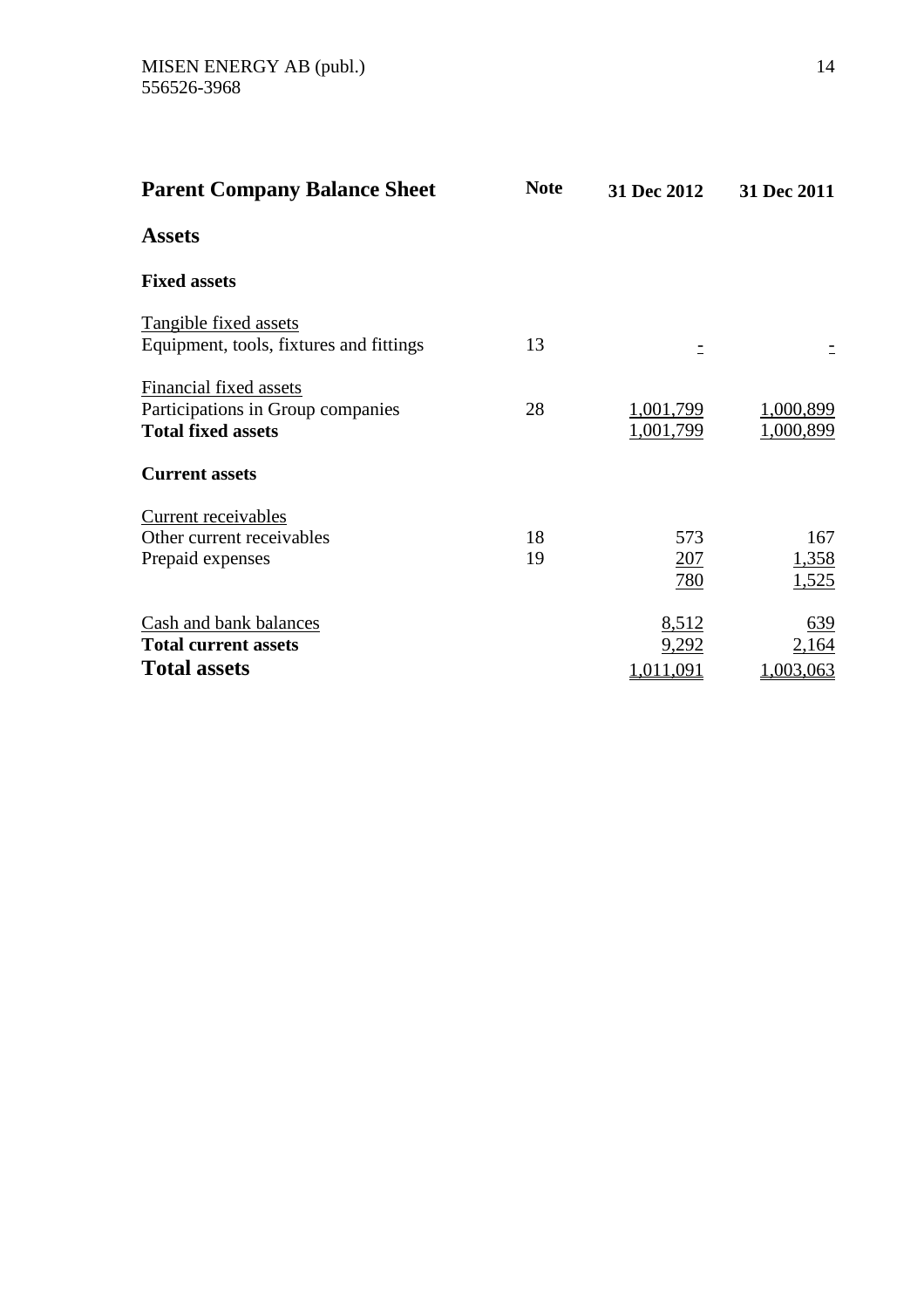| <b>Parent Company Balance Sheet</b>                                                      | <b>Note</b> | 31 Dec 2012                 | 31 Dec 2011               |
|------------------------------------------------------------------------------------------|-------------|-----------------------------|---------------------------|
| <b>Assets</b>                                                                            |             |                             |                           |
| <b>Fixed assets</b>                                                                      |             |                             |                           |
| Tangible fixed assets<br>Equipment, tools, fixtures and fittings                         | 13          |                             |                           |
| Financial fixed assets<br>Participations in Group companies<br><b>Total fixed assets</b> | 28          | 1,001,799<br>1,001,799      | 1,000,899<br>1,000,899    |
| <b>Current assets</b>                                                                    |             |                             |                           |
| Current receivables<br>Other current receivables<br>Prepaid expenses                     | 18<br>19    | 573<br>207<br>780           | 167<br>1,358<br>1,525     |
| Cash and bank balances<br><b>Total current assets</b><br><b>Total assets</b>             |             | 8,512<br>9,292<br>1,011,091 | 639<br>2,164<br>1,003,063 |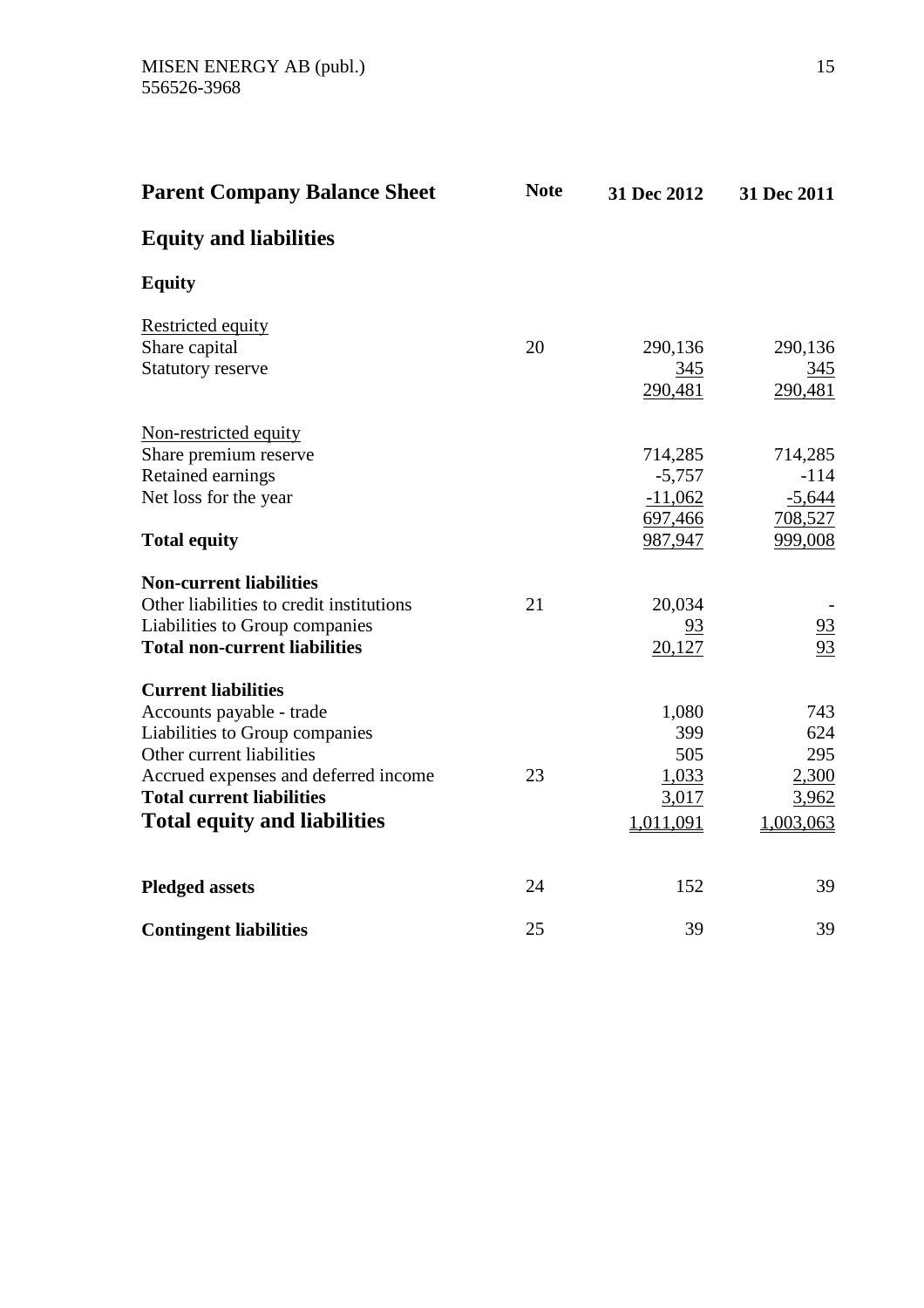| <b>Parent Company Balance Sheet</b>                                                                                                                                                                                                      | <b>Note</b> | 31 Dec 2012                                            | 31 Dec 2011                                         |
|------------------------------------------------------------------------------------------------------------------------------------------------------------------------------------------------------------------------------------------|-------------|--------------------------------------------------------|-----------------------------------------------------|
| <b>Equity and liabilities</b>                                                                                                                                                                                                            |             |                                                        |                                                     |
| <b>Equity</b>                                                                                                                                                                                                                            |             |                                                        |                                                     |
| <b>Restricted equity</b><br>Share capital<br><b>Statutory reserve</b>                                                                                                                                                                    | 20          | 290,136<br>345<br>290,481                              | 290,136<br>345<br>290,481                           |
| Non-restricted equity<br>Share premium reserve<br>Retained earnings<br>Net loss for the year<br><b>Total equity</b>                                                                                                                      |             | 714,285<br>$-5,757$<br>$-11,062$<br>697,466<br>987,947 | 714,285<br>$-114$<br>$-5,644$<br>708,527<br>999,008 |
| <b>Non-current liabilities</b><br>Other liabilities to credit institutions<br>Liabilities to Group companies<br><b>Total non-current liabilities</b>                                                                                     | 21          | 20,034<br>93<br>20,127                                 | $\frac{93}{93}$                                     |
| <b>Current liabilities</b><br>Accounts payable - trade<br>Liabilities to Group companies<br>Other current liabilities<br>Accrued expenses and deferred income<br><b>Total current liabilities</b><br><b>Total equity and liabilities</b> | 23          | 1,080<br>399<br>505<br>1,033<br>3,017<br>1,011,091     | 743<br>624<br>295<br>2,300<br>3,962<br>1,003,063    |
| <b>Pledged assets</b>                                                                                                                                                                                                                    | 24          | 152                                                    | 39                                                  |
| <b>Contingent liabilities</b>                                                                                                                                                                                                            | 25          | 39                                                     | 39                                                  |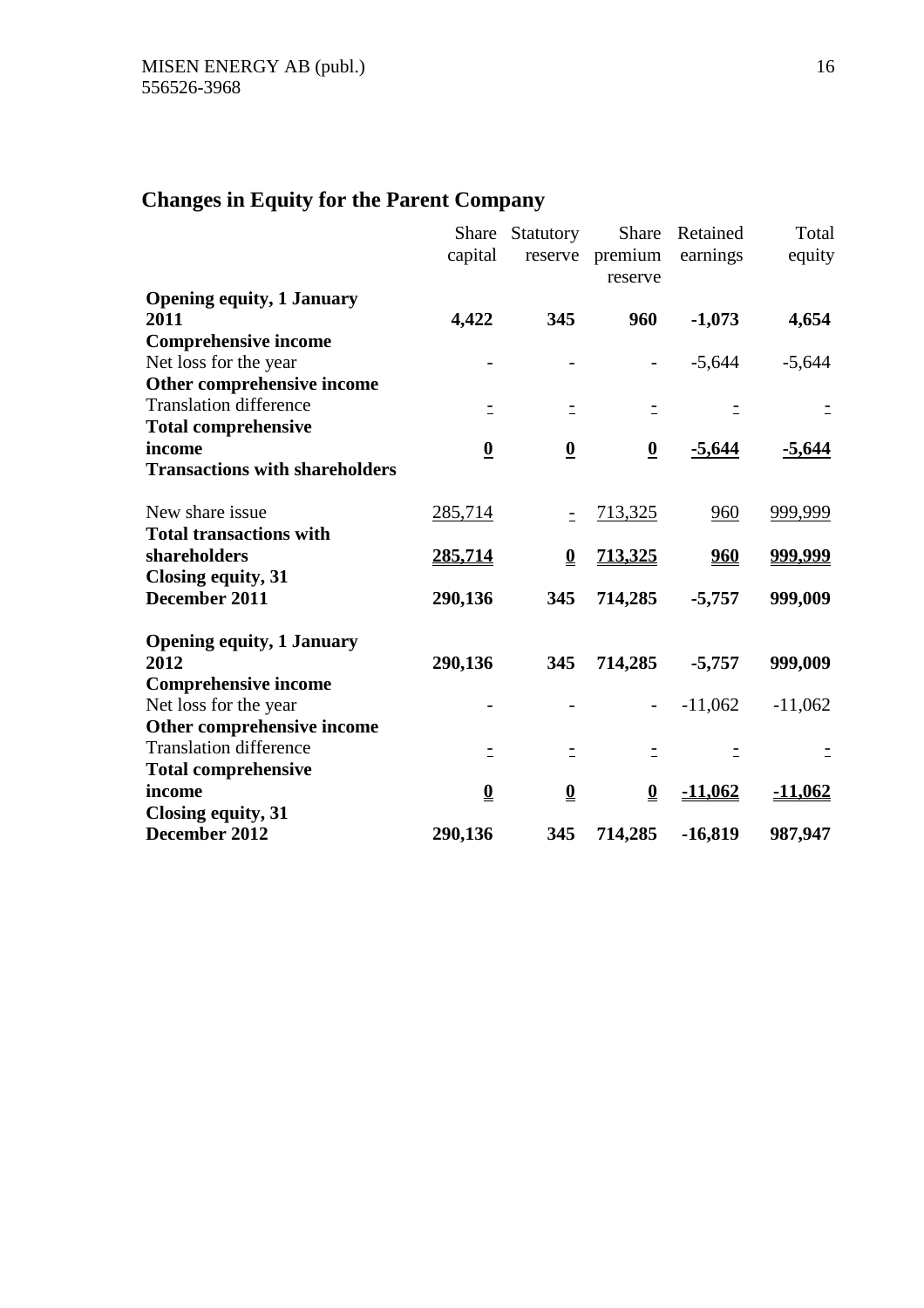# **Changes in Equity for the Parent Company**

|                                       | Share<br>capital         | Statutory                | Share<br>reserve premium<br>reserve | Retained<br>earnings | Total<br>equity |
|---------------------------------------|--------------------------|--------------------------|-------------------------------------|----------------------|-----------------|
| <b>Opening equity, 1 January</b>      |                          |                          |                                     |                      |                 |
| 2011                                  | 4,422                    | 345                      | 960                                 | $-1,073$             | 4,654           |
| <b>Comprehensive income</b>           |                          |                          |                                     |                      |                 |
| Net loss for the year                 |                          |                          |                                     | $-5,644$             | $-5,644$        |
| Other comprehensive income            |                          |                          |                                     |                      |                 |
| <b>Translation difference</b>         | Ξ                        | Ξ                        |                                     |                      |                 |
| <b>Total comprehensive</b>            |                          |                          |                                     |                      |                 |
| income                                | $\boldsymbol{0}$         | $\underline{\mathbf{0}}$ | $\overline{\mathbf{0}}$             | $-5,644$             | $-5,644$        |
| <b>Transactions with shareholders</b> |                          |                          |                                     |                      |                 |
| New share issue                       | 285,714                  | Ξ                        | 713,325                             | 960                  | 999,999         |
| <b>Total transactions with</b>        |                          |                          |                                     |                      |                 |
| shareholders                          | 285,714                  | $\underline{\mathbf{0}}$ | <u>713,325</u>                      | <u>960</u>           | <u>999,999</u>  |
| Closing equity, 31                    |                          |                          |                                     |                      |                 |
| December 2011                         | 290,136                  | 345                      | 714,285                             | $-5,757$             | 999,009         |
| <b>Opening equity, 1 January</b>      |                          |                          |                                     |                      |                 |
| 2012                                  | 290,136                  | 345                      | 714,285                             | $-5,757$             | 999,009         |
| <b>Comprehensive income</b>           |                          |                          |                                     |                      |                 |
| Net loss for the year                 |                          |                          |                                     | $-11,062$            | $-11,062$       |
| Other comprehensive income            |                          |                          |                                     |                      |                 |
| <b>Translation difference</b>         | Ξ                        | $\equiv$                 | Ξ                                   |                      |                 |
| <b>Total comprehensive</b>            |                          |                          |                                     |                      |                 |
| income                                | $\underline{\mathbf{0}}$ | $\overline{\mathbf{0}}$  | $\overline{\mathbf{0}}$             | <u>-11,062</u>       | <u>-11,062</u>  |
| Closing equity, 31                    |                          |                          |                                     |                      |                 |
| December 2012                         | 290,136                  | 345                      | 714,285                             | $-16,819$            | 987,947         |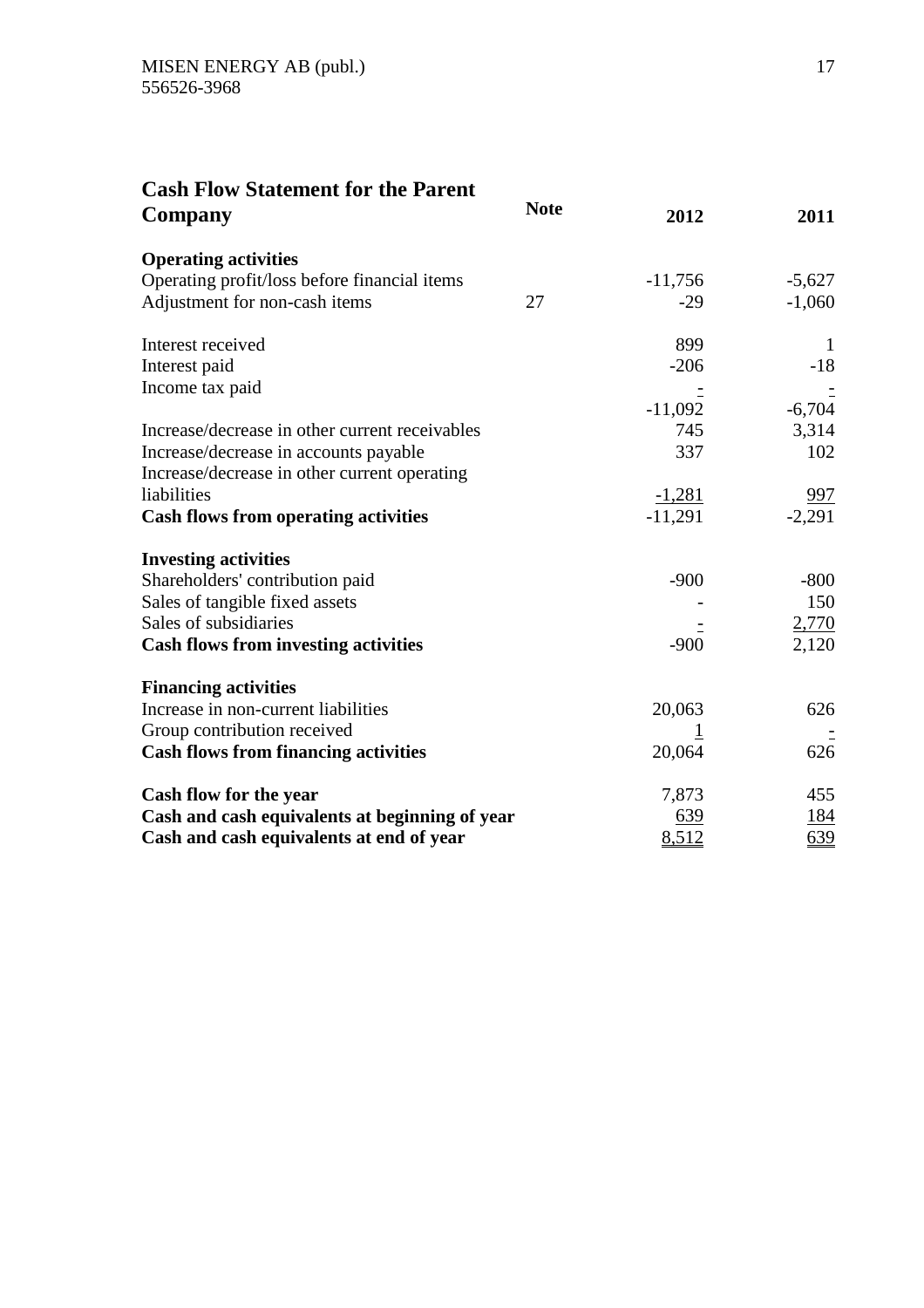# **Cash Flow Statement for the Parent**

| Company                                        | <b>Note</b> | 2012      | 2011         |
|------------------------------------------------|-------------|-----------|--------------|
| <b>Operating activities</b>                    |             |           |              |
| Operating profit/loss before financial items   |             | $-11,756$ | $-5,627$     |
| Adjustment for non-cash items                  | 27          | $-29$     | $-1,060$     |
| Interest received                              |             | 899       | $\mathbf{1}$ |
| Interest paid                                  |             | $-206$    | $-18$        |
| Income tax paid                                |             | $-11,092$ | $-6,704$     |
| Increase/decrease in other current receivables |             | 745       | 3,314        |
| Increase/decrease in accounts payable          |             | 337       | 102          |
| Increase/decrease in other current operating   |             |           |              |
| liabilities                                    |             | $-1,281$  | <u>997</u>   |
| <b>Cash flows from operating activities</b>    |             | $-11,291$ | $-2,291$     |
| <b>Investing activities</b>                    |             |           |              |
| Shareholders' contribution paid                |             | $-900$    | $-800$       |
| Sales of tangible fixed assets                 |             |           | 150          |
| Sales of subsidiaries                          |             |           | 2,770        |
| <b>Cash flows from investing activities</b>    |             | $-900$    | 2,120        |
| <b>Financing activities</b>                    |             |           |              |
| Increase in non-current liabilities            |             | 20,063    | 626          |
| Group contribution received                    |             |           |              |
| <b>Cash flows from financing activities</b>    |             | 20,064    | 626          |
| Cash flow for the year                         |             | 7,873     | 455          |
| Cash and cash equivalents at beginning of year |             | 639       | <u>184</u>   |
| Cash and cash equivalents at end of year       |             | 8,512     | 639          |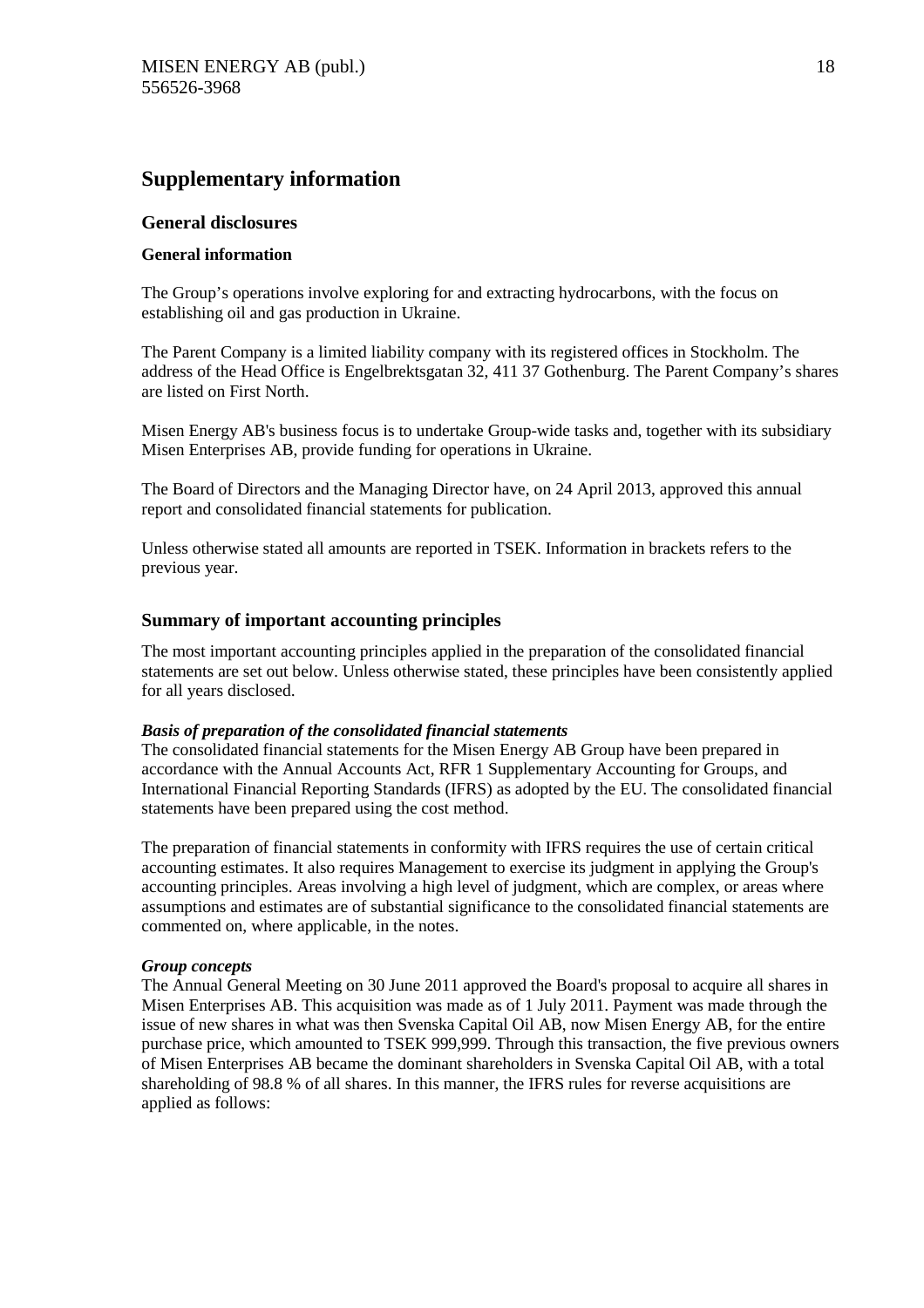# **Supplementary information**

# **General disclosures**

# **General information**

The Group's operations involve exploring for and extracting hydrocarbons, with the focus on establishing oil and gas production in Ukraine.

The Parent Company is a limited liability company with its registered offices in Stockholm. The address of the Head Office is Engelbrektsgatan 32, 411 37 Gothenburg. The Parent Company's shares are listed on First North.

Misen Energy AB's business focus is to undertake Group-wide tasks and, together with its subsidiary Misen Enterprises AB, provide funding for operations in Ukraine.

The Board of Directors and the Managing Director have, on 24 April 2013, approved this annual report and consolidated financial statements for publication.

Unless otherwise stated all amounts are reported in TSEK. Information in brackets refers to the previous year.

# **Summary of important accounting principles**

The most important accounting principles applied in the preparation of the consolidated financial statements are set out below. Unless otherwise stated, these principles have been consistently applied for all years disclosed.

# *Basis of preparation of the consolidated financial statements*

The consolidated financial statements for the Misen Energy AB Group have been prepared in accordance with the Annual Accounts Act, RFR 1 Supplementary Accounting for Groups, and International Financial Reporting Standards (IFRS) as adopted by the EU. The consolidated financial statements have been prepared using the cost method.

The preparation of financial statements in conformity with IFRS requires the use of certain critical accounting estimates. It also requires Management to exercise its judgment in applying the Group's accounting principles. Areas involving a high level of judgment, which are complex, or areas where assumptions and estimates are of substantial significance to the consolidated financial statements are commented on, where applicable, in the notes.

# *Group concepts*

The Annual General Meeting on 30 June 2011 approved the Board's proposal to acquire all shares in Misen Enterprises AB. This acquisition was made as of 1 July 2011. Payment was made through the issue of new shares in what was then Svenska Capital Oil AB, now Misen Energy AB, for the entire purchase price, which amounted to TSEK 999,999. Through this transaction, the five previous owners of Misen Enterprises AB became the dominant shareholders in Svenska Capital Oil AB, with a total shareholding of 98.8 % of all shares. In this manner, the IFRS rules for reverse acquisitions are applied as follows: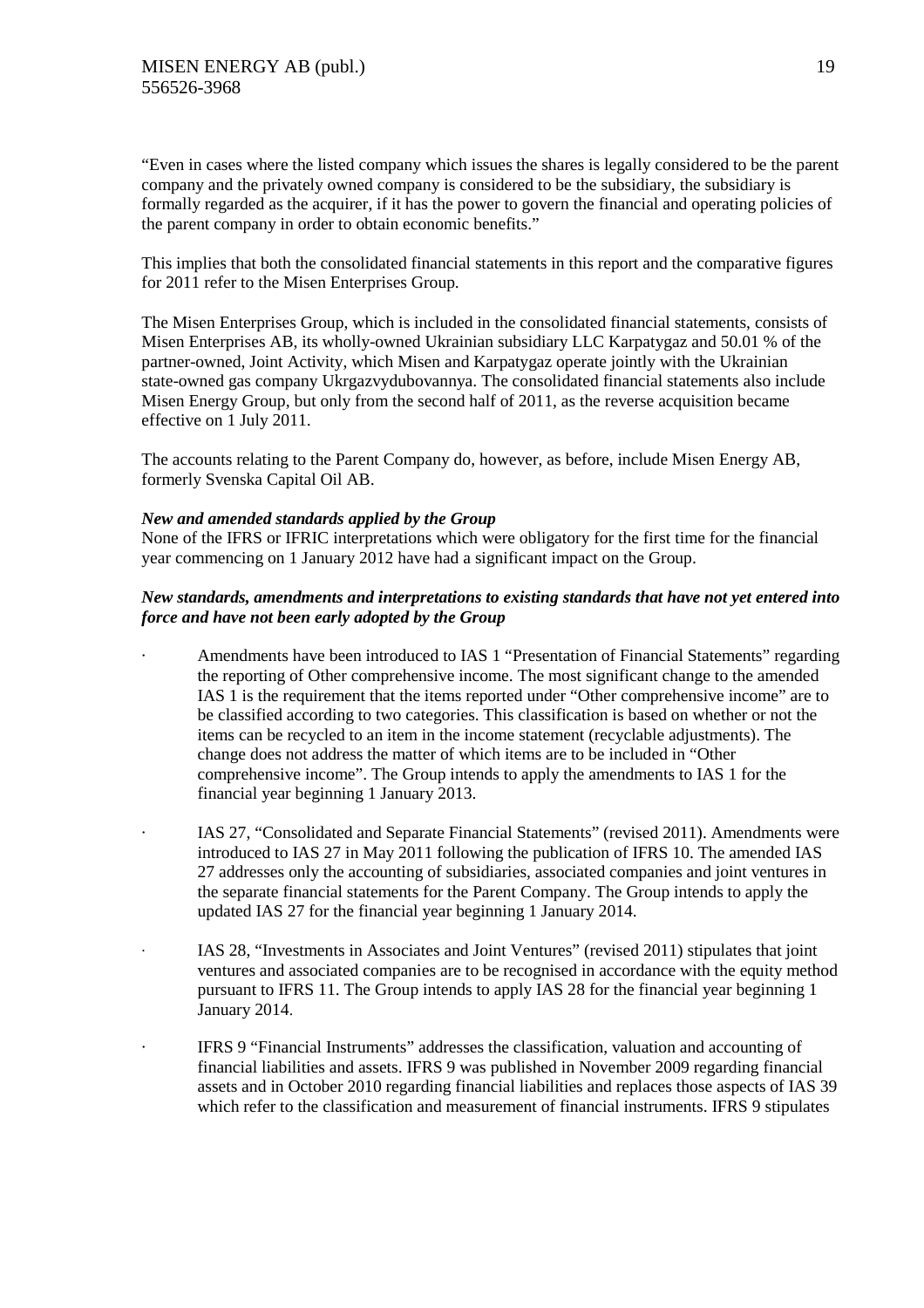"Even in cases where the listed company which issues the shares is legally considered to be the parent company and the privately owned company is considered to be the subsidiary, the subsidiary is formally regarded as the acquirer, if it has the power to govern the financial and operating policies of the parent company in order to obtain economic benefits."

This implies that both the consolidated financial statements in this report and the comparative figures for 2011 refer to the Misen Enterprises Group.

The Misen Enterprises Group, which is included in the consolidated financial statements, consists of Misen Enterprises AB, its wholly-owned Ukrainian subsidiary LLC Karpatygaz and 50.01 % of the partner-owned, Joint Activity, which Misen and Karpatygaz operate jointly with the Ukrainian state-owned gas company Ukrgazvydubovannya. The consolidated financial statements also include Misen Energy Group, but only from the second half of 2011, as the reverse acquisition became effective on 1 July 2011.

The accounts relating to the Parent Company do, however, as before, include Misen Energy AB, formerly Svenska Capital Oil AB.

#### *New and amended standards applied by the Group*

None of the IFRS or IFRIC interpretations which were obligatory for the first time for the financial year commencing on 1 January 2012 have had a significant impact on the Group.

# *New standards, amendments and interpretations to existing standards that have not yet entered into force and have not been early adopted by the Group*

- · Amendments have been introduced to IAS 1 "Presentation of Financial Statements" regarding the reporting of Other comprehensive income. The most significant change to the amended IAS 1 is the requirement that the items reported under "Other comprehensive income" are to be classified according to two categories. This classification is based on whether or not the items can be recycled to an item in the income statement (recyclable adjustments). The change does not address the matter of which items are to be included in "Other comprehensive income". The Group intends to apply the amendments to IAS 1 for the financial year beginning 1 January 2013.
- IAS 27, "Consolidated and Separate Financial Statements" (revised 2011). Amendments were introduced to IAS 27 in May 2011 following the publication of IFRS 10. The amended IAS 27 addresses only the accounting of subsidiaries, associated companies and joint ventures in the separate financial statements for the Parent Company. The Group intends to apply the updated IAS 27 for the financial year beginning 1 January 2014.
- · IAS 28, "Investments in Associates and Joint Ventures" (revised 2011) stipulates that joint ventures and associated companies are to be recognised in accordance with the equity method pursuant to IFRS 11. The Group intends to apply IAS 28 for the financial year beginning 1 January 2014.
- IFRS 9 "Financial Instruments" addresses the classification, valuation and accounting of financial liabilities and assets. IFRS 9 was published in November 2009 regarding financial assets and in October 2010 regarding financial liabilities and replaces those aspects of IAS 39 which refer to the classification and measurement of financial instruments. IFRS 9 stipulates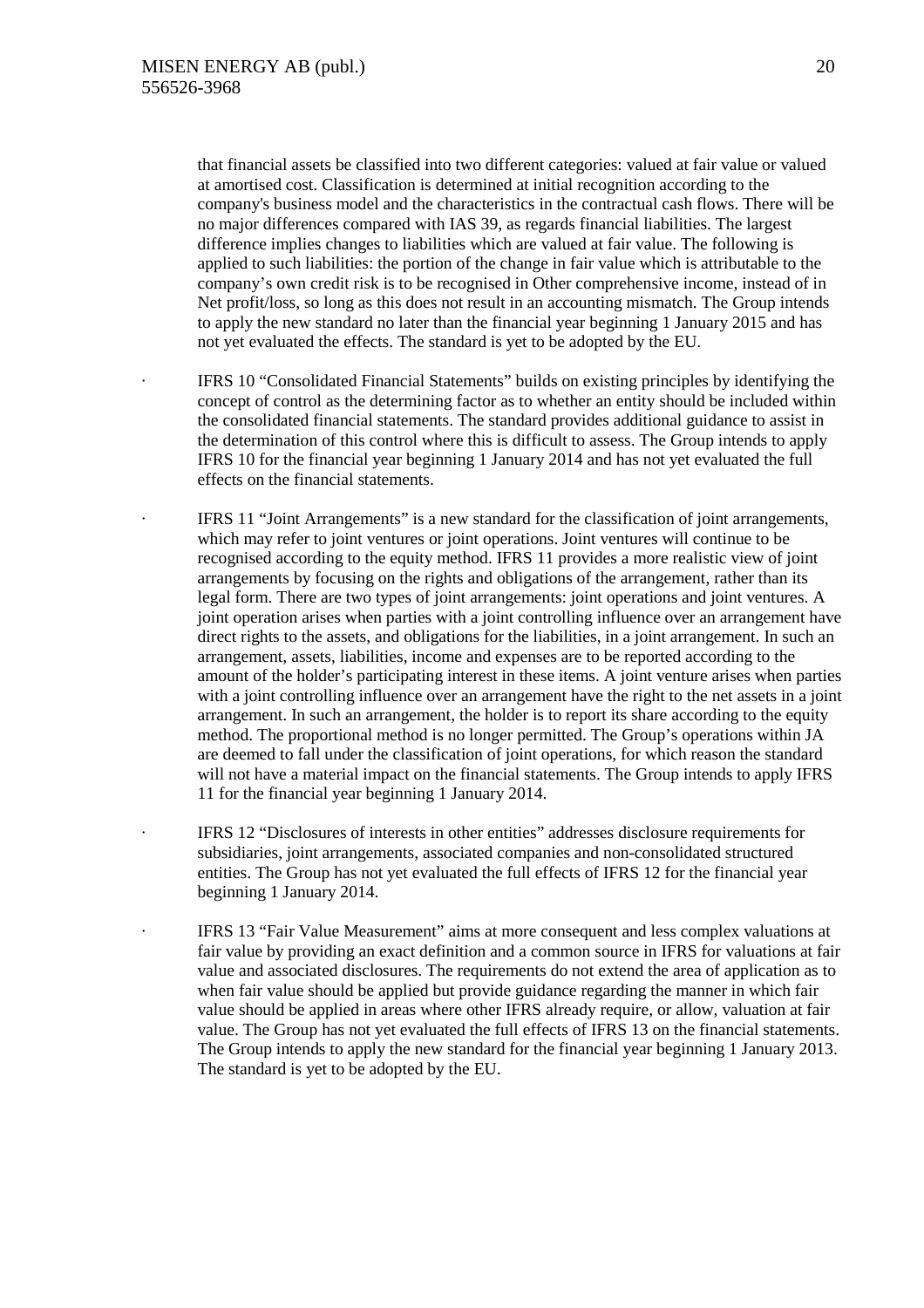that financial assets be classified into two different categories: valued at fair value or valued at amortised cost. Classification is determined at initial recognition according to the company's business model and the characteristics in the contractual cash flows. There will be no major differences compared with IAS 39, as regards financial liabilities. The largest difference implies changes to liabilities which are valued at fair value. The following is applied to such liabilities: the portion of the change in fair value which is attributable to the company's own credit risk is to be recognised in Other comprehensive income, instead of in Net profit/loss, so long as this does not result in an accounting mismatch. The Group intends to apply the new standard no later than the financial year beginning 1 January 2015 and has not yet evaluated the effects. The standard is yet to be adopted by the EU.

IFRS 10 "Consolidated Financial Statements" builds on existing principles by identifying the concept of control as the determining factor as to whether an entity should be included within the consolidated financial statements. The standard provides additional guidance to assist in the determination of this control where this is difficult to assess. The Group intends to apply IFRS 10 for the financial year beginning 1 January 2014 and has not yet evaluated the full effects on the financial statements.

· IFRS 11 "Joint Arrangements" is a new standard for the classification of joint arrangements, which may refer to joint ventures or joint operations. Joint ventures will continue to be recognised according to the equity method. IFRS 11 provides a more realistic view of joint arrangements by focusing on the rights and obligations of the arrangement, rather than its legal form. There are two types of joint arrangements: joint operations and joint ventures. A joint operation arises when parties with a joint controlling influence over an arrangement have direct rights to the assets, and obligations for the liabilities, in a joint arrangement. In such an arrangement, assets, liabilities, income and expenses are to be reported according to the amount of the holder's participating interest in these items. A joint venture arises when parties with a joint controlling influence over an arrangement have the right to the net assets in a joint arrangement. In such an arrangement, the holder is to report its share according to the equity method. The proportional method is no longer permitted. The Group's operations within JA are deemed to fall under the classification of joint operations, for which reason the standard will not have a material impact on the financial statements. The Group intends to apply IFRS 11 for the financial year beginning 1 January 2014.

IFRS 12 "Disclosures of interests in other entities" addresses disclosure requirements for subsidiaries, joint arrangements, associated companies and non-consolidated structured entities. The Group has not yet evaluated the full effects of IFRS 12 for the financial year beginning 1 January 2014.

· IFRS 13 "Fair Value Measurement" aims at more consequent and less complex valuations at fair value by providing an exact definition and a common source in IFRS for valuations at fair value and associated disclosures. The requirements do not extend the area of application as to when fair value should be applied but provide guidance regarding the manner in which fair value should be applied in areas where other IFRS already require, or allow, valuation at fair value. The Group has not yet evaluated the full effects of IFRS 13 on the financial statements. The Group intends to apply the new standard for the financial year beginning 1 January 2013. The standard is yet to be adopted by the EU.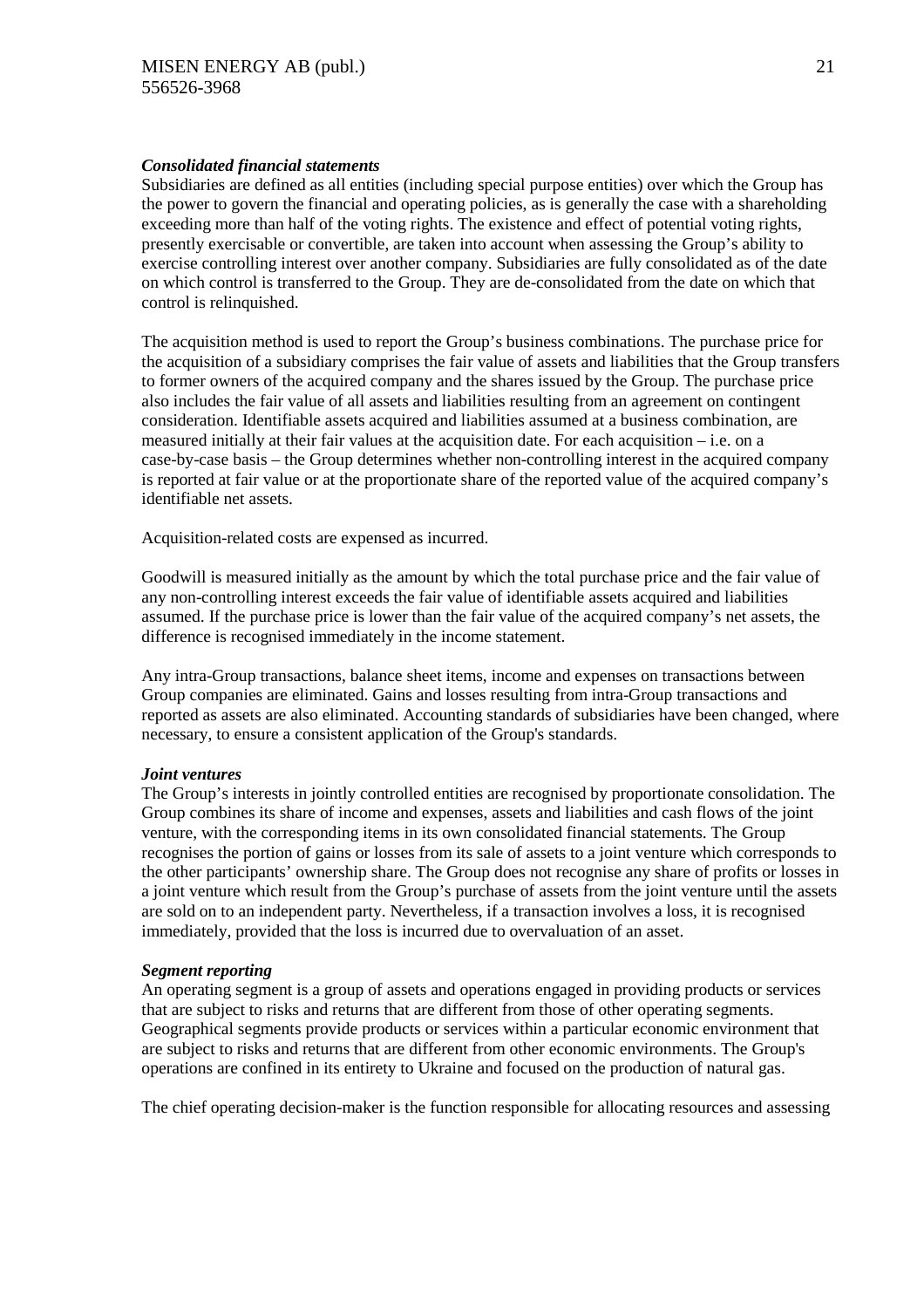#### *Consolidated financial statements*

Subsidiaries are defined as all entities (including special purpose entities) over which the Group has the power to govern the financial and operating policies, as is generally the case with a shareholding exceeding more than half of the voting rights. The existence and effect of potential voting rights, presently exercisable or convertible, are taken into account when assessing the Group's ability to exercise controlling interest over another company. Subsidiaries are fully consolidated as of the date on which control is transferred to the Group. They are de-consolidated from the date on which that control is relinquished.

The acquisition method is used to report the Group's business combinations. The purchase price for the acquisition of a subsidiary comprises the fair value of assets and liabilities that the Group transfers to former owners of the acquired company and the shares issued by the Group. The purchase price also includes the fair value of all assets and liabilities resulting from an agreement on contingent consideration. Identifiable assets acquired and liabilities assumed at a business combination, are measured initially at their fair values at the acquisition date. For each acquisition – i.e. on a case-by-case basis – the Group determines whether non-controlling interest in the acquired company is reported at fair value or at the proportionate share of the reported value of the acquired company's identifiable net assets.

Acquisition-related costs are expensed as incurred.

Goodwill is measured initially as the amount by which the total purchase price and the fair value of any non-controlling interest exceeds the fair value of identifiable assets acquired and liabilities assumed. If the purchase price is lower than the fair value of the acquired company's net assets, the difference is recognised immediately in the income statement.

Any intra-Group transactions, balance sheet items, income and expenses on transactions between Group companies are eliminated. Gains and losses resulting from intra-Group transactions and reported as assets are also eliminated. Accounting standards of subsidiaries have been changed, where necessary, to ensure a consistent application of the Group's standards.

# *Joint ventures*

The Group's interests in jointly controlled entities are recognised by proportionate consolidation. The Group combines its share of income and expenses, assets and liabilities and cash flows of the joint venture, with the corresponding items in its own consolidated financial statements. The Group recognises the portion of gains or losses from its sale of assets to a joint venture which corresponds to the other participants' ownership share. The Group does not recognise any share of profits or losses in a joint venture which result from the Group's purchase of assets from the joint venture until the assets are sold on to an independent party. Nevertheless, if a transaction involves a loss, it is recognised immediately, provided that the loss is incurred due to overvaluation of an asset.

#### *Segment reporting*

An operating segment is a group of assets and operations engaged in providing products or services that are subject to risks and returns that are different from those of other operating segments. Geographical segments provide products or services within a particular economic environment that are subject to risks and returns that are different from other economic environments. The Group's operations are confined in its entirety to Ukraine and focused on the production of natural gas.

The chief operating decision-maker is the function responsible for allocating resources and assessing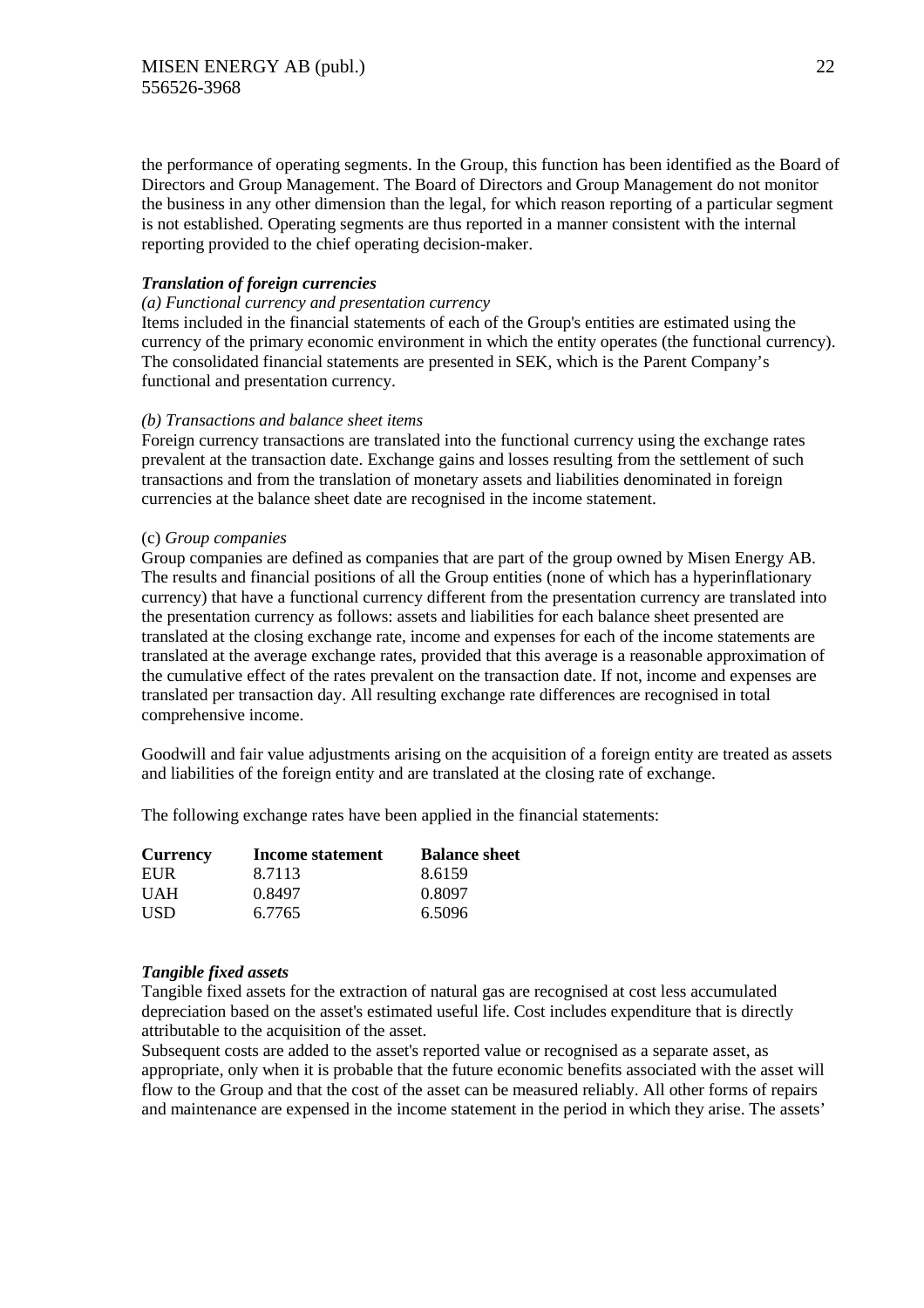the performance of operating segments. In the Group, this function has been identified as the Board of Directors and Group Management. The Board of Directors and Group Management do not monitor the business in any other dimension than the legal, for which reason reporting of a particular segment is not established. Operating segments are thus reported in a manner consistent with the internal reporting provided to the chief operating decision-maker.

# *Translation of foreign currencies*

# *(a) Functional currency and presentation currency*

Items included in the financial statements of each of the Group's entities are estimated using the currency of the primary economic environment in which the entity operates (the functional currency). The consolidated financial statements are presented in SEK, which is the Parent Company's functional and presentation currency.

#### *(b) Transactions and balance sheet items*

Foreign currency transactions are translated into the functional currency using the exchange rates prevalent at the transaction date. Exchange gains and losses resulting from the settlement of such transactions and from the translation of monetary assets and liabilities denominated in foreign currencies at the balance sheet date are recognised in the income statement.

#### (c) *Group companies*

Group companies are defined as companies that are part of the group owned by Misen Energy AB. The results and financial positions of all the Group entities (none of which has a hyperinflationary currency) that have a functional currency different from the presentation currency are translated into the presentation currency as follows: assets and liabilities for each balance sheet presented are translated at the closing exchange rate, income and expenses for each of the income statements are translated at the average exchange rates, provided that this average is a reasonable approximation of the cumulative effect of the rates prevalent on the transaction date. If not, income and expenses are translated per transaction day. All resulting exchange rate differences are recognised in total comprehensive income.

Goodwill and fair value adjustments arising on the acquisition of a foreign entity are treated as assets and liabilities of the foreign entity and are translated at the closing rate of exchange.

The following exchange rates have been applied in the financial statements:

| <b>Currency</b> | Income statement | <b>Balance sheet</b> |
|-----------------|------------------|----------------------|
| EUR             | 8.7113           | 8.6159               |
| <b>UAH</b>      | 0.8497           | 0.8097               |
| <b>USD</b>      | 6.7765           | 6.5096               |

#### *Tangible fixed assets*

Tangible fixed assets for the extraction of natural gas are recognised at cost less accumulated depreciation based on the asset's estimated useful life. Cost includes expenditure that is directly attributable to the acquisition of the asset.

Subsequent costs are added to the asset's reported value or recognised as a separate asset, as appropriate, only when it is probable that the future economic benefits associated with the asset will flow to the Group and that the cost of the asset can be measured reliably. All other forms of repairs and maintenance are expensed in the income statement in the period in which they arise. The assets'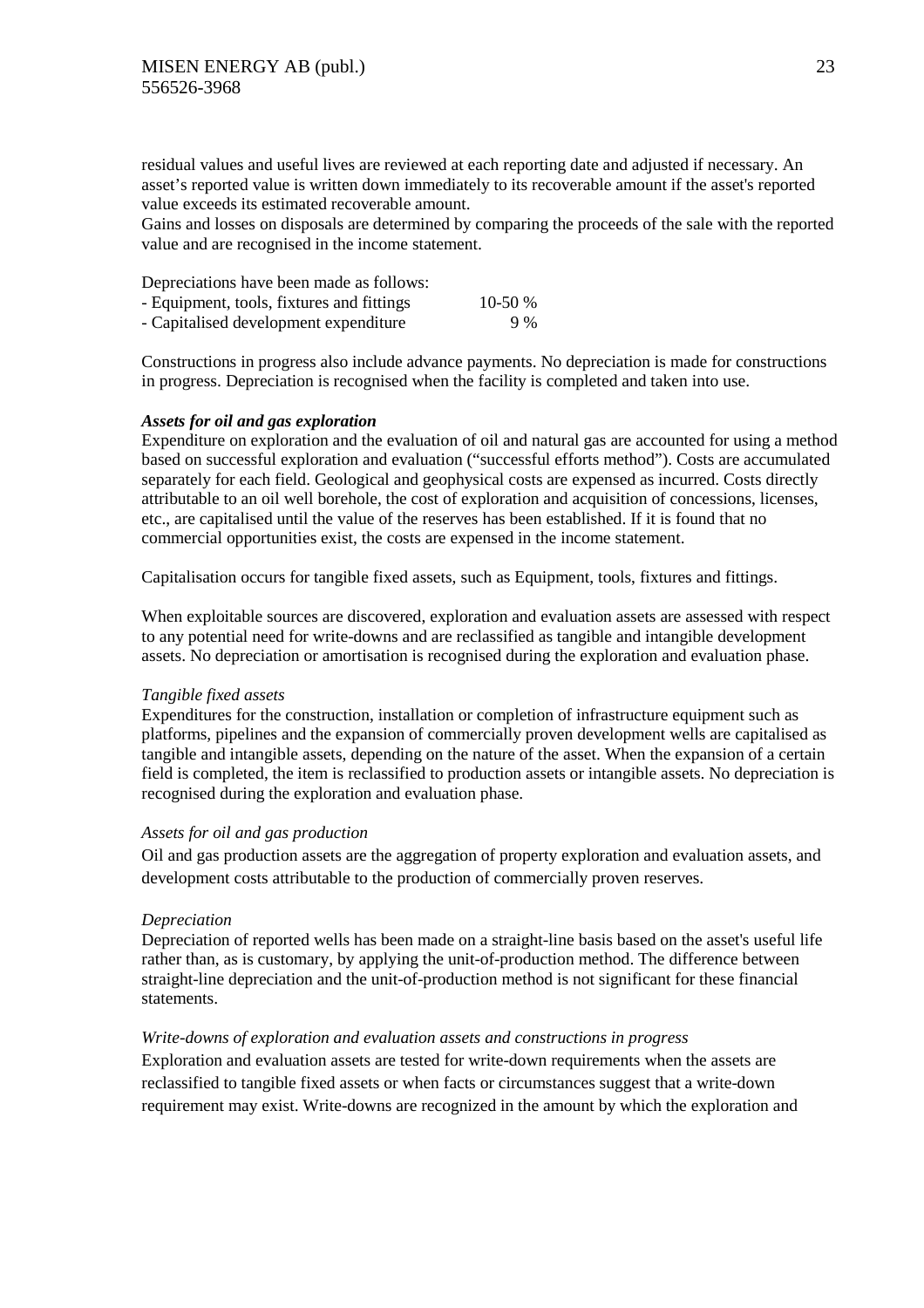residual values and useful lives are reviewed at each reporting date and adjusted if necessary. An asset's reported value is written down immediately to its recoverable amount if the asset's reported value exceeds its estimated recoverable amount.

Gains and losses on disposals are determined by comparing the proceeds of the sale with the reported value and are recognised in the income statement.

| Depreciations have been made as follows:  |           |
|-------------------------------------------|-----------|
| - Equipment, tools, fixtures and fittings | 10-50 $%$ |
| - Capitalised development expenditure     | 9%        |

Constructions in progress also include advance payments. No depreciation is made for constructions in progress. Depreciation is recognised when the facility is completed and taken into use.

#### *Assets for oil and gas exploration*

Expenditure on exploration and the evaluation of oil and natural gas are accounted for using a method based on successful exploration and evaluation ("successful efforts method"). Costs are accumulated separately for each field. Geological and geophysical costs are expensed as incurred. Costs directly attributable to an oil well borehole, the cost of exploration and acquisition of concessions, licenses, etc., are capitalised until the value of the reserves has been established. If it is found that no commercial opportunities exist, the costs are expensed in the income statement.

Capitalisation occurs for tangible fixed assets, such as Equipment, tools, fixtures and fittings.

When exploitable sources are discovered, exploration and evaluation assets are assessed with respect to any potential need for write-downs and are reclassified as tangible and intangible development assets. No depreciation or amortisation is recognised during the exploration and evaluation phase.

#### *Tangible fixed assets*

Expenditures for the construction, installation or completion of infrastructure equipment such as platforms, pipelines and the expansion of commercially proven development wells are capitalised as tangible and intangible assets, depending on the nature of the asset. When the expansion of a certain field is completed, the item is reclassified to production assets or intangible assets. No depreciation is recognised during the exploration and evaluation phase.

#### *Assets for oil and gas production*

Oil and gas production assets are the aggregation of property exploration and evaluation assets, and development costs attributable to the production of commercially proven reserves.

#### *Depreciation*

Depreciation of reported wells has been made on a straight-line basis based on the asset's useful life rather than, as is customary, by applying the unit-of-production method. The difference between straight-line depreciation and the unit-of-production method is not significant for these financial statements.

# *Write-downs of exploration and evaluation assets and constructions in progress*

Exploration and evaluation assets are tested for write-down requirements when the assets are reclassified to tangible fixed assets or when facts or circumstances suggest that a write-down requirement may exist. Write-downs are recognized in the amount by which the exploration and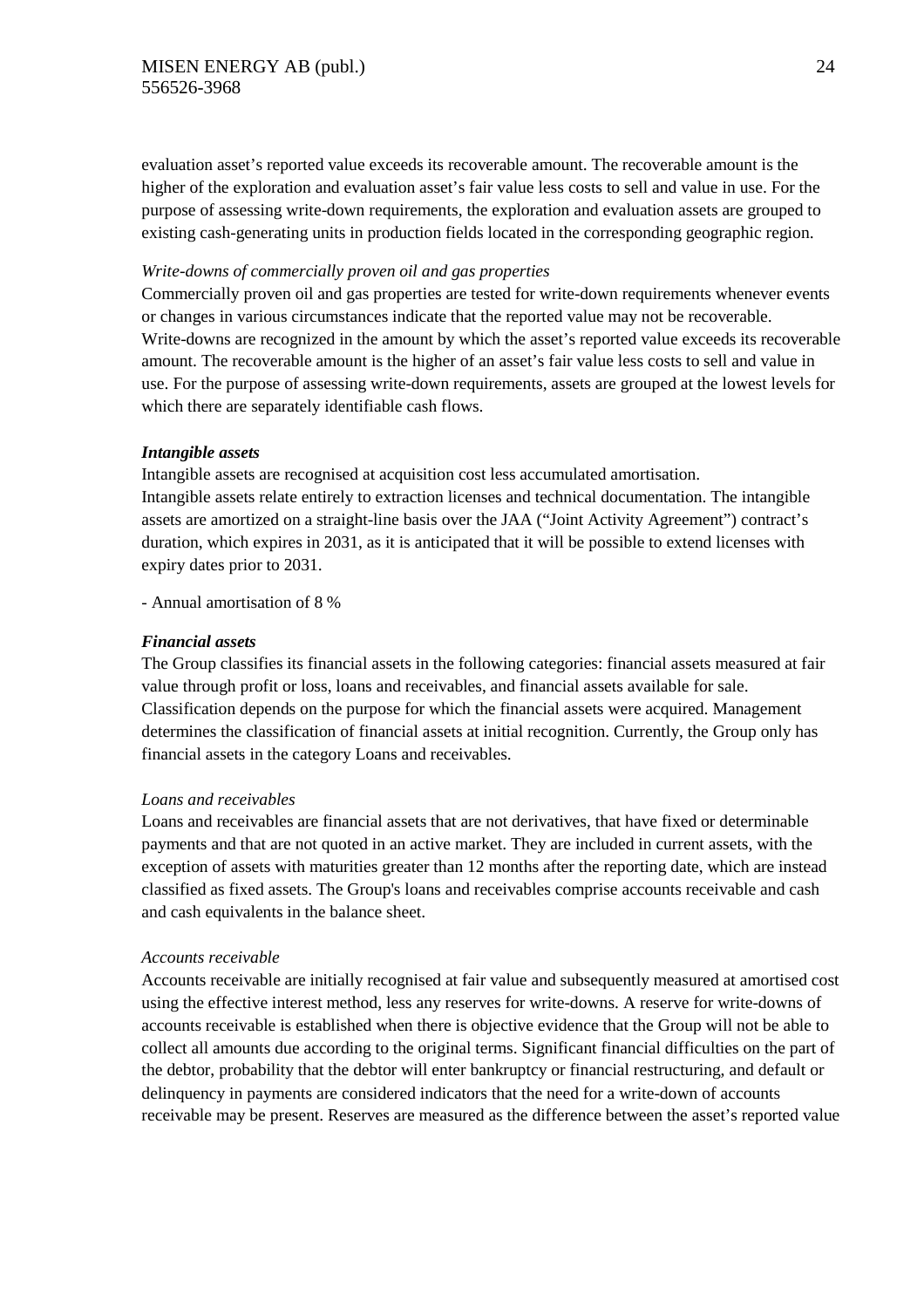evaluation asset's reported value exceeds its recoverable amount. The recoverable amount is the higher of the exploration and evaluation asset's fair value less costs to sell and value in use. For the purpose of assessing write-down requirements, the exploration and evaluation assets are grouped to existing cash-generating units in production fields located in the corresponding geographic region.

# *Write-downs of commercially proven oil and gas properties*

Commercially proven oil and gas properties are tested for write-down requirements whenever events or changes in various circumstances indicate that the reported value may not be recoverable. Write-downs are recognized in the amount by which the asset's reported value exceeds its recoverable amount. The recoverable amount is the higher of an asset's fair value less costs to sell and value in use. For the purpose of assessing write-down requirements, assets are grouped at the lowest levels for which there are separately identifiable cash flows.

#### *Intangible assets*

Intangible assets are recognised at acquisition cost less accumulated amortisation. Intangible assets relate entirely to extraction licenses and technical documentation. The intangible assets are amortized on a straight-line basis over the JAA ("Joint Activity Agreement") contract's duration, which expires in 2031, as it is anticipated that it will be possible to extend licenses with expiry dates prior to 2031.

- Annual amortisation of 8 %

#### *Financial assets*

The Group classifies its financial assets in the following categories: financial assets measured at fair value through profit or loss, loans and receivables, and financial assets available for sale. Classification depends on the purpose for which the financial assets were acquired. Management determines the classification of financial assets at initial recognition. Currently, the Group only has financial assets in the category Loans and receivables.

#### *Loans and receivables*

Loans and receivables are financial assets that are not derivatives, that have fixed or determinable payments and that are not quoted in an active market. They are included in current assets, with the exception of assets with maturities greater than 12 months after the reporting date, which are instead classified as fixed assets. The Group's loans and receivables comprise accounts receivable and cash and cash equivalents in the balance sheet.

#### *Accounts receivable*

Accounts receivable are initially recognised at fair value and subsequently measured at amortised cost using the effective interest method, less any reserves for write-downs. A reserve for write-downs of accounts receivable is established when there is objective evidence that the Group will not be able to collect all amounts due according to the original terms. Significant financial difficulties on the part of the debtor, probability that the debtor will enter bankruptcy or financial restructuring, and default or delinquency in payments are considered indicators that the need for a write-down of accounts receivable may be present. Reserves are measured as the difference between the asset's reported value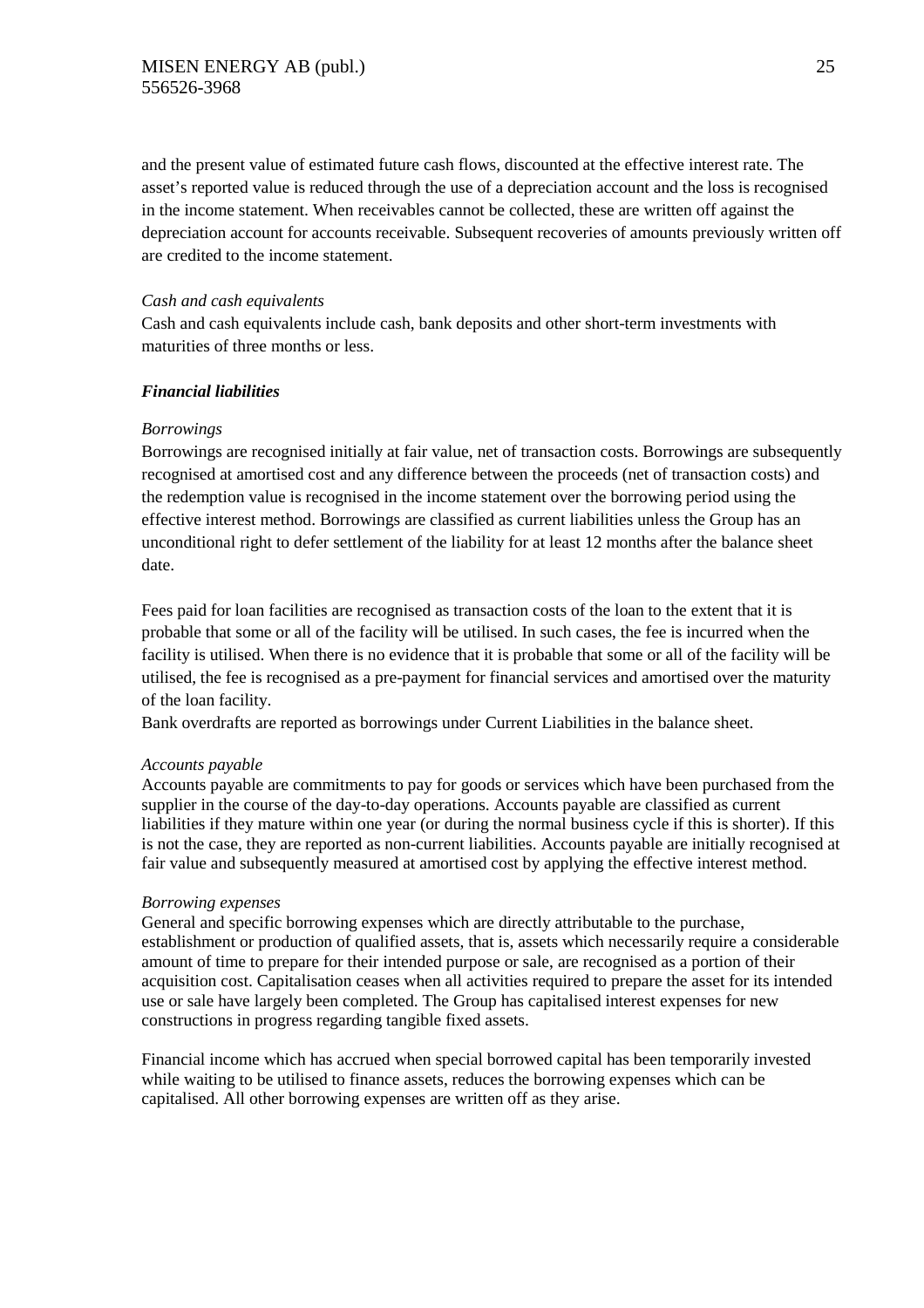and the present value of estimated future cash flows, discounted at the effective interest rate. The asset's reported value is reduced through the use of a depreciation account and the loss is recognised in the income statement. When receivables cannot be collected, these are written off against the depreciation account for accounts receivable. Subsequent recoveries of amounts previously written off are credited to the income statement.

# *Cash and cash equivalents*

Cash and cash equivalents include cash, bank deposits and other short-term investments with maturities of three months or less.

#### *Financial liabilities*

#### *Borrowings*

Borrowings are recognised initially at fair value, net of transaction costs. Borrowings are subsequently recognised at amortised cost and any difference between the proceeds (net of transaction costs) and the redemption value is recognised in the income statement over the borrowing period using the effective interest method. Borrowings are classified as current liabilities unless the Group has an unconditional right to defer settlement of the liability for at least 12 months after the balance sheet date.

Fees paid for loan facilities are recognised as transaction costs of the loan to the extent that it is probable that some or all of the facility will be utilised. In such cases, the fee is incurred when the facility is utilised. When there is no evidence that it is probable that some or all of the facility will be utilised, the fee is recognised as a pre-payment for financial services and amortised over the maturity of the loan facility.

Bank overdrafts are reported as borrowings under Current Liabilities in the balance sheet.

#### *Accounts payable*

Accounts payable are commitments to pay for goods or services which have been purchased from the supplier in the course of the day-to-day operations. Accounts payable are classified as current liabilities if they mature within one year (or during the normal business cycle if this is shorter). If this is not the case, they are reported as non-current liabilities. Accounts payable are initially recognised at fair value and subsequently measured at amortised cost by applying the effective interest method.

#### *Borrowing expenses*

General and specific borrowing expenses which are directly attributable to the purchase, establishment or production of qualified assets, that is, assets which necessarily require a considerable amount of time to prepare for their intended purpose or sale, are recognised as a portion of their acquisition cost. Capitalisation ceases when all activities required to prepare the asset for its intended use or sale have largely been completed. The Group has capitalised interest expenses for new constructions in progress regarding tangible fixed assets.

Financial income which has accrued when special borrowed capital has been temporarily invested while waiting to be utilised to finance assets, reduces the borrowing expenses which can be capitalised. All other borrowing expenses are written off as they arise.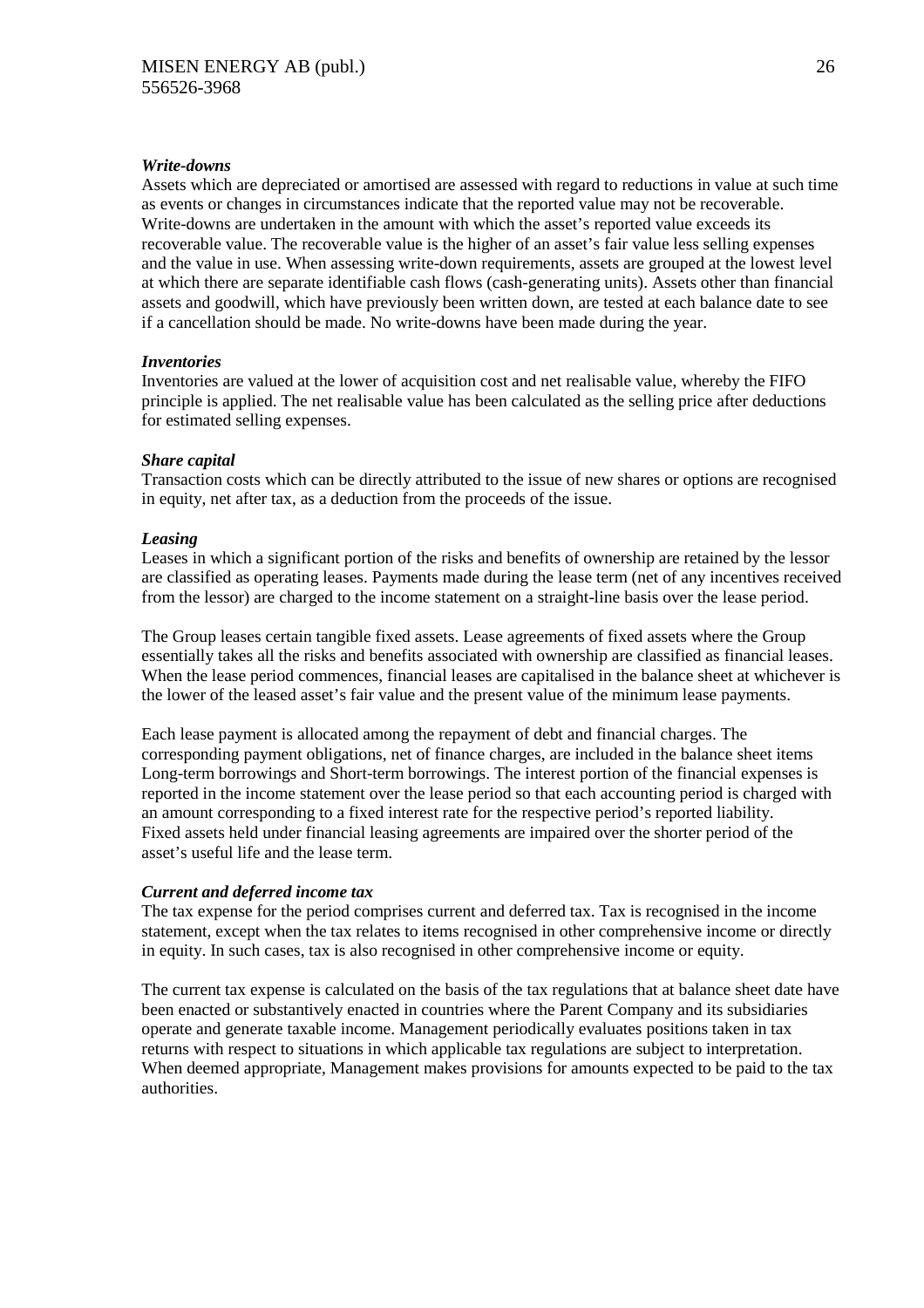#### *Write-downs*

Assets which are depreciated or amortised are assessed with regard to reductions in value at such time as events or changes in circumstances indicate that the reported value may not be recoverable. Write-downs are undertaken in the amount with which the asset's reported value exceeds its recoverable value. The recoverable value is the higher of an asset's fair value less selling expenses and the value in use. When assessing write-down requirements, assets are grouped at the lowest level at which there are separate identifiable cash flows (cash-generating units). Assets other than financial assets and goodwill, which have previously been written down, are tested at each balance date to see if a cancellation should be made. No write-downs have been made during the year.

#### *Inventories*

Inventories are valued at the lower of acquisition cost and net realisable value, whereby the FIFO principle is applied. The net realisable value has been calculated as the selling price after deductions for estimated selling expenses.

#### *Share capital*

Transaction costs which can be directly attributed to the issue of new shares or options are recognised in equity, net after tax, as a deduction from the proceeds of the issue.

#### *Leasing*

Leases in which a significant portion of the risks and benefits of ownership are retained by the lessor are classified as operating leases. Payments made during the lease term (net of any incentives received from the lessor) are charged to the income statement on a straight-line basis over the lease period.

The Group leases certain tangible fixed assets. Lease agreements of fixed assets where the Group essentially takes all the risks and benefits associated with ownership are classified as financial leases. When the lease period commences, financial leases are capitalised in the balance sheet at whichever is the lower of the leased asset's fair value and the present value of the minimum lease payments.

Each lease payment is allocated among the repayment of debt and financial charges. The corresponding payment obligations, net of finance charges, are included in the balance sheet items Long-term borrowings and Short-term borrowings. The interest portion of the financial expenses is reported in the income statement over the lease period so that each accounting period is charged with an amount corresponding to a fixed interest rate for the respective period's reported liability. Fixed assets held under financial leasing agreements are impaired over the shorter period of the asset's useful life and the lease term.

#### *Current and deferred income tax*

The tax expense for the period comprises current and deferred tax. Tax is recognised in the income statement, except when the tax relates to items recognised in other comprehensive income or directly in equity. In such cases, tax is also recognised in other comprehensive income or equity.

The current tax expense is calculated on the basis of the tax regulations that at balance sheet date have been enacted or substantively enacted in countries where the Parent Company and its subsidiaries operate and generate taxable income. Management periodically evaluates positions taken in tax returns with respect to situations in which applicable tax regulations are subject to interpretation. When deemed appropriate, Management makes provisions for amounts expected to be paid to the tax authorities.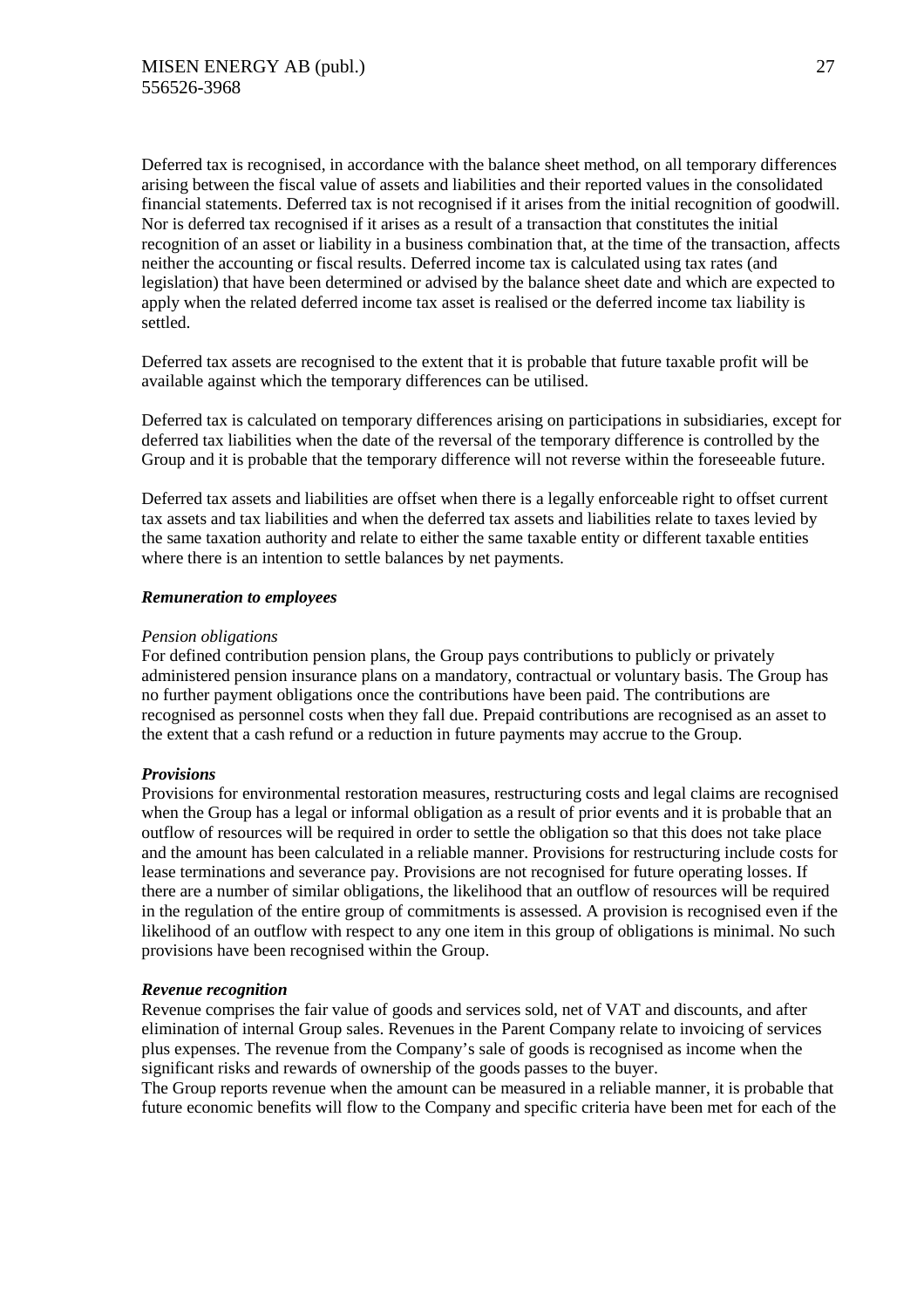Deferred tax is recognised, in accordance with the balance sheet method, on all temporary differences arising between the fiscal value of assets and liabilities and their reported values in the consolidated financial statements. Deferred tax is not recognised if it arises from the initial recognition of goodwill. Nor is deferred tax recognised if it arises as a result of a transaction that constitutes the initial recognition of an asset or liability in a business combination that, at the time of the transaction, affects neither the accounting or fiscal results. Deferred income tax is calculated using tax rates (and legislation) that have been determined or advised by the balance sheet date and which are expected to apply when the related deferred income tax asset is realised or the deferred income tax liability is settled.

Deferred tax assets are recognised to the extent that it is probable that future taxable profit will be available against which the temporary differences can be utilised.

Deferred tax is calculated on temporary differences arising on participations in subsidiaries, except for deferred tax liabilities when the date of the reversal of the temporary difference is controlled by the Group and it is probable that the temporary difference will not reverse within the foreseeable future.

Deferred tax assets and liabilities are offset when there is a legally enforceable right to offset current tax assets and tax liabilities and when the deferred tax assets and liabilities relate to taxes levied by the same taxation authority and relate to either the same taxable entity or different taxable entities where there is an intention to settle balances by net payments.

#### *Remuneration to employees*

#### *Pension obligations*

For defined contribution pension plans, the Group pays contributions to publicly or privately administered pension insurance plans on a mandatory, contractual or voluntary basis. The Group has no further payment obligations once the contributions have been paid. The contributions are recognised as personnel costs when they fall due. Prepaid contributions are recognised as an asset to the extent that a cash refund or a reduction in future payments may accrue to the Group.

# *Provisions*

Provisions for environmental restoration measures, restructuring costs and legal claims are recognised when the Group has a legal or informal obligation as a result of prior events and it is probable that an outflow of resources will be required in order to settle the obligation so that this does not take place and the amount has been calculated in a reliable manner. Provisions for restructuring include costs for lease terminations and severance pay. Provisions are not recognised for future operating losses. If there are a number of similar obligations, the likelihood that an outflow of resources will be required in the regulation of the entire group of commitments is assessed. A provision is recognised even if the likelihood of an outflow with respect to any one item in this group of obligations is minimal. No such provisions have been recognised within the Group.

# *Revenue recognition*

Revenue comprises the fair value of goods and services sold, net of VAT and discounts, and after elimination of internal Group sales. Revenues in the Parent Company relate to invoicing of services plus expenses. The revenue from the Company's sale of goods is recognised as income when the significant risks and rewards of ownership of the goods passes to the buyer.

The Group reports revenue when the amount can be measured in a reliable manner, it is probable that future economic benefits will flow to the Company and specific criteria have been met for each of the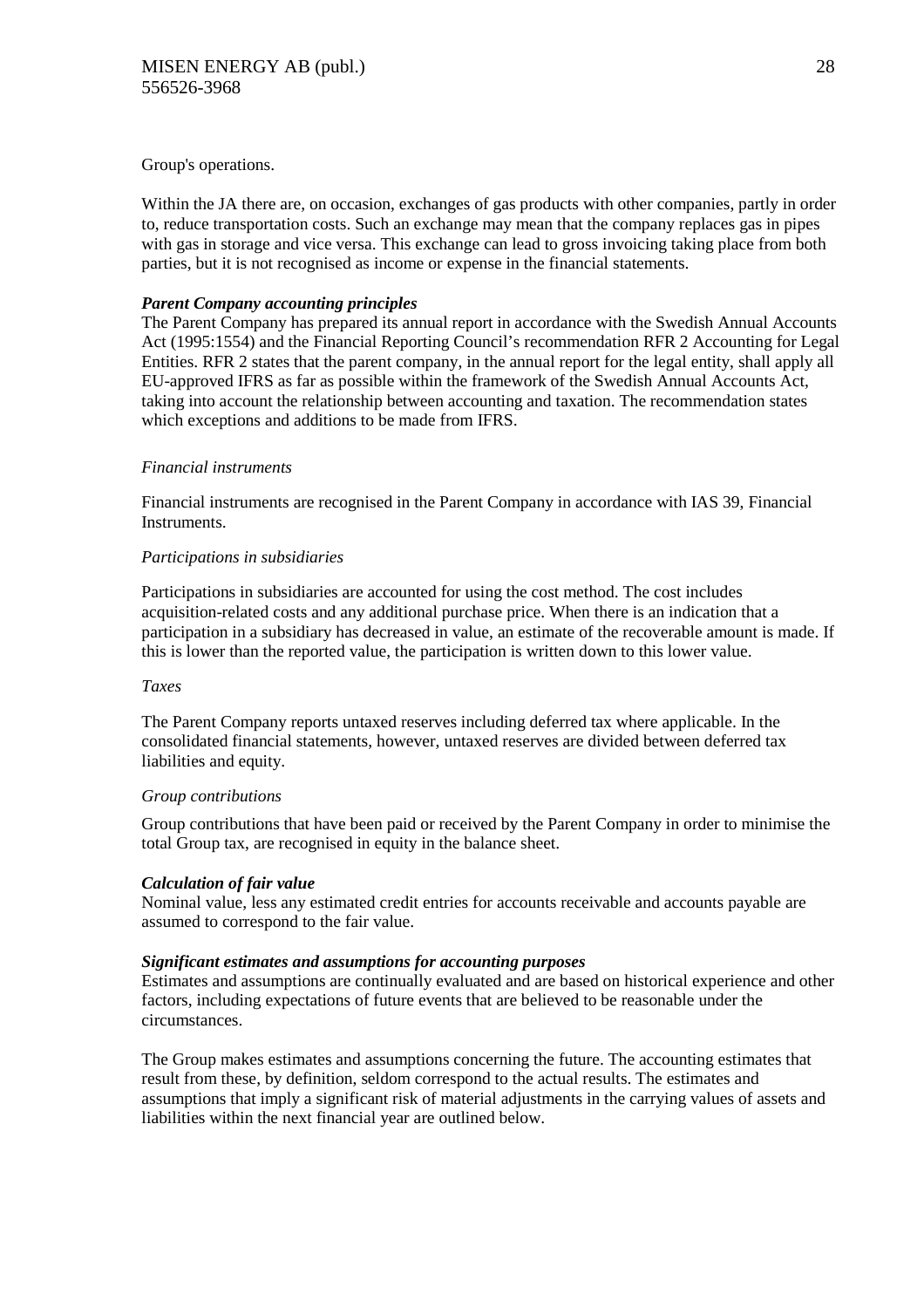#### Group's operations.

Within the JA there are, on occasion, exchanges of gas products with other companies, partly in order to, reduce transportation costs. Such an exchange may mean that the company replaces gas in pipes with gas in storage and vice versa. This exchange can lead to gross invoicing taking place from both parties, but it is not recognised as income or expense in the financial statements.

# *Parent Company accounting principles*

The Parent Company has prepared its annual report in accordance with the Swedish Annual Accounts Act (1995:1554) and the Financial Reporting Council's recommendation RFR 2 Accounting for Legal Entities. RFR 2 states that the parent company, in the annual report for the legal entity, shall apply all EU-approved IFRS as far as possible within the framework of the Swedish Annual Accounts Act, taking into account the relationship between accounting and taxation. The recommendation states which exceptions and additions to be made from IFRS.

# *Financial instruments*

Financial instruments are recognised in the Parent Company in accordance with IAS 39, Financial Instruments.

# *Participations in subsidiaries*

Participations in subsidiaries are accounted for using the cost method. The cost includes acquisition-related costs and any additional purchase price. When there is an indication that a participation in a subsidiary has decreased in value, an estimate of the recoverable amount is made. If this is lower than the reported value, the participation is written down to this lower value.

# *Taxes*

The Parent Company reports untaxed reserves including deferred tax where applicable. In the consolidated financial statements, however, untaxed reserves are divided between deferred tax liabilities and equity.

# *Group contributions*

Group contributions that have been paid or received by the Parent Company in order to minimise the total Group tax, are recognised in equity in the balance sheet.

# *Calculation of fair value*

Nominal value, less any estimated credit entries for accounts receivable and accounts payable are assumed to correspond to the fair value.

# *Significant estimates and assumptions for accounting purposes*

Estimates and assumptions are continually evaluated and are based on historical experience and other factors, including expectations of future events that are believed to be reasonable under the circumstances.

The Group makes estimates and assumptions concerning the future. The accounting estimates that result from these, by definition, seldom correspond to the actual results. The estimates and assumptions that imply a significant risk of material adjustments in the carrying values of assets and liabilities within the next financial year are outlined below.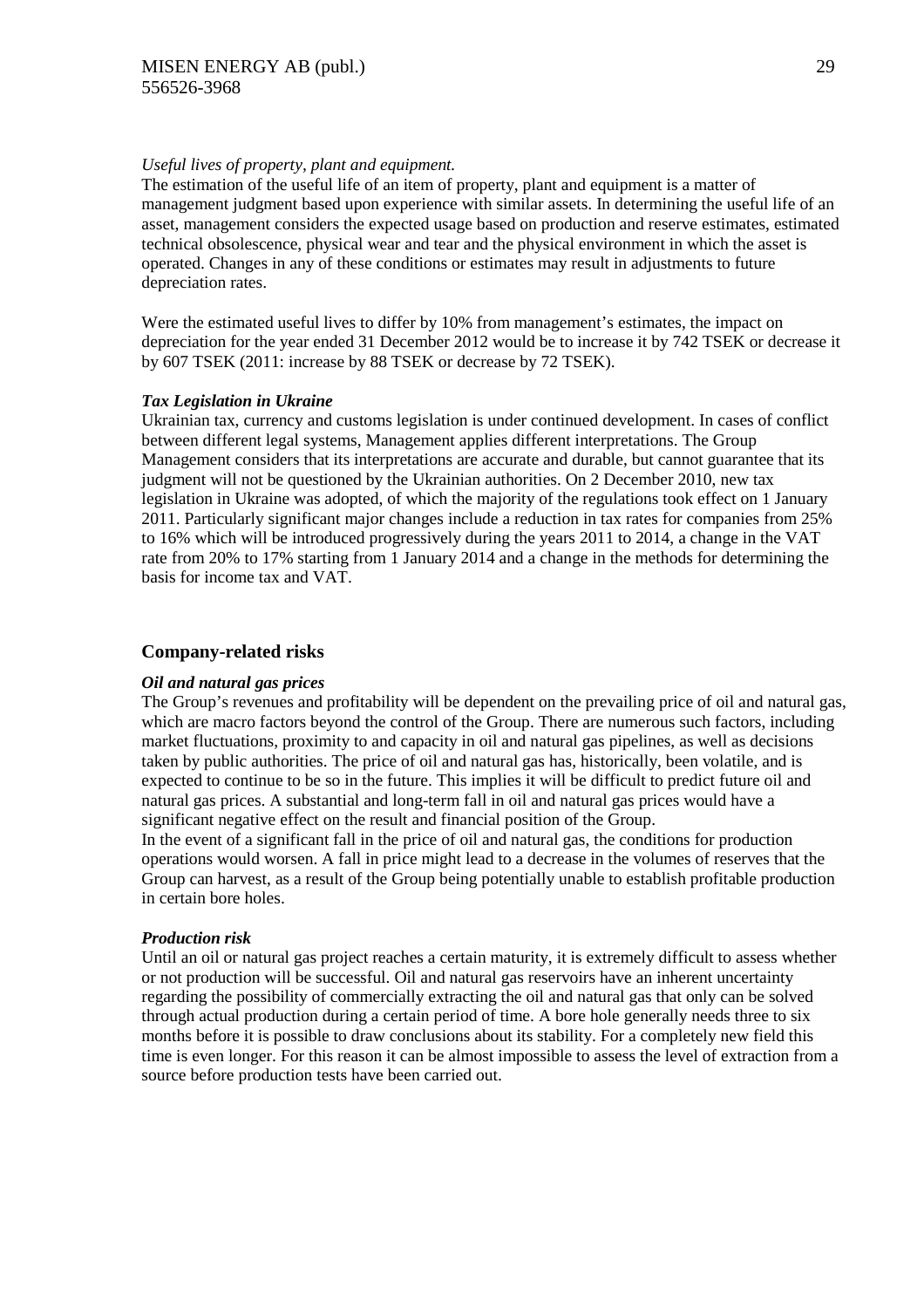### *Useful lives of property, plant and equipment.*

The estimation of the useful life of an item of property, plant and equipment is a matter of management judgment based upon experience with similar assets. In determining the useful life of an asset, management considers the expected usage based on production and reserve estimates, estimated technical obsolescence, physical wear and tear and the physical environment in which the asset is operated. Changes in any of these conditions or estimates may result in adjustments to future depreciation rates.

Were the estimated useful lives to differ by 10% from management's estimates, the impact on depreciation for the year ended 31 December 2012 would be to increase it by 742 TSEK or decrease it by 607 TSEK (2011: increase by 88 TSEK or decrease by 72 TSEK).

#### *Tax Legislation in Ukraine*

Ukrainian tax, currency and customs legislation is under continued development. In cases of conflict between different legal systems, Management applies different interpretations. The Group Management considers that its interpretations are accurate and durable, but cannot guarantee that its judgment will not be questioned by the Ukrainian authorities. On 2 December 2010, new tax legislation in Ukraine was adopted, of which the majority of the regulations took effect on 1 January 2011. Particularly significant major changes include a reduction in tax rates for companies from 25% to 16% which will be introduced progressively during the years 2011 to 2014, a change in the VAT rate from 20% to 17% starting from 1 January 2014 and a change in the methods for determining the basis for income tax and VAT.

#### **Company-related risks**

#### *Oil and natural gas prices*

The Group's revenues and profitability will be dependent on the prevailing price of oil and natural gas, which are macro factors beyond the control of the Group. There are numerous such factors, including market fluctuations, proximity to and capacity in oil and natural gas pipelines, as well as decisions taken by public authorities. The price of oil and natural gas has, historically, been volatile, and is expected to continue to be so in the future. This implies it will be difficult to predict future oil and natural gas prices. A substantial and long-term fall in oil and natural gas prices would have a significant negative effect on the result and financial position of the Group.

In the event of a significant fall in the price of oil and natural gas, the conditions for production operations would worsen. A fall in price might lead to a decrease in the volumes of reserves that the Group can harvest, as a result of the Group being potentially unable to establish profitable production in certain bore holes.

#### *Production risk*

Until an oil or natural gas project reaches a certain maturity, it is extremely difficult to assess whether or not production will be successful. Oil and natural gas reservoirs have an inherent uncertainty regarding the possibility of commercially extracting the oil and natural gas that only can be solved through actual production during a certain period of time. A bore hole generally needs three to six months before it is possible to draw conclusions about its stability. For a completely new field this time is even longer. For this reason it can be almost impossible to assess the level of extraction from a source before production tests have been carried out.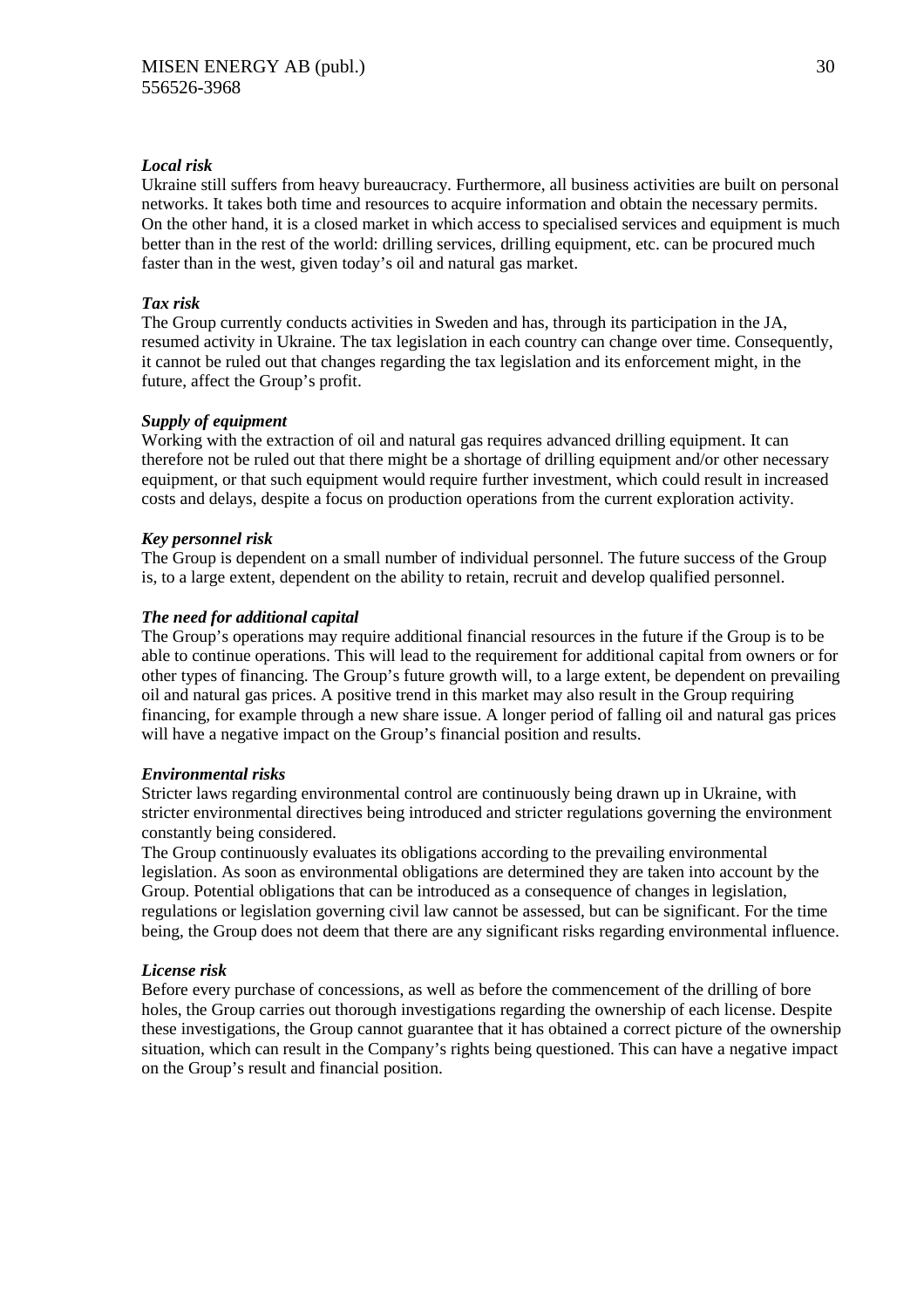# *Local risk*

Ukraine still suffers from heavy bureaucracy. Furthermore, all business activities are built on personal networks. It takes both time and resources to acquire information and obtain the necessary permits. On the other hand, it is a closed market in which access to specialised services and equipment is much better than in the rest of the world: drilling services, drilling equipment, etc. can be procured much faster than in the west, given today's oil and natural gas market.

# *Tax risk*

The Group currently conducts activities in Sweden and has, through its participation in the JA, resumed activity in Ukraine. The tax legislation in each country can change over time. Consequently, it cannot be ruled out that changes regarding the tax legislation and its enforcement might, in the future, affect the Group's profit.

# *Supply of equipment*

Working with the extraction of oil and natural gas requires advanced drilling equipment. It can therefore not be ruled out that there might be a shortage of drilling equipment and/or other necessary equipment, or that such equipment would require further investment, which could result in increased costs and delays, despite a focus on production operations from the current exploration activity.

# *Key personnel risk*

The Group is dependent on a small number of individual personnel. The future success of the Group is, to a large extent, dependent on the ability to retain, recruit and develop qualified personnel.

# *The need for additional capital*

The Group's operations may require additional financial resources in the future if the Group is to be able to continue operations. This will lead to the requirement for additional capital from owners or for other types of financing. The Group's future growth will, to a large extent, be dependent on prevailing oil and natural gas prices. A positive trend in this market may also result in the Group requiring financing, for example through a new share issue. A longer period of falling oil and natural gas prices will have a negative impact on the Group's financial position and results.

# *Environmental risks*

Stricter laws regarding environmental control are continuously being drawn up in Ukraine, with stricter environmental directives being introduced and stricter regulations governing the environment constantly being considered.

The Group continuously evaluates its obligations according to the prevailing environmental legislation. As soon as environmental obligations are determined they are taken into account by the Group. Potential obligations that can be introduced as a consequence of changes in legislation, regulations or legislation governing civil law cannot be assessed, but can be significant. For the time being, the Group does not deem that there are any significant risks regarding environmental influence.

# *License risk*

Before every purchase of concessions, as well as before the commencement of the drilling of bore holes, the Group carries out thorough investigations regarding the ownership of each license. Despite these investigations, the Group cannot guarantee that it has obtained a correct picture of the ownership situation, which can result in the Company's rights being questioned. This can have a negative impact on the Group's result and financial position.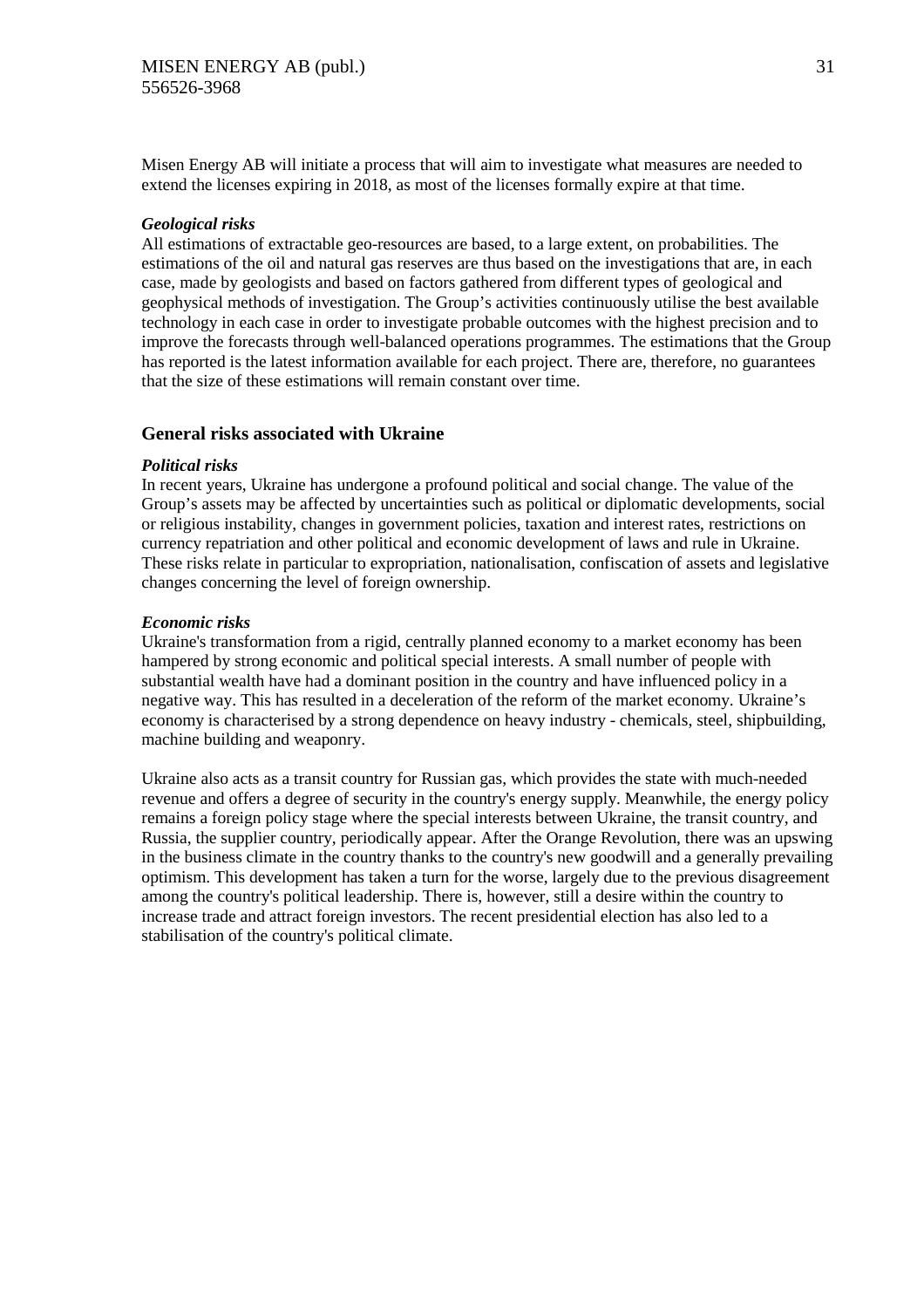Misen Energy AB will initiate a process that will aim to investigate what measures are needed to extend the licenses expiring in 2018, as most of the licenses formally expire at that time.

# *Geological risks*

All estimations of extractable geo-resources are based, to a large extent, on probabilities. The estimations of the oil and natural gas reserves are thus based on the investigations that are, in each case, made by geologists and based on factors gathered from different types of geological and geophysical methods of investigation. The Group's activities continuously utilise the best available technology in each case in order to investigate probable outcomes with the highest precision and to improve the forecasts through well-balanced operations programmes. The estimations that the Group has reported is the latest information available for each project. There are, therefore, no guarantees that the size of these estimations will remain constant over time.

# **General risks associated with Ukraine**

# *Political risks*

In recent years, Ukraine has undergone a profound political and social change. The value of the Group's assets may be affected by uncertainties such as political or diplomatic developments, social or religious instability, changes in government policies, taxation and interest rates, restrictions on currency repatriation and other political and economic development of laws and rule in Ukraine. These risks relate in particular to expropriation, nationalisation, confiscation of assets and legislative changes concerning the level of foreign ownership.

# *Economic risks*

Ukraine's transformation from a rigid, centrally planned economy to a market economy has been hampered by strong economic and political special interests. A small number of people with substantial wealth have had a dominant position in the country and have influenced policy in a negative way. This has resulted in a deceleration of the reform of the market economy. Ukraine's economy is characterised by a strong dependence on heavy industry - chemicals, steel, shipbuilding, machine building and weaponry.

Ukraine also acts as a transit country for Russian gas, which provides the state with much-needed revenue and offers a degree of security in the country's energy supply. Meanwhile, the energy policy remains a foreign policy stage where the special interests between Ukraine, the transit country, and Russia, the supplier country, periodically appear. After the Orange Revolution, there was an upswing in the business climate in the country thanks to the country's new goodwill and a generally prevailing optimism. This development has taken a turn for the worse, largely due to the previous disagreement among the country's political leadership. There is, however, still a desire within the country to increase trade and attract foreign investors. The recent presidential election has also led to a stabilisation of the country's political climate.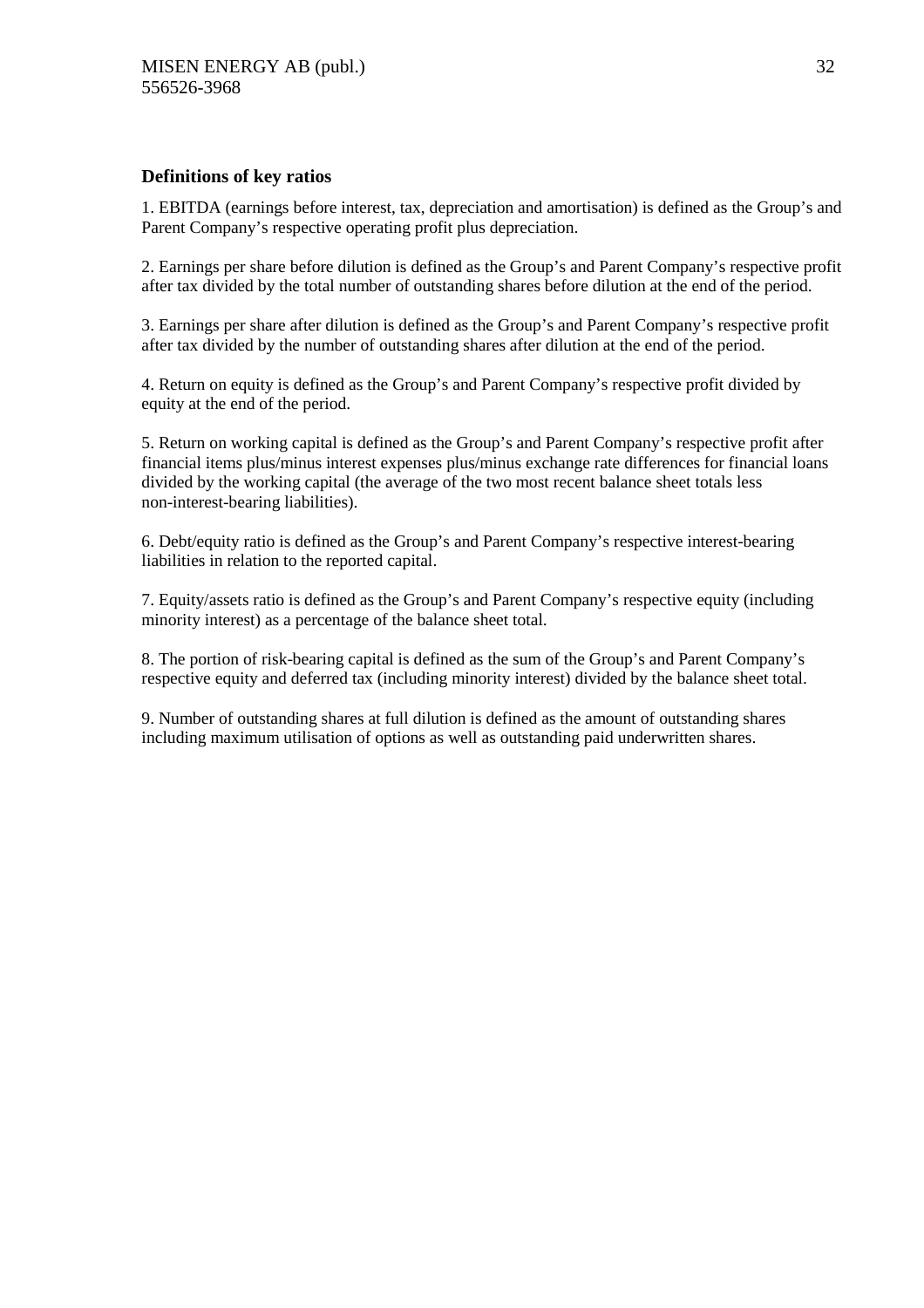# **Definitions of key ratios**

1. EBITDA (earnings before interest, tax, depreciation and amortisation) is defined as the Group's and Parent Company's respective operating profit plus depreciation.

2. Earnings per share before dilution is defined as the Group's and Parent Company's respective profit after tax divided by the total number of outstanding shares before dilution at the end of the period.

3. Earnings per share after dilution is defined as the Group's and Parent Company's respective profit after tax divided by the number of outstanding shares after dilution at the end of the period.

4. Return on equity is defined as the Group's and Parent Company's respective profit divided by equity at the end of the period.

5. Return on working capital is defined as the Group's and Parent Company's respective profit after financial items plus/minus interest expenses plus/minus exchange rate differences for financial loans divided by the working capital (the average of the two most recent balance sheet totals less non-interest-bearing liabilities).

6. Debt/equity ratio is defined as the Group's and Parent Company's respective interest-bearing liabilities in relation to the reported capital.

7. Equity/assets ratio is defined as the Group's and Parent Company's respective equity (including minority interest) as a percentage of the balance sheet total.

8. The portion of risk-bearing capital is defined as the sum of the Group's and Parent Company's respective equity and deferred tax (including minority interest) divided by the balance sheet total.

9. Number of outstanding shares at full dilution is defined as the amount of outstanding shares including maximum utilisation of options as well as outstanding paid underwritten shares.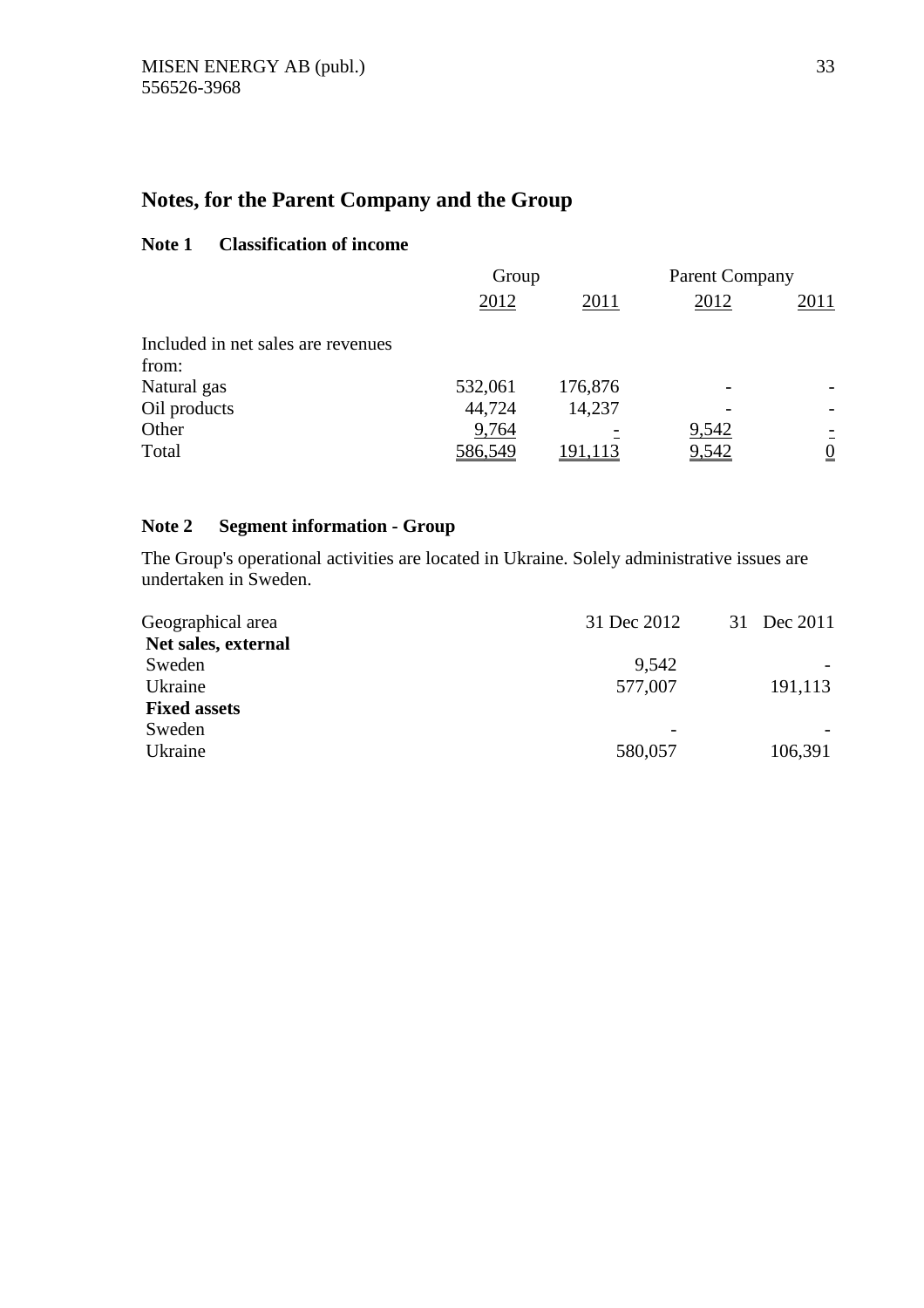# **Notes, for the Parent Company and the Group**

# **Note 1 Classification of income**

|                                    | Group   |         | <b>Parent Company</b> |                 |
|------------------------------------|---------|---------|-----------------------|-----------------|
|                                    | 2012    | 2011    | 2012                  | 2011            |
| Included in net sales are revenues |         |         |                       |                 |
| from:                              |         |         |                       |                 |
| Natural gas                        | 532,061 | 176,876 |                       |                 |
| Oil products                       | 44,724  | 14,237  |                       |                 |
| Other                              | 9,764   |         | 9,542                 |                 |
| Total                              | 586,549 | 191,113 | 9,542                 | $\underline{0}$ |

# **Note 2 Segment information - Group**

The Group's operational activities are located in Ukraine. Solely administrative issues are undertaken in Sweden.

| Geographical area   | 31 Dec 2012                  | 31 Dec 2011 |
|---------------------|------------------------------|-------------|
| Net sales, external |                              |             |
| Sweden              | 9,542                        |             |
| Ukraine             | 577,007                      | 191,113     |
| <b>Fixed assets</b> |                              |             |
| Sweden              | $\qquad \qquad \blacksquare$ |             |
| Ukraine             | 580,057                      | 106,391     |
|                     |                              |             |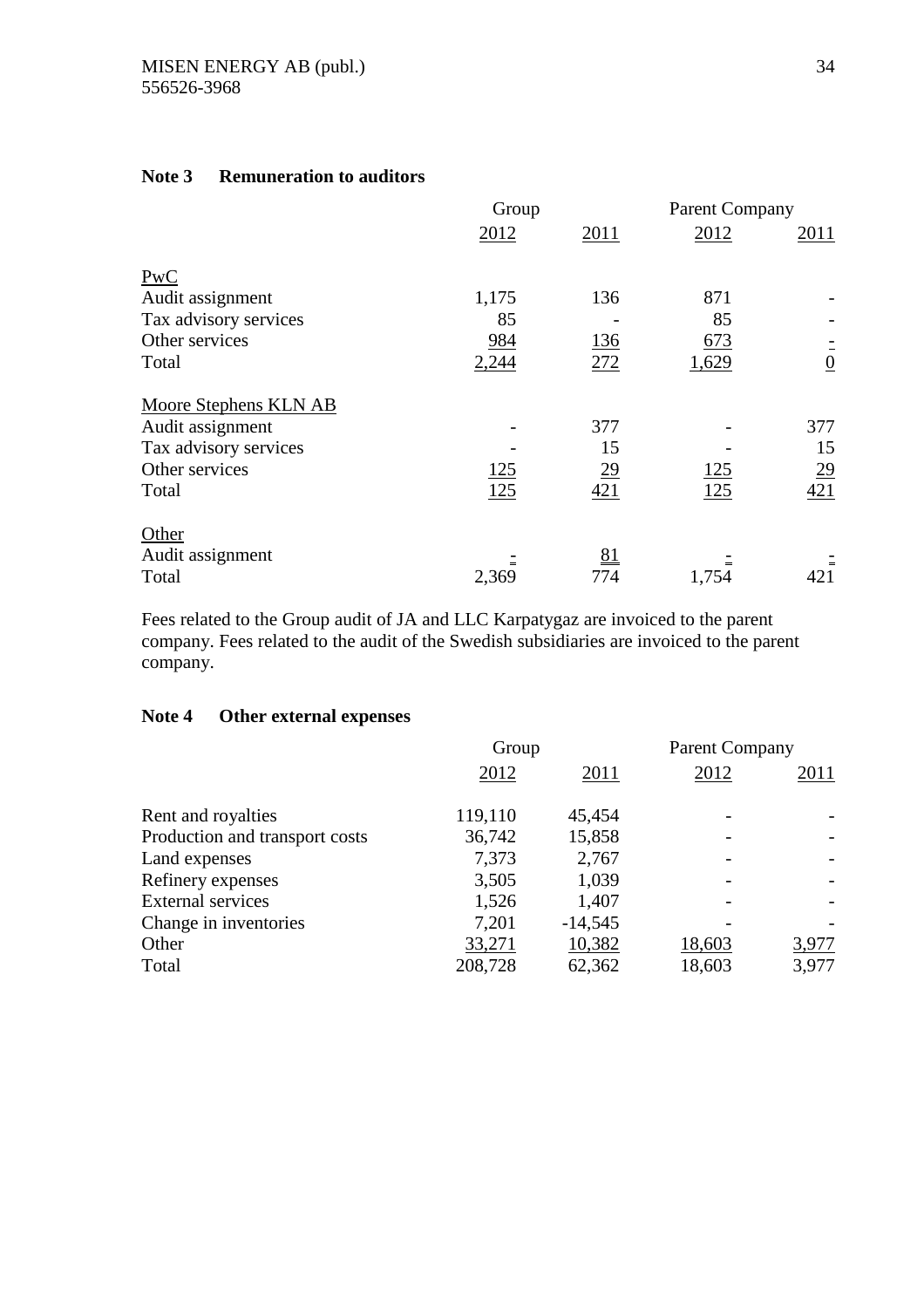|                              | Group       |           | <b>Parent Company</b> |                  |
|------------------------------|-------------|-----------|-----------------------|------------------|
|                              | 2012        | 2011      | 2012                  | 2011             |
| PwC                          |             |           |                       |                  |
| Audit assignment             | 1,175       | 136       | 871                   |                  |
| Tax advisory services        | 85          |           | 85                    |                  |
| Other services               | 984         | 136       | 673                   |                  |
| Total                        | 2,244       | 272       | 1,629                 | $\frac{1}{0}$    |
| <b>Moore Stephens KLN AB</b> |             |           |                       |                  |
| Audit assignment             |             | 377       |                       | 377              |
| Tax advisory services        |             | 15        |                       | 15               |
| Other services               | <u> 125</u> | <u>29</u> | <u> 125</u>           | $\underline{29}$ |
| Total                        | 125         | 421       | 125                   | 421              |
| Other                        |             |           |                       |                  |
| Audit assignment             |             | 81        |                       |                  |
| Total                        | 2,369       | 774       | 1,754                 | 421              |

# **Note 3 Remuneration to auditors**

Fees related to the Group audit of JA and LLC Karpatygaz are invoiced to the parent company. Fees related to the audit of the Swedish subsidiaries are invoiced to the parent company.

# **Note 4 Other external expenses**

|                                | Group   |           | <b>Parent Company</b> |       |
|--------------------------------|---------|-----------|-----------------------|-------|
|                                | 2012    | 2011      | 2012                  | 2011  |
| Rent and royalties             | 119,110 | 45,454    |                       |       |
| Production and transport costs | 36,742  | 15,858    |                       |       |
| Land expenses                  | 7.373   | 2,767     |                       |       |
| Refinery expenses              | 3,505   | 1,039     |                       |       |
| <b>External services</b>       | 1,526   | 1,407     |                       |       |
| Change in inventories          | 7,201   | $-14,545$ |                       |       |
| Other                          | 33,271  | 10,382    | 18,603                | 3,977 |
| Total                          | 208,728 | 62,362    | 18,603                | 3,977 |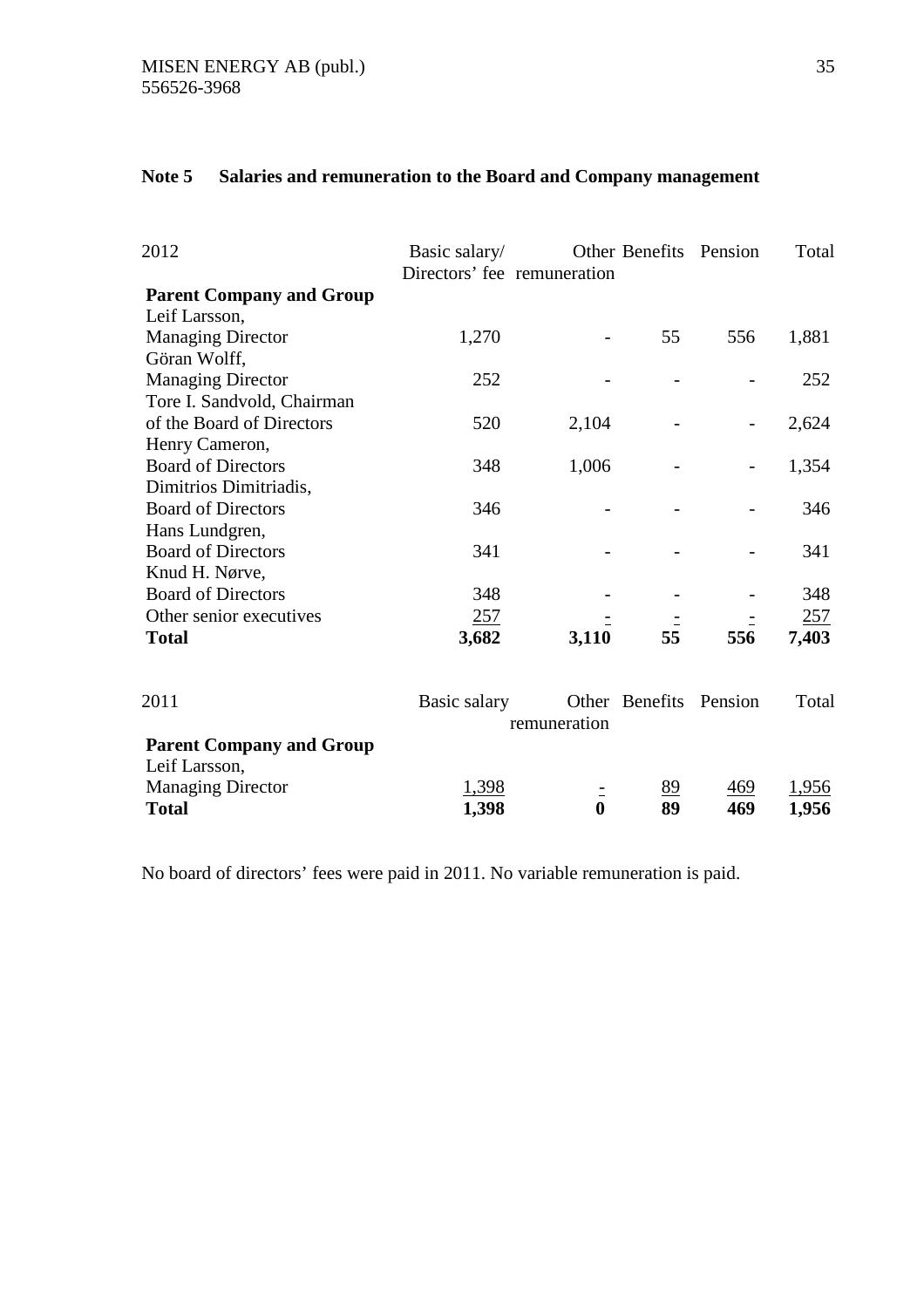| 2012                            | Basic salary/<br>Directors' fee remuneration |              | Other Benefits Pension |                          | Total |
|---------------------------------|----------------------------------------------|--------------|------------------------|--------------------------|-------|
| <b>Parent Company and Group</b> |                                              |              |                        |                          |       |
| Leif Larsson,                   |                                              |              |                        |                          |       |
| <b>Managing Director</b>        | 1,270                                        |              | 55                     | 556                      | 1,881 |
| Göran Wolff,                    |                                              |              |                        |                          |       |
| <b>Managing Director</b>        | 252                                          |              |                        |                          | 252   |
| Tore I. Sandvold, Chairman      |                                              |              |                        |                          |       |
| of the Board of Directors       | 520                                          | 2,104        |                        | $\overline{\phantom{0}}$ | 2,624 |
| Henry Cameron,                  |                                              |              |                        |                          |       |
| <b>Board of Directors</b>       | 348                                          | 1,006        |                        |                          | 1,354 |
| Dimitrios Dimitriadis,          |                                              |              |                        |                          |       |
| <b>Board of Directors</b>       | 346                                          |              |                        |                          | 346   |
| Hans Lundgren,                  |                                              |              |                        |                          |       |
| <b>Board of Directors</b>       | 341                                          |              |                        |                          | 341   |
| Knud H. Nørve,                  |                                              |              |                        |                          |       |
| <b>Board of Directors</b>       | 348                                          |              |                        |                          | 348   |
| Other senior executives         | 257                                          |              |                        |                          | 257   |
| <b>Total</b>                    | 3,682                                        | 3,110        | 55                     | 556                      | 7,403 |
| 2011                            | Basic salary                                 |              | Other Benefits         | Pension                  | Total |
|                                 |                                              | remuneration |                        |                          |       |
| <b>Parent Company and Group</b> |                                              |              |                        |                          |       |
| Leif Larsson,                   |                                              |              |                        |                          |       |
| <b>Managing Director</b>        | 1,398                                        |              | 89                     | 469                      | 1,956 |
| <b>Total</b>                    | 1,398                                        | $\bf{0}$     | 89                     | 469                      | 1,956 |

# **Note 5 Salaries and remuneration to the Board and Company management**

No board of directors' fees were paid in 2011. No variable remuneration is paid.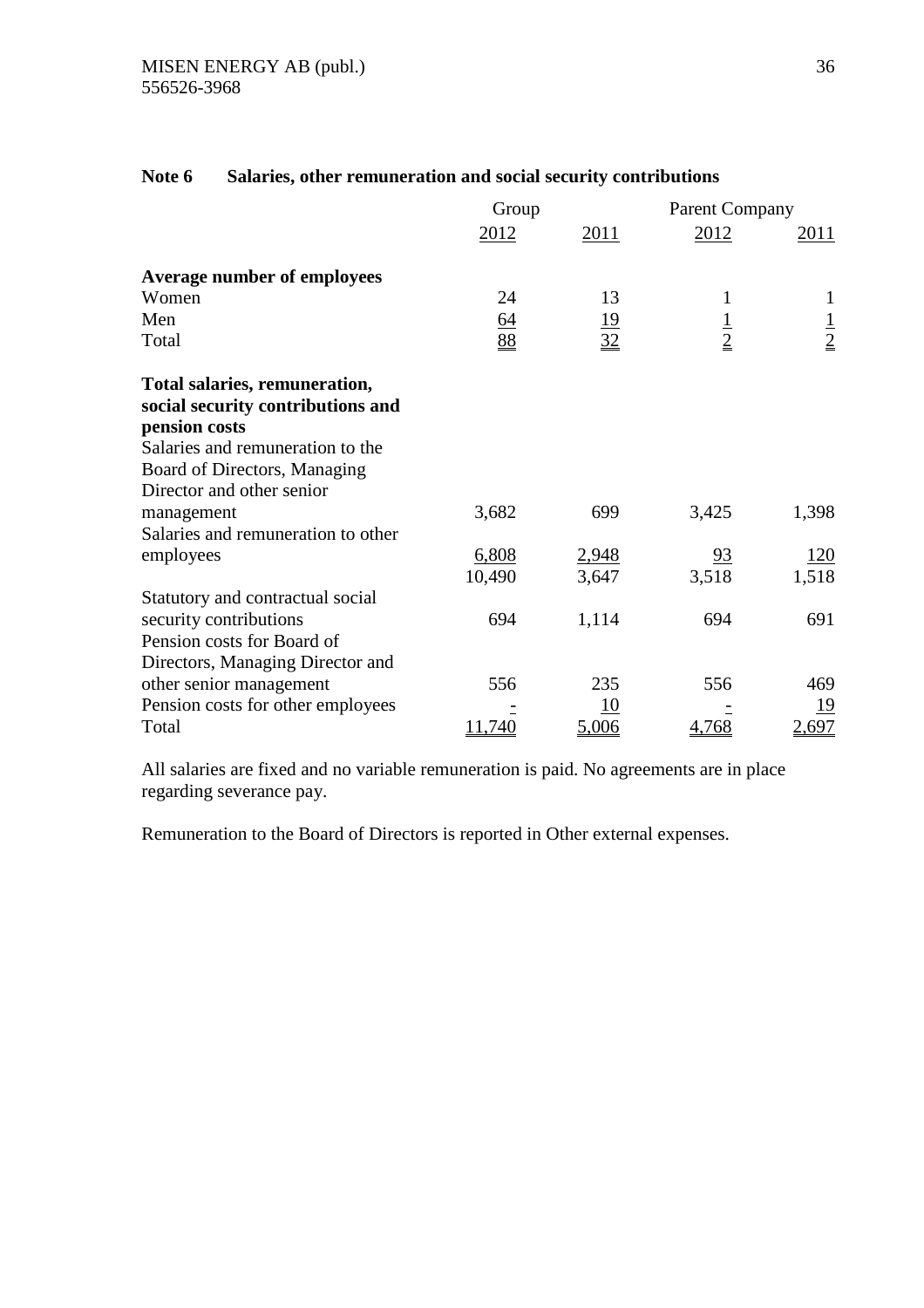|                                    | Group           |                 | <b>Parent Company</b> |               |
|------------------------------------|-----------------|-----------------|-----------------------|---------------|
|                                    | 2012            | 2011            | 2012                  | 2011          |
| <b>Average number of employees</b> |                 |                 |                       |               |
| Women                              | 24              | 13              | 1                     | $\mathbf{1}$  |
| Men                                |                 |                 |                       |               |
| Total                              | $\frac{64}{88}$ | $\frac{19}{32}$ | $\frac{1}{2}$         | $\frac{1}{2}$ |
| Total salaries, remuneration,      |                 |                 |                       |               |
| social security contributions and  |                 |                 |                       |               |
| pension costs                      |                 |                 |                       |               |
| Salaries and remuneration to the   |                 |                 |                       |               |
| Board of Directors, Managing       |                 |                 |                       |               |
| Director and other senior          |                 |                 |                       |               |
| management                         | 3,682           | 699             | 3,425                 | 1,398         |
| Salaries and remuneration to other |                 |                 |                       |               |
| employees                          | 6,808           | 2,948           | $\frac{93}{2}$        | <u> 120</u>   |
|                                    | 10,490          | 3,647           | 3,518                 | 1,518         |
| Statutory and contractual social   |                 |                 |                       |               |
| security contributions             | 694             | 1,114           | 694                   | 691           |
| Pension costs for Board of         |                 |                 |                       |               |
| Directors, Managing Director and   |                 |                 |                       |               |
| other senior management            | 556             | 235             | 556                   | 469           |
| Pension costs for other employees  |                 | 10              |                       | 19            |
| Total                              | 11,740          | 5,006           | 4,768                 | 2,697         |

# **Note 6 Salaries, other remuneration and social security contributions**

All salaries are fixed and no variable remuneration is paid. No agreements are in place regarding severance pay.

Remuneration to the Board of Directors is reported in Other external expenses.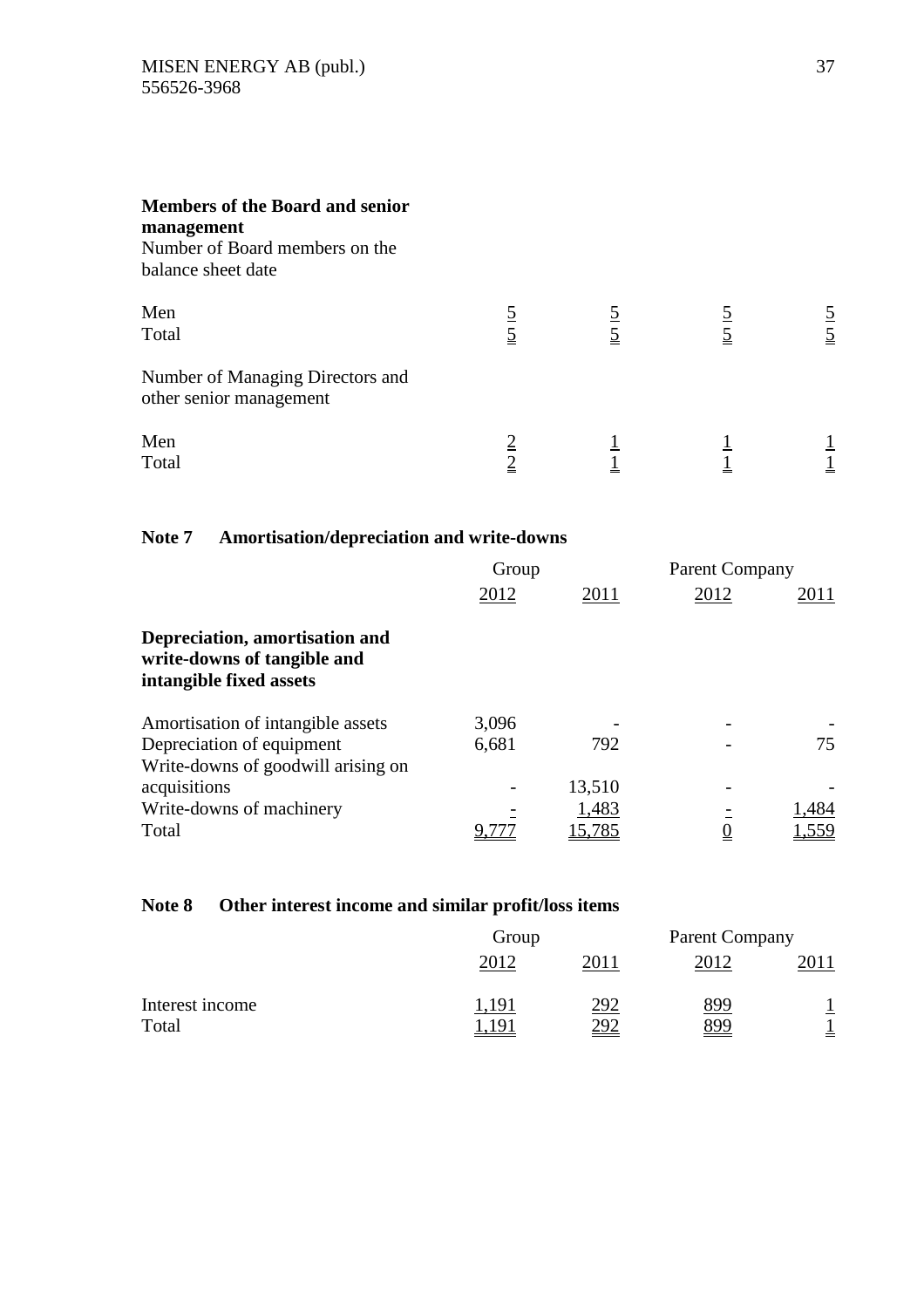| <b>Members of the Board and senior</b><br>management<br>Number of Board members on the<br>balance sheet date |  |             |
|--------------------------------------------------------------------------------------------------------------|--|-------------|
| Men<br>Total                                                                                                 |  | $rac{5}{5}$ |
| Number of Managing Directors and<br>other senior management                                                  |  |             |
| Men<br>Total                                                                                                 |  |             |

# **Note 7 Amortisation/depreciation and write-downs**

|                                                                                          | Group |               | <b>Parent Company</b> |       |  |  |
|------------------------------------------------------------------------------------------|-------|---------------|-----------------------|-------|--|--|
|                                                                                          | 2012  | 2011          | 2012                  | 2011  |  |  |
| Depreciation, amortisation and<br>write-downs of tangible and<br>intangible fixed assets |       |               |                       |       |  |  |
| Amortisation of intangible assets                                                        | 3,096 |               |                       |       |  |  |
| Depreciation of equipment                                                                | 6,681 | 792           |                       | 75    |  |  |
| Write-downs of goodwill arising on                                                       |       |               |                       |       |  |  |
| acquisitions                                                                             |       | 13,510        |                       |       |  |  |
| Write-downs of machinery                                                                 |       | 1,483         |                       | 1,484 |  |  |
| Total                                                                                    |       | <u>15,785</u> |                       | 1,559 |  |  |

# **Note 8 Other interest income and similar profit/loss items**

|                 | Group |      | Parent Company |  |
|-----------------|-------|------|----------------|--|
|                 | 2012  | 2011 | 2012           |  |
| Interest income | 191   | 292  | <u>899</u>     |  |
| Total           |       | 292  | 899            |  |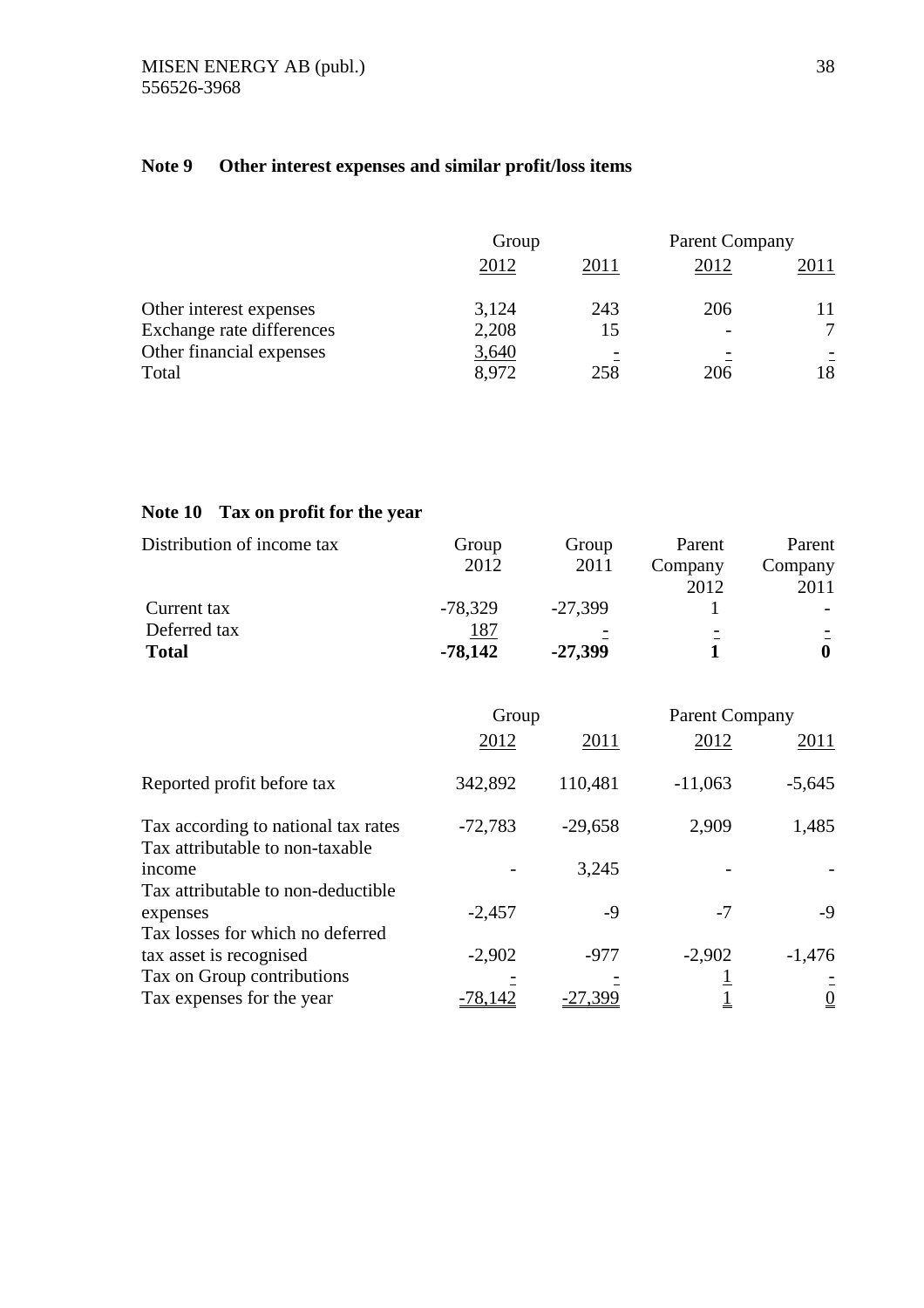# **Note 9 Other interest expenses and similar profit/loss items**

|                           | Group |      | <b>Parent Company</b> |      |
|---------------------------|-------|------|-----------------------|------|
|                           | 2012  | 2011 | 2012                  | 2011 |
| Other interest expenses   | 3,124 | 243  | 206                   |      |
| Exchange rate differences | 2,208 | 15   |                       | ⇁    |
| Other financial expenses  | 3,640 |      |                       |      |
| Total                     | 8,972 | 258  | 206                   | 18   |

# **Note 10 Tax on profit for the year**

| Distribution of income tax | Group     | Group     | Parent  | Parent  |
|----------------------------|-----------|-----------|---------|---------|
|                            | 2012      | 2011      | Company | Company |
|                            |           |           | 2012    | 2011    |
| Current tax                | $-78,329$ | $-27.399$ |         |         |
| Deferred tax               | 187       |           |         |         |
| <b>Total</b>               | $-78,142$ | $-27,399$ |         |         |

|                                                                                    | Group     |           | <b>Parent Company</b> |                |
|------------------------------------------------------------------------------------|-----------|-----------|-----------------------|----------------|
|                                                                                    | 2012      | 2011      | 2012                  | 2011           |
| Reported profit before tax                                                         | 342,892   | 110,481   | $-11,063$             | $-5,645$       |
| Tax according to national tax rates<br>Tax attributable to non-taxable             | $-72,783$ | $-29,658$ | 2,909                 | 1,485          |
| income                                                                             |           | 3,245     |                       |                |
| Tax attributable to non-deductible<br>expenses<br>Tax losses for which no deferred | $-2,457$  | -9        | $-7$                  | $-9$           |
| tax asset is recognised                                                            | $-2,902$  | $-977$    | $-2,902$              | $-1,476$       |
| Tax on Group contributions                                                         |           |           |                       |                |
| Tax expenses for the year                                                          | $-78,142$ | $-27,399$ |                       | $\overline{0}$ |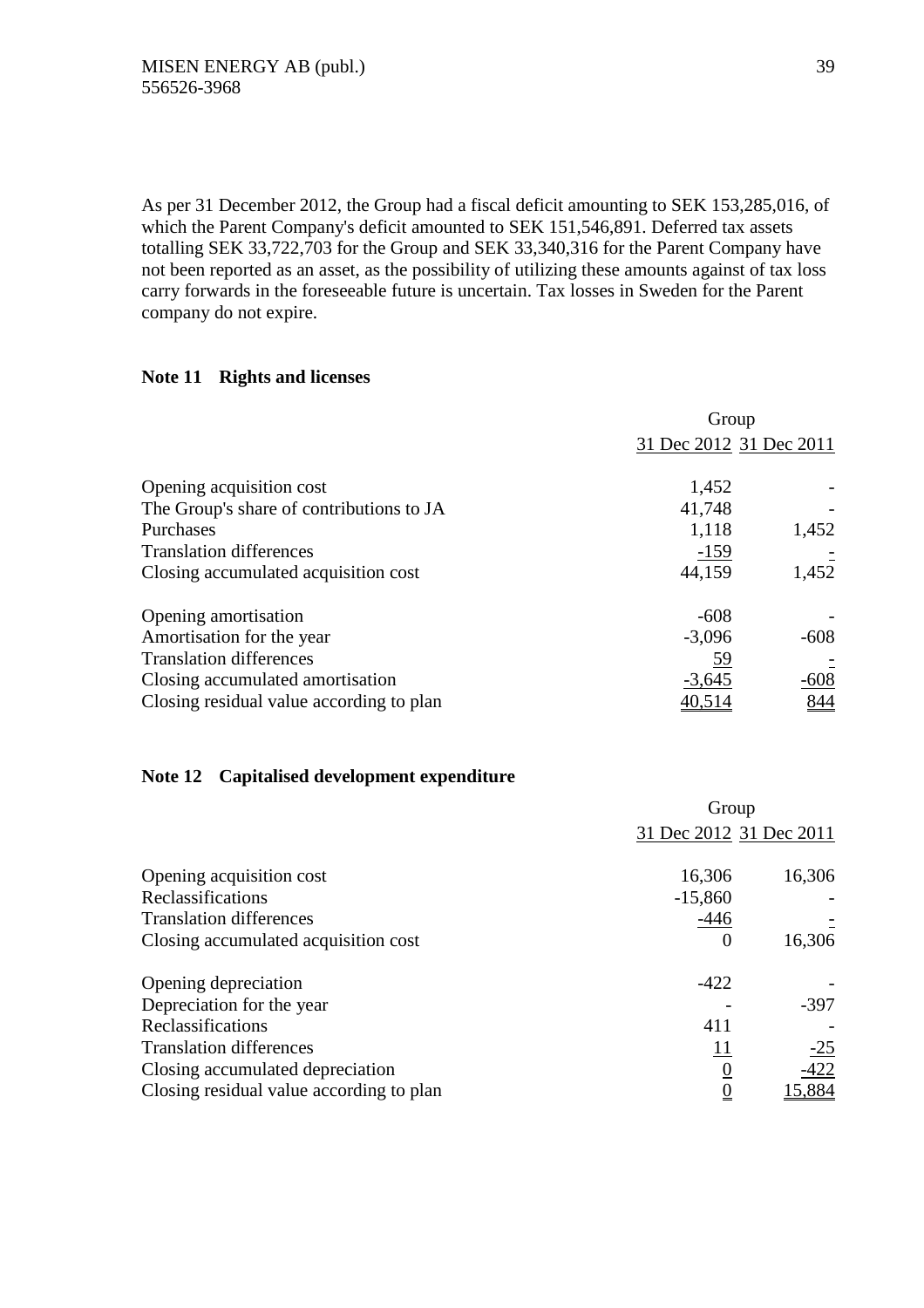As per 31 December 2012, the Group had a fiscal deficit amounting to SEK 153,285,016, of which the Parent Company's deficit amounted to SEK 151,546,891. Deferred tax assets totalling SEK 33,722,703 for the Group and SEK 33,340,316 for the Parent Company have not been reported as an asset, as the possibility of utilizing these amounts against of tax loss carry forwards in the foreseeable future is uncertain. Tax losses in Sweden for the Parent company do not expire.

# **Note 11 Rights and licenses**

|                                          | Group                   |        |  |
|------------------------------------------|-------------------------|--------|--|
|                                          | 31 Dec 2012 31 Dec 2011 |        |  |
| Opening acquisition cost                 | 1,452                   |        |  |
| The Group's share of contributions to JA | 41,748                  |        |  |
| Purchases                                | 1,118                   | 1,452  |  |
| <b>Translation differences</b>           | $-159$                  |        |  |
| Closing accumulated acquisition cost     | 44,159                  | 1,452  |  |
| Opening amortisation                     | $-608$                  |        |  |
| Amortisation for the year                | $-3,096$                | $-608$ |  |
| <b>Translation differences</b>           | <u>59</u>               |        |  |
| Closing accumulated amortisation         | $-3,645$                | $-608$ |  |
| Closing residual value according to plan | 40,514                  | 844    |  |

# **Note 12 Capitalised development expenditure**

|                                          | Group                   |        |  |
|------------------------------------------|-------------------------|--------|--|
|                                          | 31 Dec 2012 31 Dec 2011 |        |  |
| Opening acquisition cost                 | 16,306                  | 16,306 |  |
| Reclassifications                        | $-15,860$               |        |  |
| <b>Translation differences</b>           | $-446$                  |        |  |
| Closing accumulated acquisition cost     | 0                       | 16,306 |  |
| Opening depreciation                     | $-422$                  |        |  |
| Depreciation for the year                |                         | $-397$ |  |
| Reclassifications                        | 411                     |        |  |
| <b>Translation differences</b>           | <u> 11</u>              | $-25$  |  |
| Closing accumulated depreciation         | $\overline{0}$          | $-422$ |  |
| Closing residual value according to plan | $\underline{0}$         | 15,884 |  |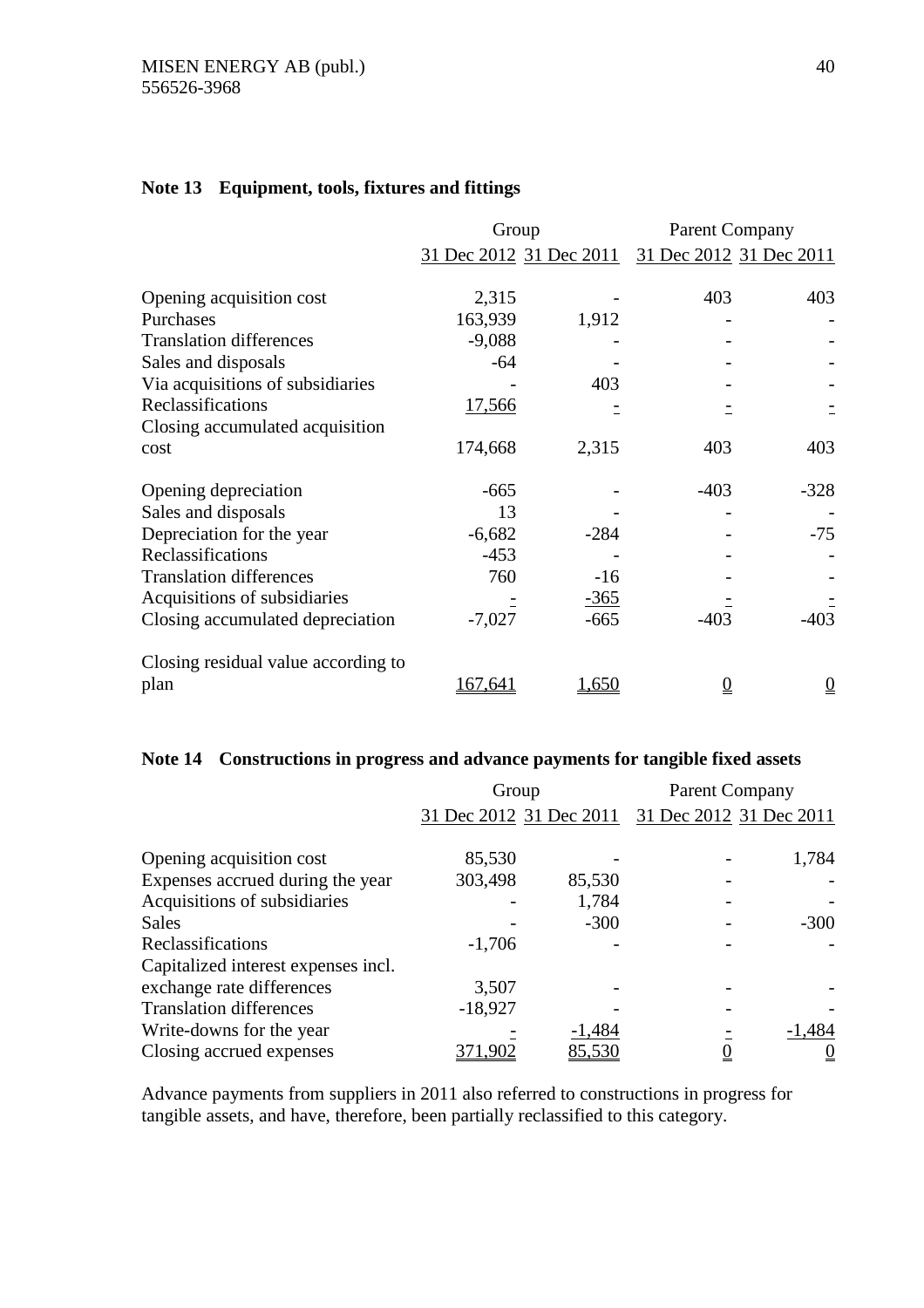# **Note 13 Equipment, tools, fixtures and fittings**

|                                     | Group         |                         | <b>Parent Company</b> |                         |  |  |
|-------------------------------------|---------------|-------------------------|-----------------------|-------------------------|--|--|
|                                     |               | 31 Dec 2012 31 Dec 2011 |                       | 31 Dec 2012 31 Dec 2011 |  |  |
| Opening acquisition cost            | 2,315         |                         | 403                   | 403                     |  |  |
| Purchases                           | 163,939       | 1,912                   |                       |                         |  |  |
| <b>Translation differences</b>      | $-9,088$      |                         |                       |                         |  |  |
| Sales and disposals                 | -64           |                         |                       |                         |  |  |
| Via acquisitions of subsidiaries    |               | 403                     |                       |                         |  |  |
| Reclassifications                   | <u>17,566</u> |                         |                       |                         |  |  |
| Closing accumulated acquisition     |               |                         |                       |                         |  |  |
| cost                                | 174,668       | 2,315                   | 403                   | 403                     |  |  |
| Opening depreciation                | $-665$        |                         | $-403$                | $-328$                  |  |  |
| Sales and disposals                 | 13            |                         |                       |                         |  |  |
| Depreciation for the year           | $-6,682$      | $-284$                  |                       | $-75$                   |  |  |
| Reclassifications                   | $-453$        |                         |                       |                         |  |  |
| <b>Translation differences</b>      | 760           | $-16$                   |                       |                         |  |  |
| Acquisitions of subsidiaries        |               | $-365$                  |                       |                         |  |  |
| Closing accumulated depreciation    | $-7,027$      | $-665$                  | $-403$                | $-403$                  |  |  |
| Closing residual value according to |               |                         |                       |                         |  |  |
| plan                                | 167,641       | 1,650                   | $\underline{0}$       | $\underline{0}$         |  |  |

# **Note 14 Constructions in progress and advance payments for tangible fixed assets**

|                                     | Group                   |          | <b>Parent Company</b>   |          |
|-------------------------------------|-------------------------|----------|-------------------------|----------|
|                                     | 31 Dec 2012 31 Dec 2011 |          | 31 Dec 2012 31 Dec 2011 |          |
| Opening acquisition cost            | 85,530                  |          |                         | 1,784    |
| Expenses accrued during the year    | 303,498                 | 85,530   |                         |          |
| Acquisitions of subsidiaries        |                         | 1,784    |                         |          |
| <b>Sales</b>                        |                         | $-300$   |                         | $-300$   |
| Reclassifications                   | $-1,706$                |          |                         |          |
| Capitalized interest expenses incl. |                         |          |                         |          |
| exchange rate differences           | 3,507                   |          |                         |          |
| <b>Translation differences</b>      | $-18,927$               |          |                         |          |
| Write-downs for the year            |                         | $-1,484$ |                         | $-1,484$ |
| Closing accrued expenses            | 371,902                 | 85,530   |                         |          |

Advance payments from suppliers in 2011 also referred to constructions in progress for tangible assets, and have, therefore, been partially reclassified to this category.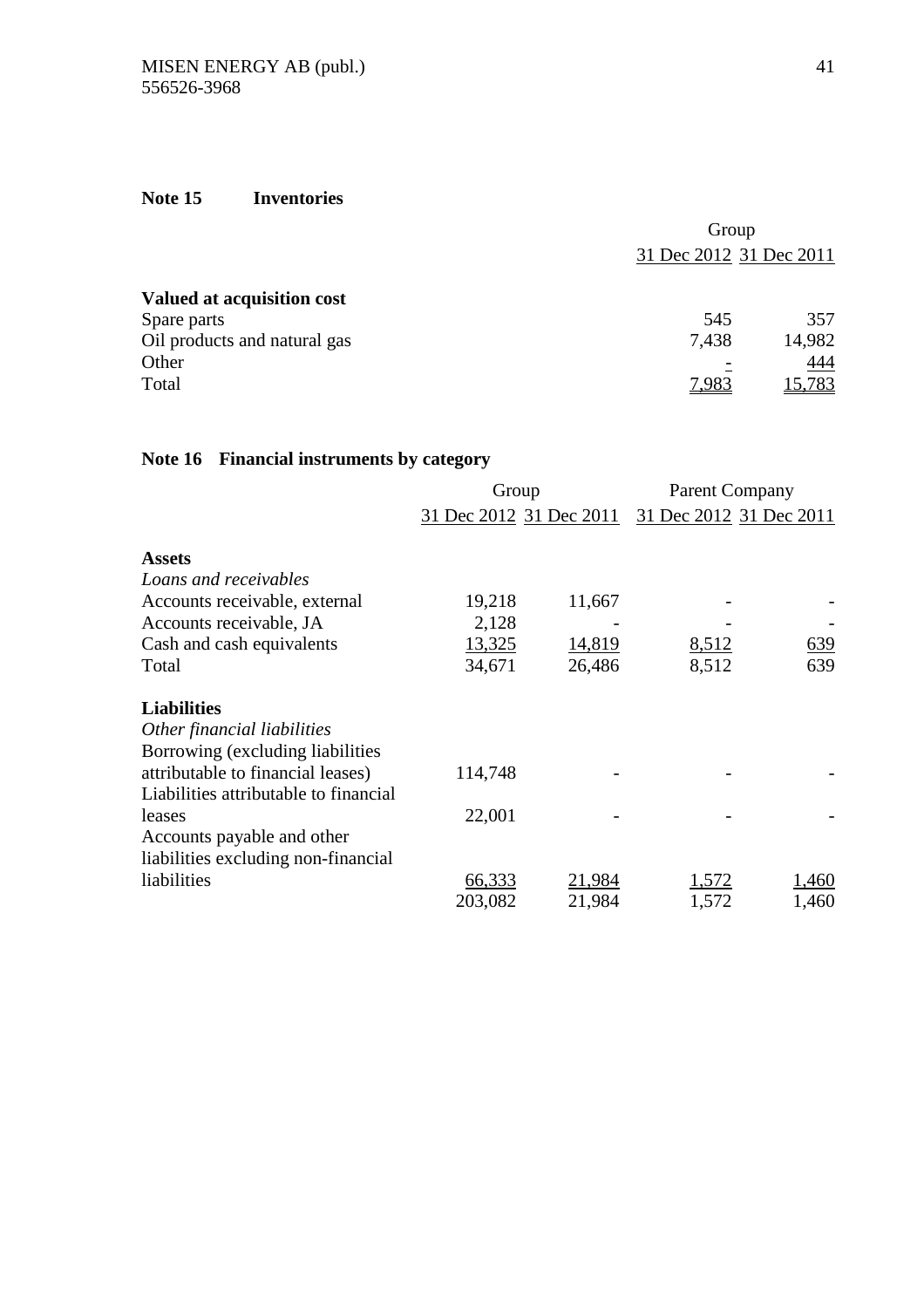# **Note 15 Inventories**

|                              | Group                   |        |  |  |
|------------------------------|-------------------------|--------|--|--|
|                              | 31 Dec 2012 31 Dec 2011 |        |  |  |
| Valued at acquisition cost   |                         |        |  |  |
| Spare parts                  | 545                     | 357    |  |  |
| Oil products and natural gas | 7,438                   | 14,982 |  |  |
| Other                        |                         | 444    |  |  |
| Total                        | 7,983                   | 15,783 |  |  |

# **Note 16 Financial instruments by category**

|                                       | Group                   |        | <b>Parent Company</b>   |       |
|---------------------------------------|-------------------------|--------|-------------------------|-------|
|                                       | 31 Dec 2012 31 Dec 2011 |        | 31 Dec 2012 31 Dec 2011 |       |
| <b>Assets</b>                         |                         |        |                         |       |
| Loans and receivables                 |                         |        |                         |       |
| Accounts receivable, external         | 19,218                  | 11,667 |                         |       |
| Accounts receivable, JA               | 2,128                   |        |                         |       |
| Cash and cash equivalents             | 13,325                  | 14,819 | 8,512                   | 639   |
| Total                                 | 34,671                  | 26,486 | 8,512                   | 639   |
| <b>Liabilities</b>                    |                         |        |                         |       |
| Other financial liabilities           |                         |        |                         |       |
| Borrowing (excluding liabilities      |                         |        |                         |       |
| attributable to financial leases)     | 114,748                 |        |                         |       |
| Liabilities attributable to financial |                         |        |                         |       |
| leases                                | 22,001                  |        |                         |       |
| Accounts payable and other            |                         |        |                         |       |
| liabilities excluding non-financial   |                         |        |                         |       |
| liabilities                           | 66,333                  | 21,984 | 1,572                   | 1,460 |
|                                       | 203,082                 | 21,984 | 1,572                   | 1,460 |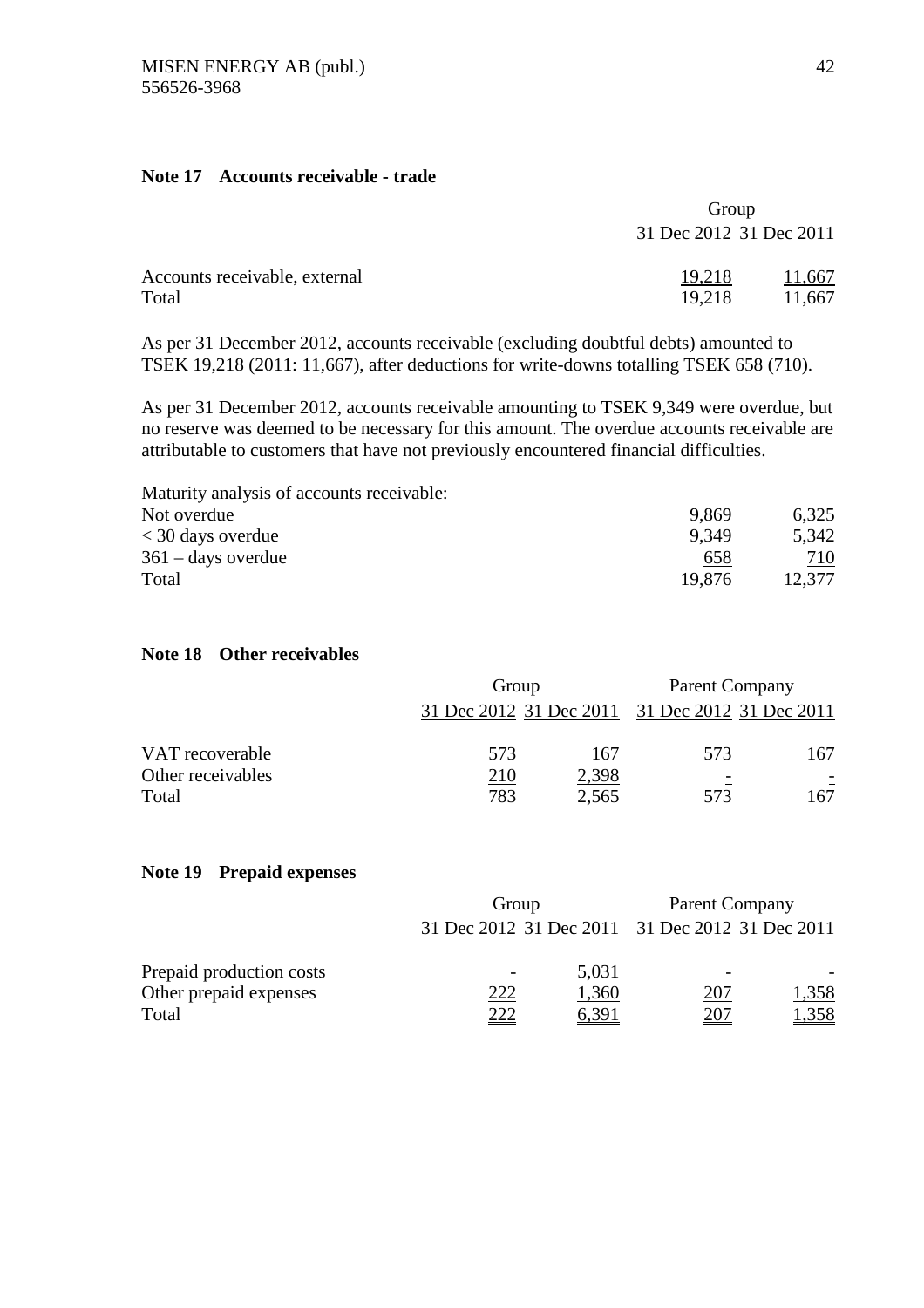# **Note 17 Accounts receivable - trade**

|                               | Group                   |        |  |
|-------------------------------|-------------------------|--------|--|
|                               | 31 Dec 2012 31 Dec 2011 |        |  |
| Accounts receivable, external | 19,218                  | 11,667 |  |
| Total                         | 19,218                  | 11,667 |  |

As per 31 December 2012, accounts receivable (excluding doubtful debts) amounted to TSEK 19,218 (2011: 11,667), after deductions for write-downs totalling TSEK 658 (710).

As per 31 December 2012, accounts receivable amounting to TSEK 9,349 were overdue, but no reserve was deemed to be necessary for this amount. The overdue accounts receivable are attributable to customers that have not previously encountered financial difficulties.

| Maturity analysis of accounts receivable: |        |        |
|-------------------------------------------|--------|--------|
| Not overdue                               | 9.869  | 6,325  |
| $<$ 30 days overdue                       | 9.349  | 5,342  |
| $361 - days$ overdue                      | 658    | 710    |
| Total                                     | 19.876 | 12,377 |

# **Note 18 Other receivables**

|                   |     | Group                                           |                              | Parent Company |
|-------------------|-----|-------------------------------------------------|------------------------------|----------------|
|                   |     | 31 Dec 2012 31 Dec 2011 31 Dec 2012 31 Dec 2011 |                              |                |
| VAT recoverable   | 573 | 167                                             | 573                          | 167            |
| Other receivables | 210 | 2,398                                           | $\qquad \qquad \blacksquare$ | E.             |
| Total             | 783 | 2,565                                           | 573                          | 167            |

# **Note 19 Prepaid expenses**

|                          | Group       |       | Parent Company                                  |                          |
|--------------------------|-------------|-------|-------------------------------------------------|--------------------------|
|                          |             |       | 31 Dec 2012 31 Dec 2011 31 Dec 2012 31 Dec 2011 |                          |
| Prepaid production costs |             | 5,031 |                                                 | $\overline{\phantom{0}}$ |
| Other prepaid expenses   | <u> 222</u> | 1,360 | <u> 207</u>                                     | 1,358                    |
| Total                    | <u>222</u>  | 6,391 | <u>207</u>                                      | 1,358                    |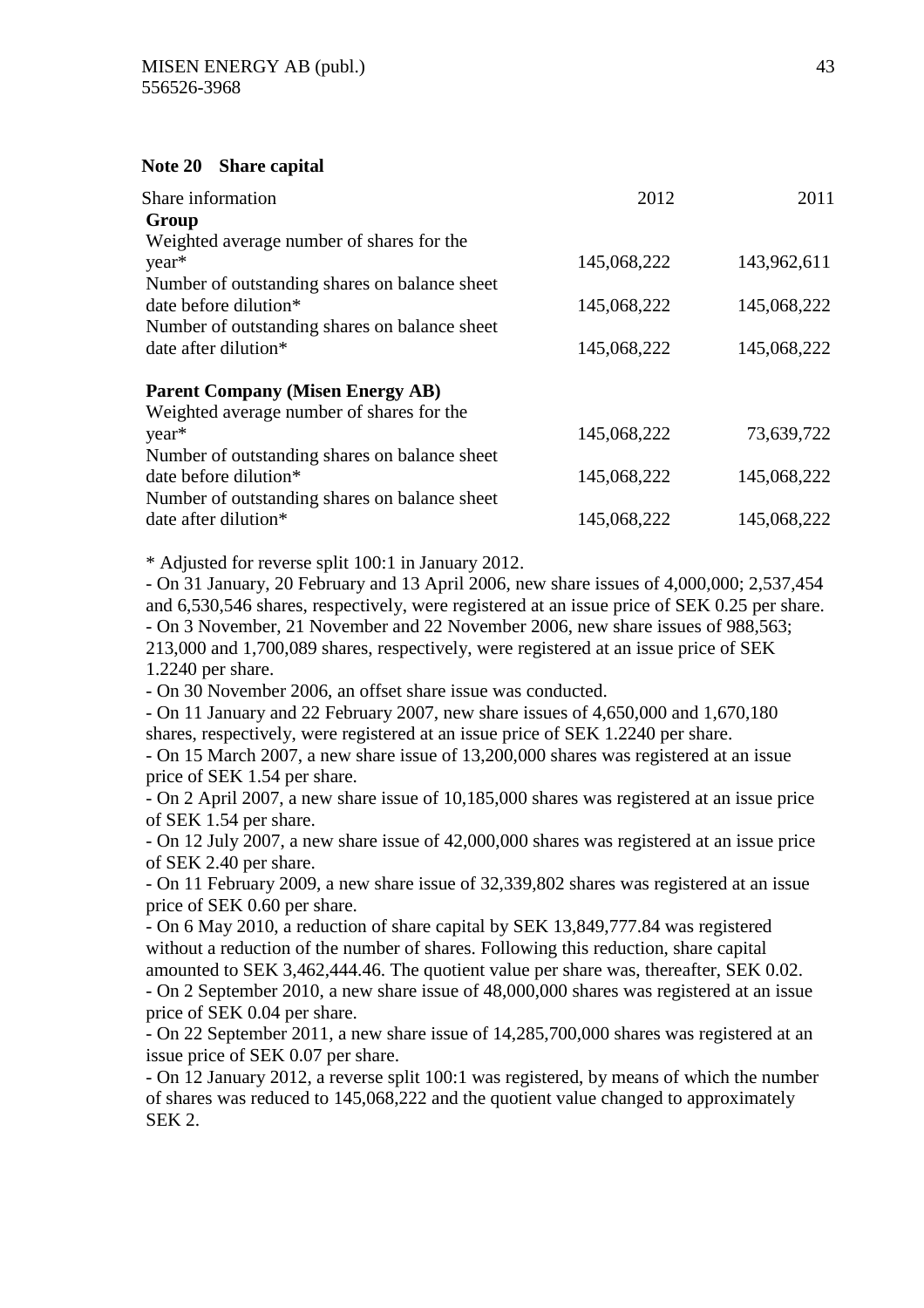# **Note 20 Share capital**

| Share information                             | 2012        | 2011        |
|-----------------------------------------------|-------------|-------------|
| Group                                         |             |             |
| Weighted average number of shares for the     |             |             |
| year*                                         | 145,068,222 | 143,962,611 |
| Number of outstanding shares on balance sheet |             |             |
| date before dilution*                         | 145,068,222 | 145,068,222 |
| Number of outstanding shares on balance sheet |             |             |
| date after dilution*                          | 145,068,222 | 145,068,222 |
| <b>Parent Company (Misen Energy AB)</b>       |             |             |
| Weighted average number of shares for the     |             |             |
| year*                                         | 145,068,222 | 73,639,722  |
| Number of outstanding shares on balance sheet |             |             |
| date before dilution*                         | 145,068,222 | 145,068,222 |
| Number of outstanding shares on balance sheet |             |             |
| date after dilution*                          | 145,068,222 | 145,068,222 |

\* Adjusted for reverse split 100:1 in January 2012.

- On 31 January, 20 February and 13 April 2006, new share issues of 4,000,000; 2,537,454 and 6,530,546 shares, respectively, were registered at an issue price of SEK 0.25 per share. - On 3 November, 21 November and 22 November 2006, new share issues of 988,563; 213,000 and 1,700,089 shares, respectively, were registered at an issue price of SEK 1.2240 per share.

- On 30 November 2006, an offset share issue was conducted.

- On 11 January and 22 February 2007, new share issues of 4,650,000 and 1,670,180 shares, respectively, were registered at an issue price of SEK 1.2240 per share.

- On 15 March 2007, a new share issue of 13,200,000 shares was registered at an issue price of SEK 1.54 per share.

- On 2 April 2007, a new share issue of 10,185,000 shares was registered at an issue price of SEK 1.54 per share.

- On 12 July 2007, a new share issue of 42,000,000 shares was registered at an issue price of SEK 2.40 per share.

- On 11 February 2009, a new share issue of 32,339,802 shares was registered at an issue price of SEK 0.60 per share.

- On 6 May 2010, a reduction of share capital by SEK 13,849,777.84 was registered without a reduction of the number of shares. Following this reduction, share capital amounted to SEK 3,462,444.46. The quotient value per share was, thereafter, SEK 0.02.

- On 2 September 2010, a new share issue of 48,000,000 shares was registered at an issue price of SEK 0.04 per share.

- On 22 September 2011, a new share issue of 14,285,700,000 shares was registered at an issue price of SEK 0.07 per share.

- On 12 January 2012, a reverse split 100:1 was registered, by means of which the number of shares was reduced to 145,068,222 and the quotient value changed to approximately SEK 2.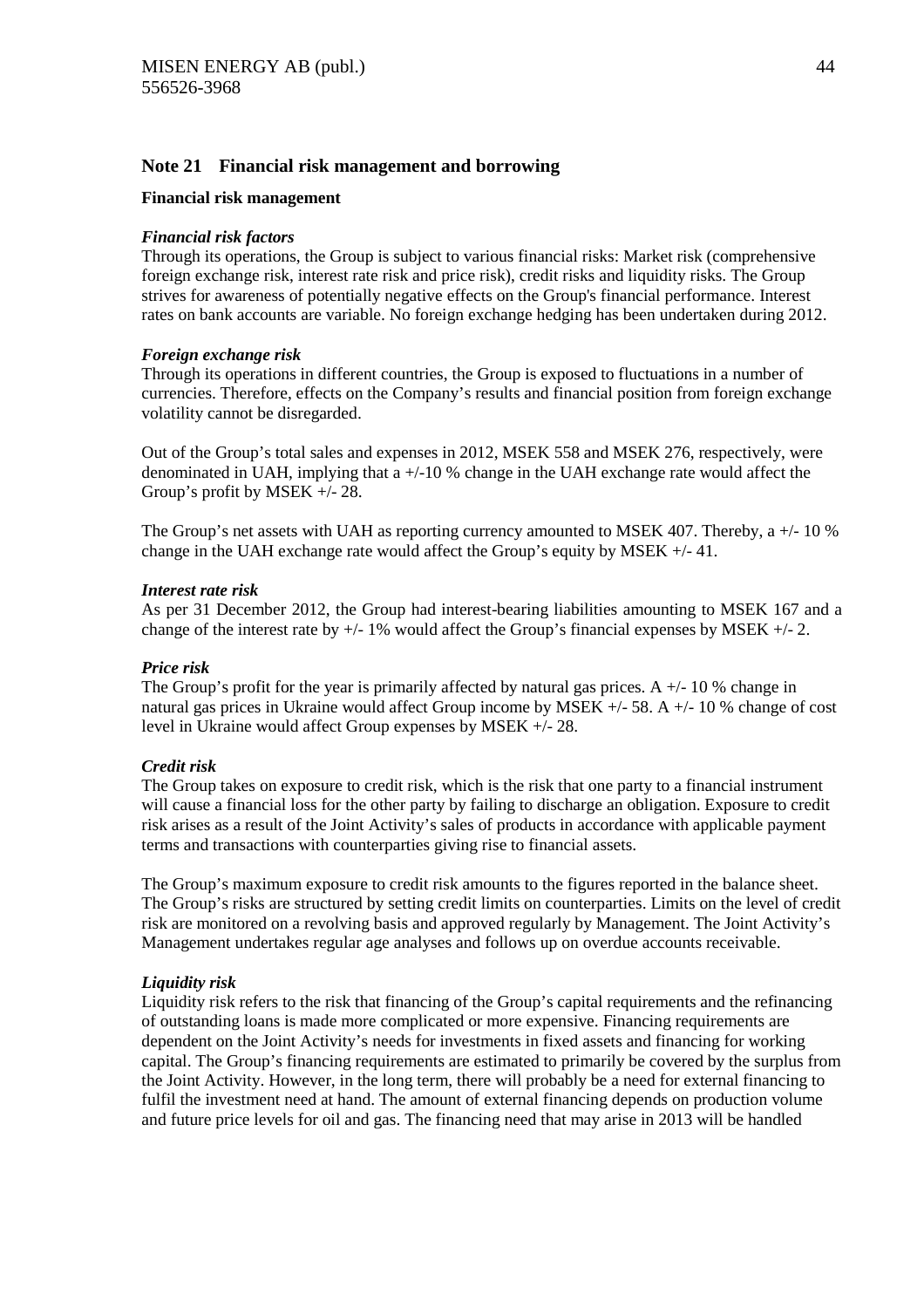# **Note 21 Financial risk management and borrowing**

#### **Financial risk management**

#### *Financial risk factors*

Through its operations, the Group is subject to various financial risks: Market risk (comprehensive foreign exchange risk, interest rate risk and price risk), credit risks and liquidity risks. The Group strives for awareness of potentially negative effects on the Group's financial performance. Interest rates on bank accounts are variable. No foreign exchange hedging has been undertaken during 2012.

# *Foreign exchange risk*

Through its operations in different countries, the Group is exposed to fluctuations in a number of currencies. Therefore, effects on the Company's results and financial position from foreign exchange volatility cannot be disregarded.

Out of the Group's total sales and expenses in 2012, MSEK 558 and MSEK 276, respectively, were denominated in UAH, implying that  $a +10\%$  change in the UAH exchange rate would affect the Group's profit by MSEK +/- 28.

The Group's net assets with UAH as reporting currency amounted to MSEK 407. Thereby, a +/- 10 % change in the UAH exchange rate would affect the Group's equity by MSEK +/- 41.

#### *Interest rate risk*

As per 31 December 2012, the Group had interest-bearing liabilities amounting to MSEK 167 and a change of the interest rate by  $+/- 1\%$  would affect the Group's financial expenses by MSEK  $+/- 2$ .

#### *Price risk*

The Group's profit for the year is primarily affected by natural gas prices. A  $+/-10$  % change in natural gas prices in Ukraine would affect Group income by MSEK  $+/-58$ . A  $+/-10$  % change of cost level in Ukraine would affect Group expenses by MSEK +/- 28.

#### *Credit risk*

The Group takes on exposure to credit risk, which is the risk that one party to a financial instrument will cause a financial loss for the other party by failing to discharge an obligation. Exposure to credit risk arises as a result of the Joint Activity's sales of products in accordance with applicable payment terms and transactions with counterparties giving rise to financial assets.

The Group's maximum exposure to credit risk amounts to the figures reported in the balance sheet. The Group's risks are structured by setting credit limits on counterparties. Limits on the level of credit risk are monitored on a revolving basis and approved regularly by Management. The Joint Activity's Management undertakes regular age analyses and follows up on overdue accounts receivable.

# *Liquidity risk*

Liquidity risk refers to the risk that financing of the Group's capital requirements and the refinancing of outstanding loans is made more complicated or more expensive. Financing requirements are dependent on the Joint Activity's needs for investments in fixed assets and financing for working capital. The Group's financing requirements are estimated to primarily be covered by the surplus from the Joint Activity. However, in the long term, there will probably be a need for external financing to fulfil the investment need at hand. The amount of external financing depends on production volume and future price levels for oil and gas. The financing need that may arise in 2013 will be handled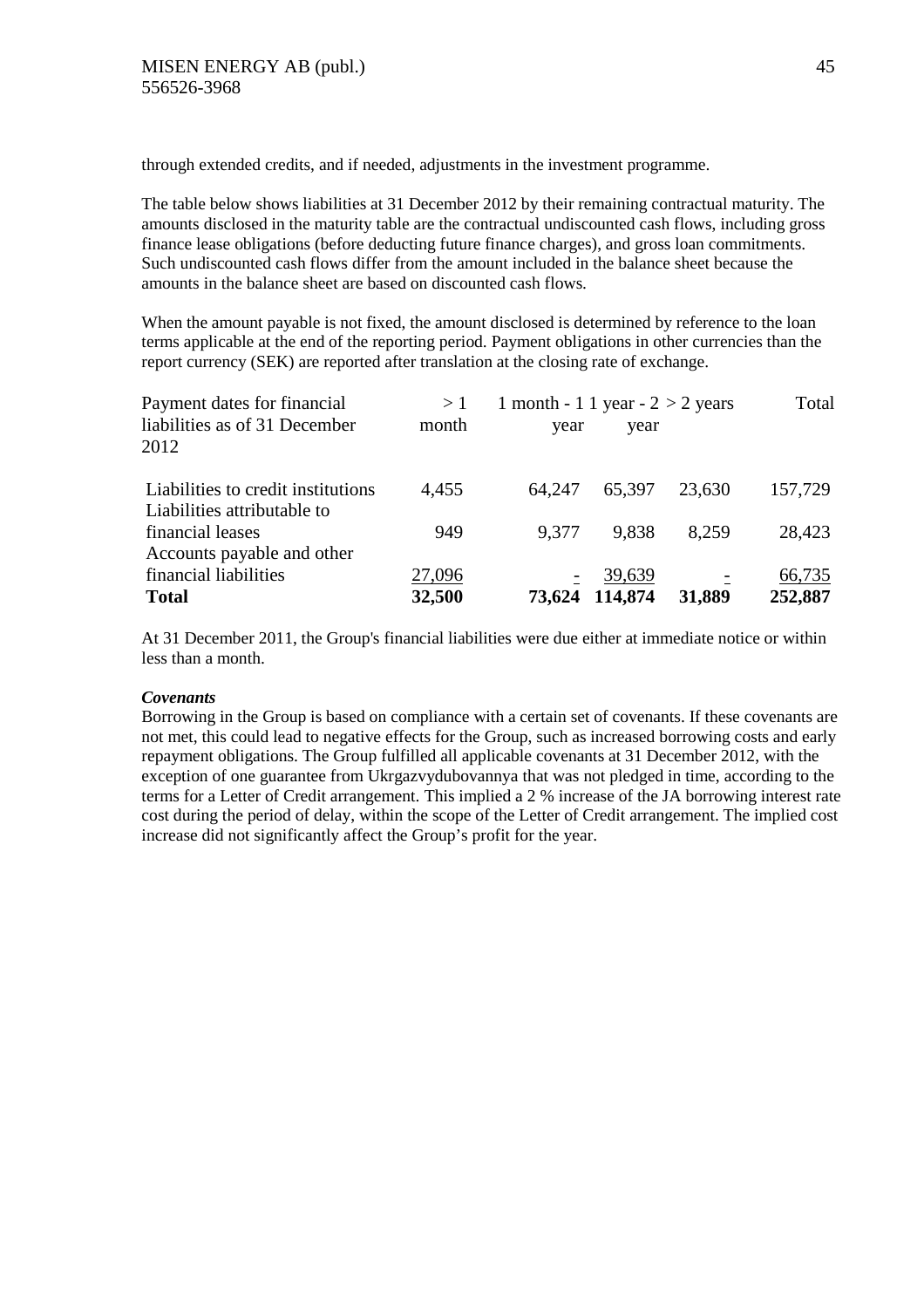through extended credits, and if needed, adjustments in the investment programme.

The table below shows liabilities at 31 December 2012 by their remaining contractual maturity. The amounts disclosed in the maturity table are the contractual undiscounted cash flows, including gross finance lease obligations (before deducting future finance charges), and gross loan commitments. Such undiscounted cash flows differ from the amount included in the balance sheet because the amounts in the balance sheet are based on discounted cash flows.

When the amount payable is not fixed, the amount disclosed is determined by reference to the loan terms applicable at the end of the reporting period. Payment obligations in other currencies than the report currency (SEK) are reported after translation at the closing rate of exchange.

| Payment dates for financial        | >1     | 1 month - 1 1 year - $2 > 2$ years |                |        | Total   |
|------------------------------------|--------|------------------------------------|----------------|--------|---------|
| liabilities as of 31 December      | month  | year                               | year           |        |         |
| 2012                               |        |                                    |                |        |         |
| Liabilities to credit institutions | 4,455  | 64,247                             | 65,397         | 23,630 | 157,729 |
| Liabilities attributable to        |        |                                    |                |        |         |
| financial leases                   | 949    | 9,377                              | 9.838          | 8.259  | 28,423  |
| Accounts payable and other         |        |                                    |                |        |         |
| financial liabilities              | 27,096 |                                    | 39,639         |        | 66,735  |
| <b>Total</b>                       | 32,500 |                                    | 73,624 114,874 | 31,889 | 252,887 |

At 31 December 2011, the Group's financial liabilities were due either at immediate notice or within less than a month.

# *Covenants*

Borrowing in the Group is based on compliance with a certain set of covenants. If these covenants are not met, this could lead to negative effects for the Group, such as increased borrowing costs and early repayment obligations. The Group fulfilled all applicable covenants at 31 December 2012, with the exception of one guarantee from Ukrgazvydubovannya that was not pledged in time, according to the terms for a Letter of Credit arrangement. This implied a 2 % increase of the JA borrowing interest rate cost during the period of delay, within the scope of the Letter of Credit arrangement. The implied cost increase did not significantly affect the Group's profit for the year.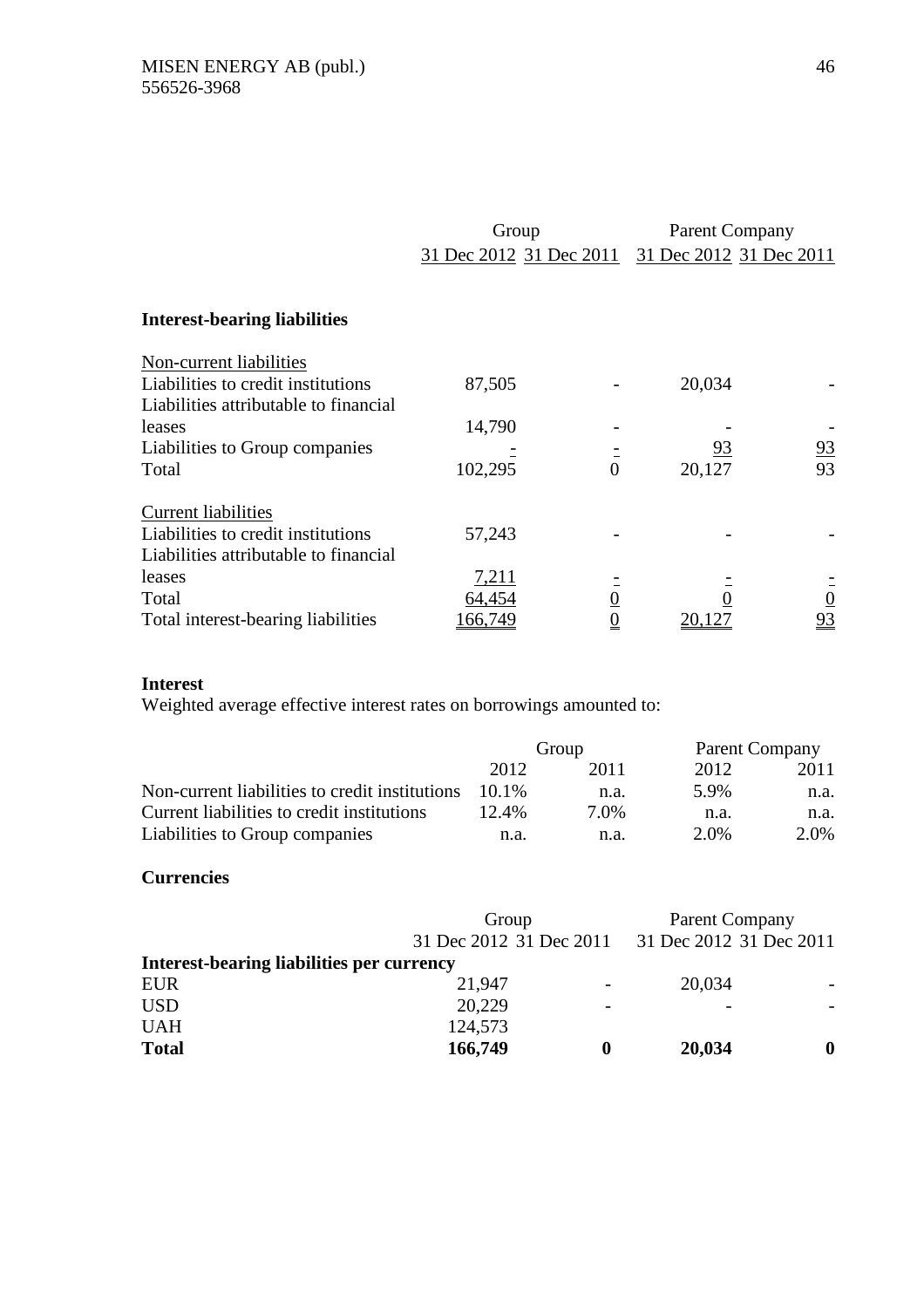|                                                                                                           | Group<br>31 Dec 2012 31 Dec 2011 |                | <b>Parent Company</b><br>31 Dec 2012 31 Dec 2011 |                 |  |
|-----------------------------------------------------------------------------------------------------------|----------------------------------|----------------|--------------------------------------------------|-----------------|--|
| <b>Interest-bearing liabilities</b>                                                                       |                                  |                |                                                  |                 |  |
| Non-current liabilities<br>Liabilities to credit institutions<br>Liabilities attributable to financial    | 87,505                           |                | 20,034                                           |                 |  |
| leases                                                                                                    | 14,790                           |                |                                                  |                 |  |
| Liabilities to Group companies<br>Total                                                                   | 102,295                          | $\overline{0}$ | <u>93</u><br>20,127                              | $\frac{93}{93}$ |  |
| <b>Current liabilities</b><br>Liabilities to credit institutions<br>Liabilities attributable to financial | 57,243                           |                |                                                  |                 |  |
| leases                                                                                                    | <u>7,211</u>                     |                |                                                  |                 |  |
| Total                                                                                                     | 64,454                           |                |                                                  | $\frac{0}{93}$  |  |
| Total interest-bearing liabilities                                                                        | 66,749                           |                | <u>20,127</u>                                    |                 |  |

# **Interest**

Weighted average effective interest rates on borrowings amounted to:

|                                                | Group    |      | Parent Company |      |
|------------------------------------------------|----------|------|----------------|------|
|                                                | 2012     | 2011 | 2012           | 2011 |
| Non-current liabilities to credit institutions | $10.1\%$ | n.a. | 5.9%           | n.a. |
| Current liabilities to credit institutions     | $12.4\%$ | 7.0% | n.a.           | n.a. |
| Liabilities to Group companies                 | n.a.     | n.a. | 2.0%           | 2.0% |

# **Currencies**

|                                           | Group                   |                          | <b>Parent Company</b><br>31 Dec 2012 31 Dec 2011 |                          |
|-------------------------------------------|-------------------------|--------------------------|--------------------------------------------------|--------------------------|
| Interest-bearing liabilities per currency | 31 Dec 2012 31 Dec 2011 |                          |                                                  |                          |
| <b>EUR</b>                                | 21,947                  | $\overline{\phantom{a}}$ | 20,034                                           | $\overline{\phantom{a}}$ |
| <b>USD</b>                                | 20,229                  | $\overline{\phantom{a}}$ |                                                  | $\overline{\phantom{a}}$ |
| <b>UAH</b>                                | 124,573                 |                          |                                                  |                          |
| <b>Total</b>                              | 166,749                 |                          | 20,034                                           | 0                        |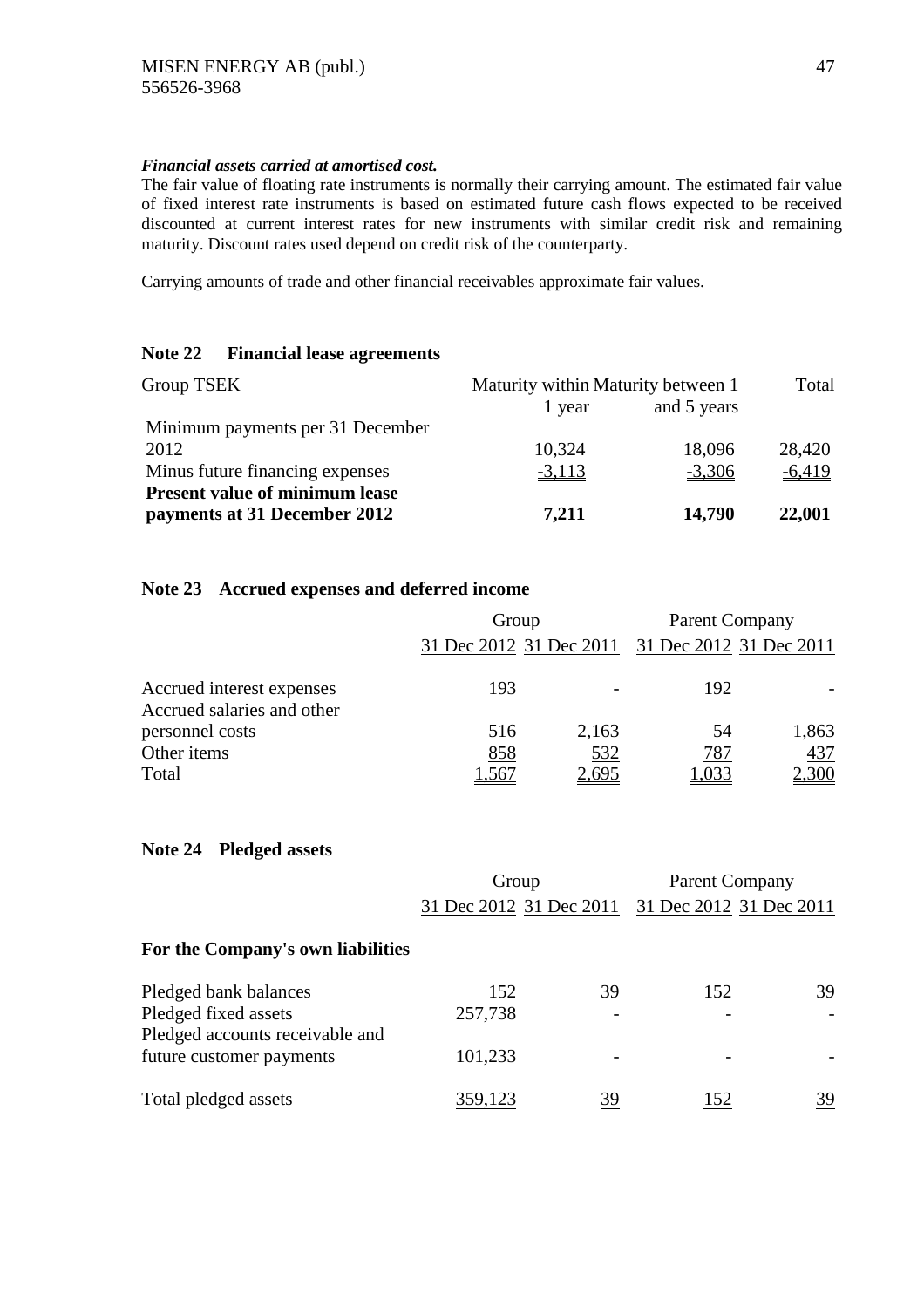# *Financial assets carried at amortised cost.*

The fair value of floating rate instruments is normally their carrying amount. The estimated fair value of fixed interest rate instruments is based on estimated future cash flows expected to be received discounted at current interest rates for new instruments with similar credit risk and remaining maturity. Discount rates used depend on credit risk of the counterparty.

Carrying amounts of trade and other financial receivables approximate fair values.

# **Note 22 Financial lease agreements**

| Group TSEK                            | Maturity within Maturity between 1 | Total       |          |
|---------------------------------------|------------------------------------|-------------|----------|
|                                       | 1 year                             | and 5 years |          |
| Minimum payments per 31 December      |                                    |             |          |
| 2012                                  | 10,324                             | 18,096      | 28,420   |
| Minus future financing expenses       | $-3,113$                           | $-3,306$    | $-6,419$ |
| <b>Present value of minimum lease</b> |                                    |             |          |
| payments at 31 December 2012          | 7,211                              | 14,790      | 22,001   |

# **Note 23 Accrued expenses and deferred income**

|                                                         | Group                   |                          |                         | <b>Parent Company</b> |
|---------------------------------------------------------|-------------------------|--------------------------|-------------------------|-----------------------|
|                                                         | 31 Dec 2012 31 Dec 2011 |                          | 31 Dec 2012 31 Dec 2011 |                       |
| Accrued interest expenses<br>Accrued salaries and other | 193                     | $\overline{\phantom{a}}$ | 192                     |                       |
| personnel costs                                         | 516                     | 2,163                    | 54                      | 1,863                 |
| Other items                                             | 858                     | 532                      | 787                     | 437                   |
| Total                                                   | .567                    | <u>2,695</u>             | l,033                   | <u>2,300</u>          |

# **Note 24 Pledged assets**

|                                                         | Group                   |           | <b>Parent Company</b>   |           |
|---------------------------------------------------------|-------------------------|-----------|-------------------------|-----------|
|                                                         | 31 Dec 2012 31 Dec 2011 |           | 31 Dec 2012 31 Dec 2011 |           |
| For the Company's own liabilities                       |                         |           |                         |           |
| Pledged bank balances                                   | 152                     | 39        | 152                     | 39        |
| Pledged fixed assets<br>Pledged accounts receivable and | 257,738                 |           |                         |           |
| future customer payments                                | 101,233                 |           |                         |           |
| Total pledged assets                                    | 359,123                 | <u>39</u> | 152                     | <u>39</u> |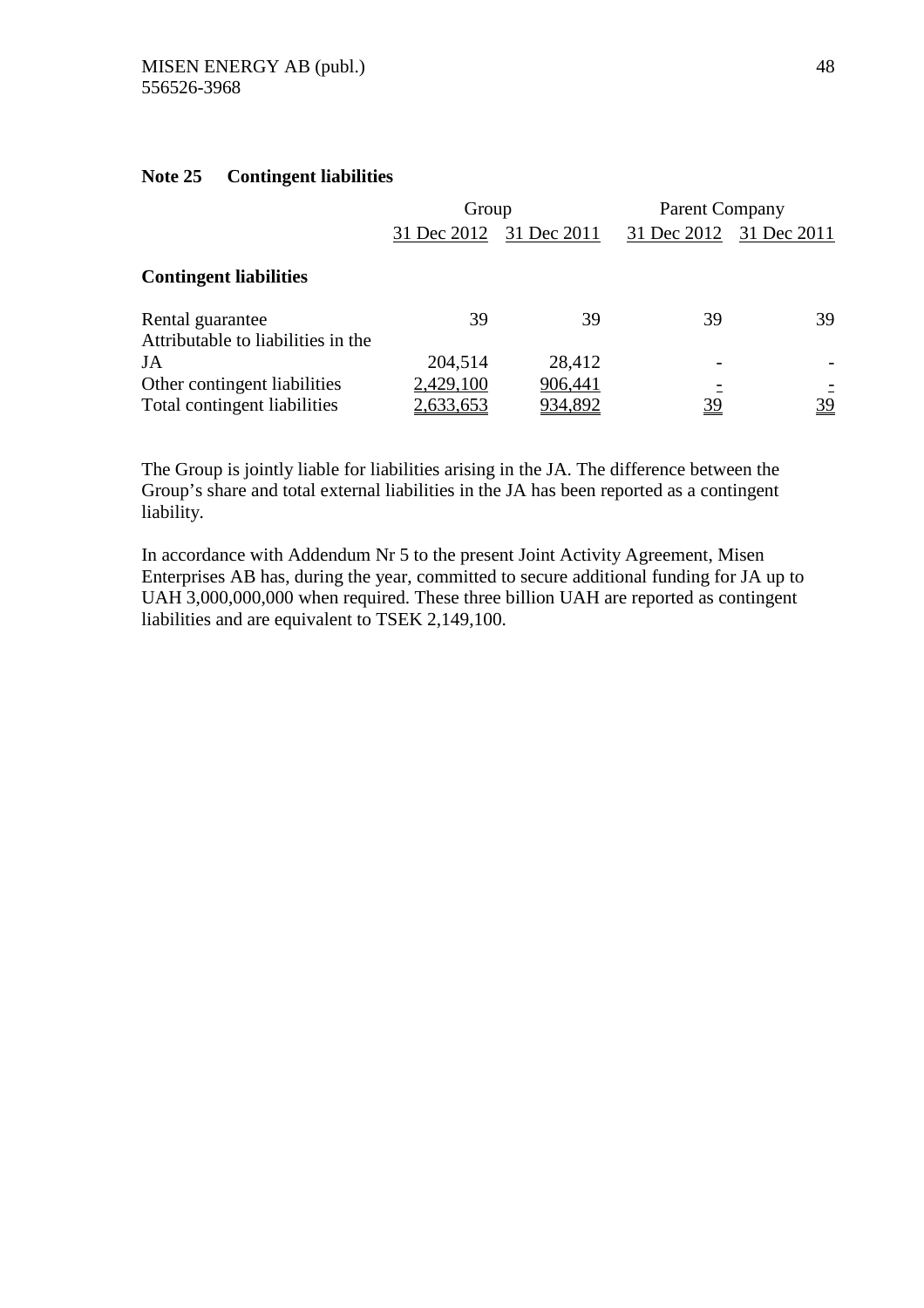# **Note 25 Contingent liabilities**

|                                                              | Group                  |                    | <b>Parent Company</b>   |         |
|--------------------------------------------------------------|------------------------|--------------------|-------------------------|---------|
|                                                              | 31 Dec 2012            | 31 Dec 2011        | 31 Dec 2012 31 Dec 2011 |         |
| <b>Contingent liabilities</b>                                |                        |                    |                         |         |
| Rental guarantee<br>Attributable to liabilities in the       | 39                     | 39                 | 39                      | 39      |
| JA                                                           | 204,514                | 28,412             |                         |         |
| Other contingent liabilities<br>Total contingent liabilities | 2,429,100<br>2,633,653 | 906,441<br>934,892 | 39                      | Ξ<br>39 |

The Group is jointly liable for liabilities arising in the JA. The difference between the Group's share and total external liabilities in the JA has been reported as a contingent liability.

In accordance with Addendum Nr 5 to the present Joint Activity Agreement, Misen Enterprises AB has, during the year, committed to secure additional funding for JA up to UAH 3,000,000,000 when required. These three billion UAH are reported as contingent liabilities and are equivalent to TSEK 2,149,100.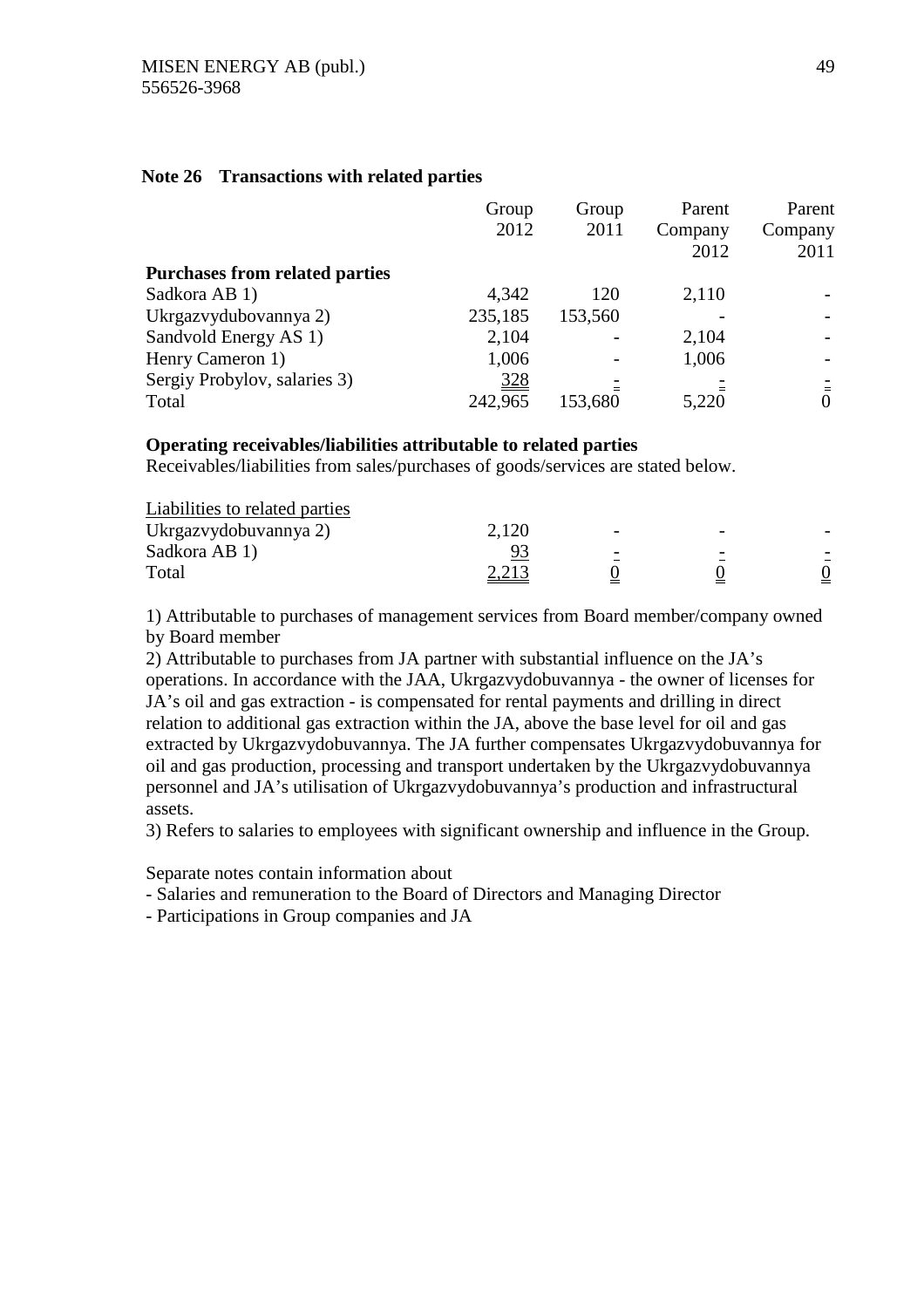# **Note 26 Transactions with related parties**

|                                       | Group      | Group   | Parent  | Parent  |
|---------------------------------------|------------|---------|---------|---------|
|                                       | 2012       | 2011    | Company | Company |
|                                       |            |         | 2012    | 2011    |
| <b>Purchases from related parties</b> |            |         |         |         |
| Sadkora AB 1)                         | 4,342      | 120     | 2,110   |         |
| Ukrgazvydubovannya 2)                 | 235,185    | 153,560 |         |         |
| Sandvold Energy AS 1)                 | 2,104      |         | 2,104   |         |
| Henry Cameron 1)                      | 1,006      |         | 1,006   |         |
| Sergiy Probylov, salaries 3)          | <u>328</u> |         |         |         |
| Total                                 | 242,965    | 153,680 | 5,220   | 0       |

# **Operating receivables/liabilities attributable to related parties**

Receivables/liabilities from sales/purchases of goods/services are stated below.

| 2,120        |  |  |
|--------------|--|--|
|              |  |  |
| <u>2,213</u> |  |  |
|              |  |  |

1) Attributable to purchases of management services from Board member/company owned by Board member

2) Attributable to purchases from JA partner with substantial influence on the JA's operations. In accordance with the JAA, Ukrgazvydobuvannya - the owner of licenses for JA's oil and gas extraction - is compensated for rental payments and drilling in direct relation to additional gas extraction within the JA, above the base level for oil and gas extracted by Ukrgazvydobuvannya. The JA further compensates Ukrgazvydobuvannya for oil and gas production, processing and transport undertaken by the Ukrgazvydobuvannya personnel and JA's utilisation of Ukrgazvydobuvannya's production and infrastructural assets.

3) Refers to salaries to employees with significant ownership and influence in the Group.

Separate notes contain information about

- Salaries and remuneration to the Board of Directors and Managing Director

- Participations in Group companies and JA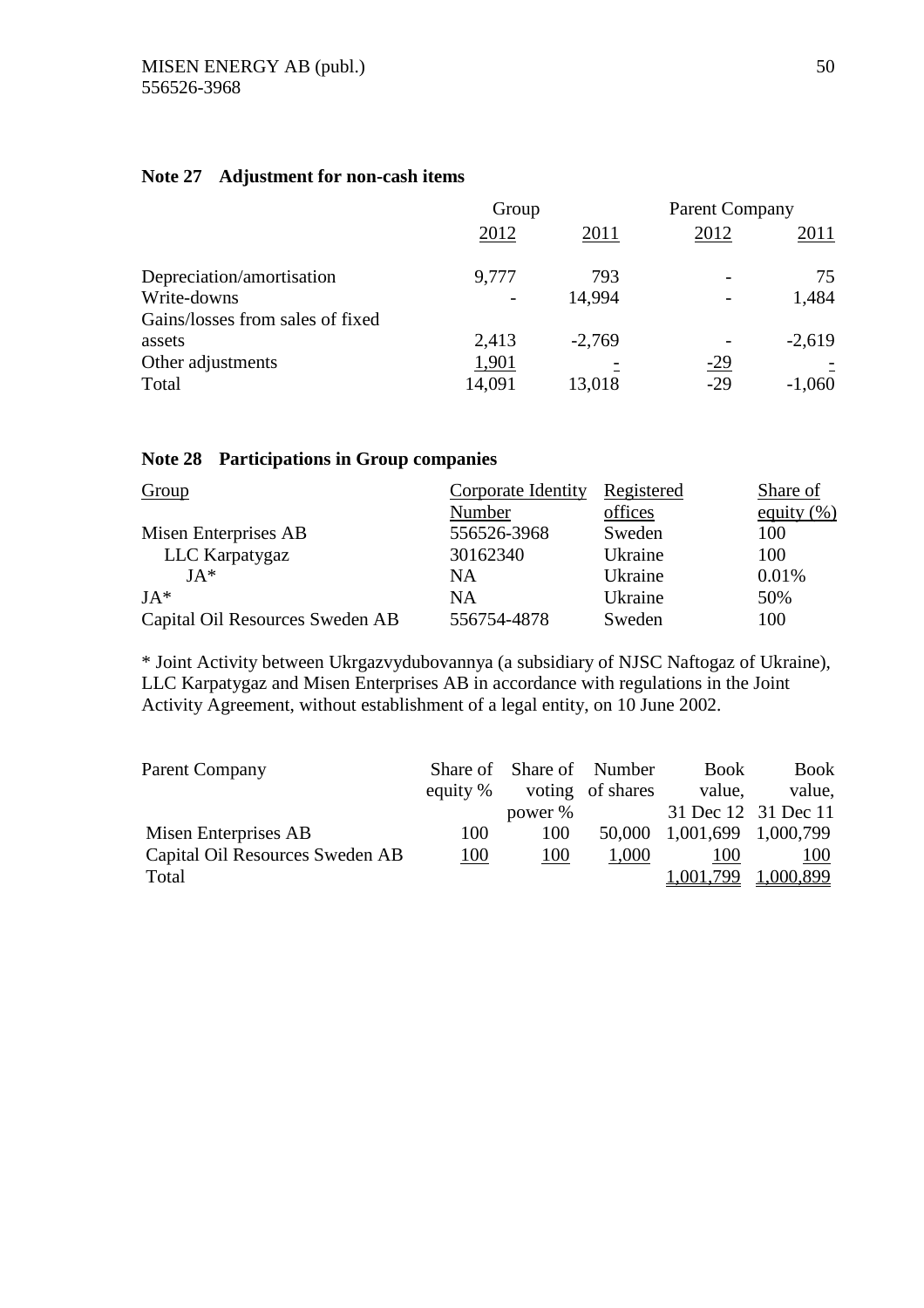# **Note 27 Adjustment for non-cash items**

|                                  | Group                        |          | <b>Parent Company</b> |          |
|----------------------------------|------------------------------|----------|-----------------------|----------|
|                                  | 2012                         | 2011     | 2012                  | 2011     |
| Depreciation/amortisation        | 9.777                        | 793      |                       | 75       |
| Write-downs                      | $\qquad \qquad \blacksquare$ | 14,994   |                       | 1,484    |
| Gains/losses from sales of fixed |                              |          |                       |          |
| assets                           | 2,413                        | $-2,769$ |                       | $-2,619$ |
| Other adjustments                | 1,901                        |          | $-29$                 |          |
| Total                            | 14,091                       | 13,018   | $-29$                 | $-1,060$ |

# **Note 28 Participations in Group companies**

| Group                           | Corporate Identity | Registered | Share of      |
|---------------------------------|--------------------|------------|---------------|
|                                 | Number             | offices    | equity $(\%)$ |
| Misen Enterprises AB            | 556526-3968        | Sweden     | 100           |
| LLC Karpatygaz                  | 30162340           | Ukraine    | 100           |
| $JA*$                           | NA                 | Ukraine    | 0.01%         |
| $JA*$                           | <b>NA</b>          | Ukraine    | 50%           |
| Capital Oil Resources Sweden AB | 556754-4878        | Sweden     | 100           |

\* Joint Activity between Ukrgazvydubovannya (a subsidiary of NJSC Naftogaz of Ukraine), LLC Karpatygaz and Misen Enterprises AB in accordance with regulations in the Joint Activity Agreement, without establishment of a legal entity, on 10 June 2002.

| Parent Company                  |          | Share of Share of Number |                  | <b>Book</b>         | <b>Book</b> |
|---------------------------------|----------|--------------------------|------------------|---------------------|-------------|
|                                 | equity % |                          | voting of shares | value.              | value.      |
|                                 |          | power %                  |                  | 31 Dec 12 31 Dec 11 |             |
| Misen Enterprises AB            | 100      | 100                      | 50,000           | 1,001,699 1,000,799 |             |
| Capital Oil Resources Sweden AB | 100      | 100                      | 1,000            | 100                 | 100         |
| Total                           |          |                          |                  | 1,001.799           | 1,000,899   |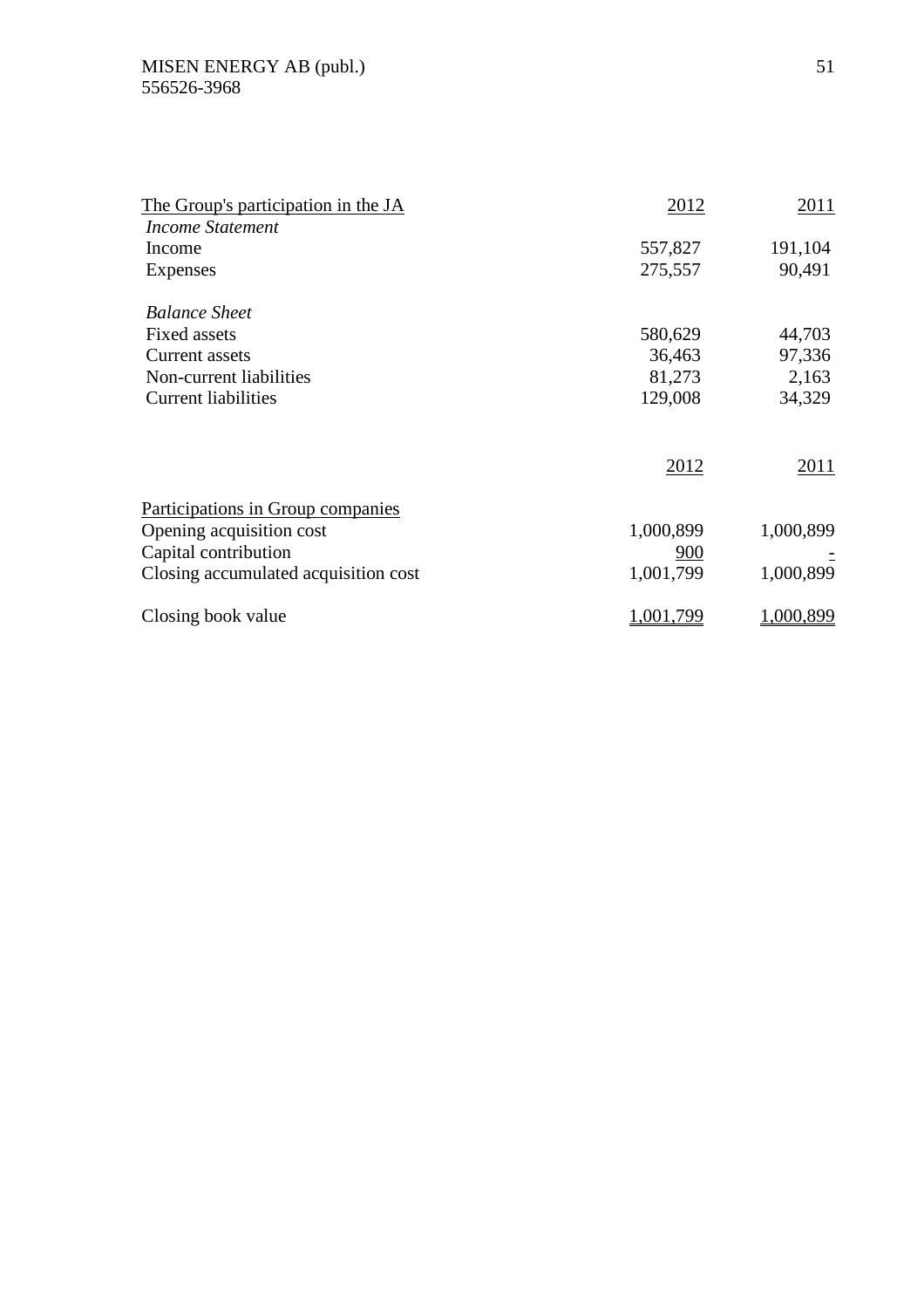| The Group's participation in the JA  | 2012      | 2011      |
|--------------------------------------|-----------|-----------|
| Income Statement                     |           |           |
| Income                               | 557,827   | 191,104   |
| Expenses                             | 275,557   | 90,491    |
| <b>Balance Sheet</b>                 |           |           |
| <b>Fixed assets</b>                  | 580,629   | 44,703    |
| Current assets                       | 36,463    | 97,336    |
| Non-current liabilities              | 81,273    | 2,163     |
| <b>Current liabilities</b>           | 129,008   | 34,329    |
|                                      | 2012      | 2011      |
| Participations in Group companies    |           |           |
| Opening acquisition cost             | 1,000,899 | 1,000,899 |
| Capital contribution                 | 900       |           |
| Closing accumulated acquisition cost | 1,001,799 | 1,000,899 |
| Closing book value                   | 1,001,799 | 1,000,899 |